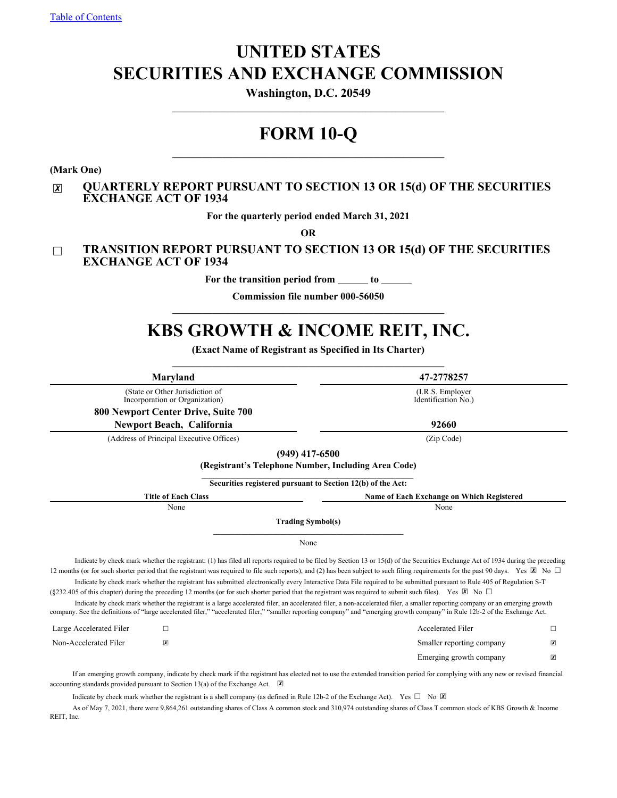# **UNITED STATES SECURITIES AND EXCHANGE COMMISSION**

**Washington, D.C. 20549**

# **FORM 10-Q**

**(Mark One)**

# ☒ **QUARTERLY REPORT PURSUANT TO SECTION 13 OR 15(d) OF THE SECURITIES EXCHANGE ACT OF 1934**

**For the quarterly period ended March 31, 2021**

**OR**

# ☐ **TRANSITION REPORT PURSUANT TO SECTION 13 OR 15(d) OF THE SECURITIES EXCHANGE ACT OF 1934**

For the transition period from \_\_\_\_\_\_\_ to \_

**Commission file number 000-56050**

# **KBS GROWTH & INCOME REIT, INC.**

**(Exact Name of Registrant as Specified in Its Charter)**

|                                                                                                   | Maryland                                                              |                                                                                                                                                                               |                                                             | 47-2778257                                                                                                                                                                                                                                                                                                                                                                                                                                                                                                                                                |                     |
|---------------------------------------------------------------------------------------------------|-----------------------------------------------------------------------|-------------------------------------------------------------------------------------------------------------------------------------------------------------------------------|-------------------------------------------------------------|-----------------------------------------------------------------------------------------------------------------------------------------------------------------------------------------------------------------------------------------------------------------------------------------------------------------------------------------------------------------------------------------------------------------------------------------------------------------------------------------------------------------------------------------------------------|---------------------|
|                                                                                                   | (State or Other Jurisdiction of                                       |                                                                                                                                                                               |                                                             | $(I.R.S.$ Employer<br>Identification No.)                                                                                                                                                                                                                                                                                                                                                                                                                                                                                                                 |                     |
|                                                                                                   | Incorporation or Organization)<br>800 Newport Center Drive, Suite 700 |                                                                                                                                                                               |                                                             |                                                                                                                                                                                                                                                                                                                                                                                                                                                                                                                                                           |                     |
|                                                                                                   | <b>Newport Beach, California</b>                                      |                                                                                                                                                                               |                                                             | 92660                                                                                                                                                                                                                                                                                                                                                                                                                                                                                                                                                     |                     |
|                                                                                                   |                                                                       |                                                                                                                                                                               |                                                             |                                                                                                                                                                                                                                                                                                                                                                                                                                                                                                                                                           |                     |
|                                                                                                   | (Address of Principal Executive Offices)                              |                                                                                                                                                                               |                                                             | (Zip Code)                                                                                                                                                                                                                                                                                                                                                                                                                                                                                                                                                |                     |
|                                                                                                   |                                                                       |                                                                                                                                                                               | $(949)$ 417-6500                                            |                                                                                                                                                                                                                                                                                                                                                                                                                                                                                                                                                           |                     |
|                                                                                                   |                                                                       | (Registrant's Telephone Number, Including Area Code)                                                                                                                          |                                                             |                                                                                                                                                                                                                                                                                                                                                                                                                                                                                                                                                           |                     |
|                                                                                                   |                                                                       |                                                                                                                                                                               | Securities registered pursuant to Section 12(b) of the Act: |                                                                                                                                                                                                                                                                                                                                                                                                                                                                                                                                                           |                     |
|                                                                                                   | <b>Title of Each Class</b>                                            |                                                                                                                                                                               |                                                             | <b>Name of Each Exchange on Which Registered</b>                                                                                                                                                                                                                                                                                                                                                                                                                                                                                                          |                     |
|                                                                                                   | None                                                                  |                                                                                                                                                                               |                                                             | None                                                                                                                                                                                                                                                                                                                                                                                                                                                                                                                                                      |                     |
|                                                                                                   |                                                                       |                                                                                                                                                                               | <b>Trading Symbol(s)</b>                                    |                                                                                                                                                                                                                                                                                                                                                                                                                                                                                                                                                           |                     |
|                                                                                                   |                                                                       |                                                                                                                                                                               | None                                                        |                                                                                                                                                                                                                                                                                                                                                                                                                                                                                                                                                           |                     |
|                                                                                                   |                                                                       | (§232.405 of this chapter) during the preceding 12 months (or for such shorter period that the registrant was required to submit such files). Yes $[\mathbb{X}]$ No $\square$ |                                                             | Indicate by check mark whether the registrant: (1) has filed all reports required to be filed by Section 13 or 15(d) of the Securities Exchange Act of 1934 during the preceding<br>12 months (or for such shorter period that the registrant was required to file such reports), and (2) has been subject to such filing requirements for the past 90 days. Yes $[2]$ No $[2]$<br>Indicate by check mark whether the registrant has submitted electronically every Interactive Data File required to be submitted pursuant to Rule 405 of Regulation S-T |                     |
|                                                                                                   |                                                                       |                                                                                                                                                                               |                                                             | Indicate by check mark whether the registrant is a large accelerated filer, an accelerated filer, a non-accelerated filer, a smaller reporting company or an emerging growth<br>company. See the definitions of "large accelerated filer," "accelerated filer," "smaller reporting company" and "emerging growth company" in Rule 12b-2 of the Exchange Act.                                                                                                                                                                                              |                     |
| Large Accelerated Filer                                                                           | п                                                                     |                                                                                                                                                                               |                                                             | <b>Accelerated Filer</b>                                                                                                                                                                                                                                                                                                                                                                                                                                                                                                                                  | п                   |
| Non-Accelerated Filer                                                                             | $\boldsymbol{\chi}$                                                   |                                                                                                                                                                               |                                                             | Smaller reporting company                                                                                                                                                                                                                                                                                                                                                                                                                                                                                                                                 | $\mathbf{x}$        |
|                                                                                                   |                                                                       |                                                                                                                                                                               |                                                             | Emerging growth company                                                                                                                                                                                                                                                                                                                                                                                                                                                                                                                                   | $\boldsymbol{\chi}$ |
| accounting standards provided pursuant to Section 13(a) of the Exchange Act. $\boxed{\mathbf{X}}$ |                                                                       |                                                                                                                                                                               |                                                             | If an emerging growth company, indicate by check mark if the registrant has elected not to use the extended transition period for complying with any new or revised financial                                                                                                                                                                                                                                                                                                                                                                             |                     |

Indicate by check mark whether the registrant is a shell company (as defined in Rule 12b-2 of the Exchange Act). Yes  $\Box$  No  $\Box$ 

As of May 7, 2021, there were 9,864,261 outstanding shares of Class A common stock and 310,974 outstanding shares of Class T common stock of KBS Growth & Income REIT, Inc.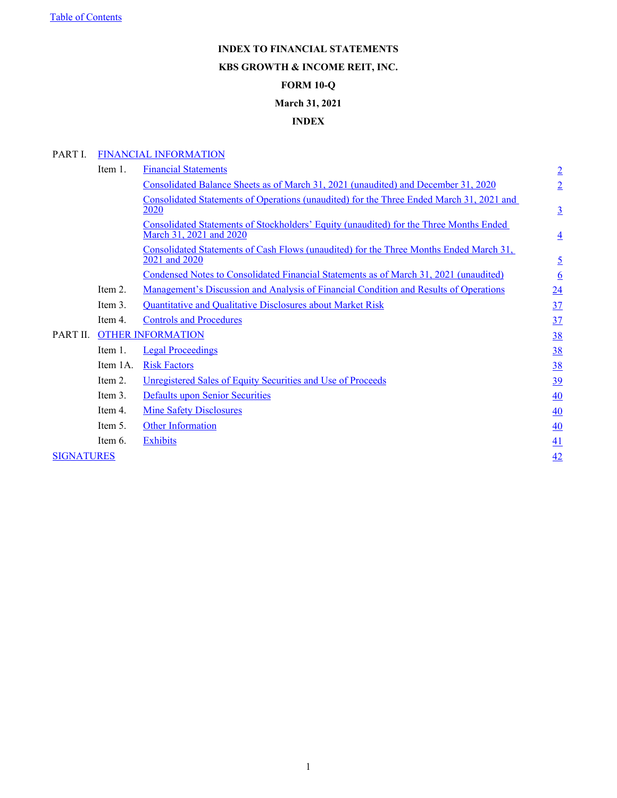# **INDEX TO FINANCIAL STATEMENTS KBS GROWTH & INCOME REIT, INC. FORM 10-Q March 31, 2021**

## **INDEX**

# <span id="page-1-0"></span>PART I. [FINANCIAL INFORMATION](#page-2-0)

| Item 1.           | <b>Financial Statements</b>                                                                                       | $\overline{2}$           |
|-------------------|-------------------------------------------------------------------------------------------------------------------|--------------------------|
|                   | Consolidated Balance Sheets as of March 31, 2021 (unaudited) and December 31, 2020                                | $\overline{2}$           |
|                   | Consolidated Statements of Operations (unaudited) for the Three Ended March 31, 2021 and<br><u>2020</u>           | $\overline{3}$           |
|                   | Consolidated Statements of Stockholders' Equity (unaudited) for the Three Months Ended<br>March 31, 2021 and 2020 | $\overline{4}$           |
|                   | Consolidated Statements of Cash Flows (unaudited) for the Three Months Ended March 31,<br>2021 and 2020           | $\overline{2}$           |
|                   | Condensed Notes to Consolidated Financial Statements as of March 31, 2021 (unaudited)                             | $\underline{6}$          |
| Item 2.           | Management's Discussion and Analysis of Financial Condition and Results of Operations                             | 24                       |
| Item 3.           | <b>Quantitative and Qualitative Disclosures about Market Risk</b>                                                 | 37                       |
| Item 4.           | <b>Controls and Procedures</b>                                                                                    | 37                       |
|                   |                                                                                                                   | <u>38</u>                |
| Item 1.           | <b>Legal Proceedings</b>                                                                                          | <u>38</u>                |
| Item 1A.          | <b>Risk Factors</b>                                                                                               | <u>38</u>                |
| Item 2.           | Unregistered Sales of Equity Securities and Use of Proceeds                                                       | 39                       |
| Item 3.           | <b>Defaults upon Senior Securities</b>                                                                            | 40                       |
| Item 4.           | <b>Mine Safety Disclosures</b>                                                                                    | 40                       |
| Item 5.           | <b>Other Information</b>                                                                                          | 40                       |
| Item 6.           | <b>Exhibits</b>                                                                                                   | 41                       |
| <b>SIGNATURES</b> |                                                                                                                   | 42                       |
|                   |                                                                                                                   | <b>OTHER INFORMATION</b> |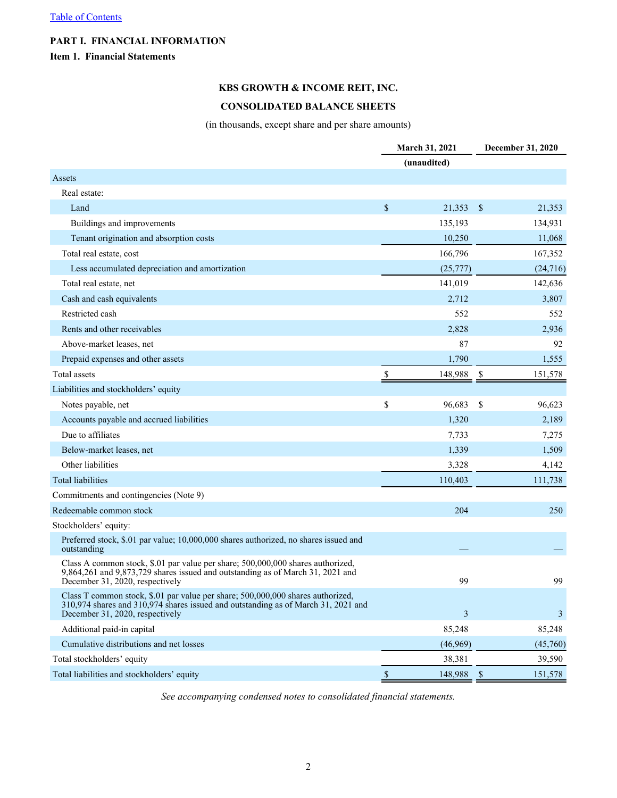# <span id="page-2-0"></span>**PART I. FINANCIAL INFORMATION**

## **Item 1. Financial Statements**

# **KBS GROWTH & INCOME REIT, INC.**

## **CONSOLIDATED BALANCE SHEETS**

(in thousands, except share and per share amounts)

|                                                                                                                                                                                                         |               | March 31, 2021 |                    | <b>December 31, 2020</b> |
|---------------------------------------------------------------------------------------------------------------------------------------------------------------------------------------------------------|---------------|----------------|--------------------|--------------------------|
|                                                                                                                                                                                                         |               | (unaudited)    |                    |                          |
| Assets                                                                                                                                                                                                  |               |                |                    |                          |
| Real estate:                                                                                                                                                                                            |               |                |                    |                          |
| Land                                                                                                                                                                                                    | $\mathcal{S}$ | 21,353         | <sup>\$</sup>      | 21,353                   |
| Buildings and improvements                                                                                                                                                                              |               | 135,193        |                    | 134,931                  |
| Tenant origination and absorption costs                                                                                                                                                                 |               | 10,250         |                    | 11,068                   |
| Total real estate, cost                                                                                                                                                                                 |               | 166,796        |                    | 167,352                  |
| Less accumulated depreciation and amortization                                                                                                                                                          |               | (25,777)       |                    | (24,716)                 |
| Total real estate, net                                                                                                                                                                                  |               | 141,019        |                    | 142,636                  |
| Cash and cash equivalents                                                                                                                                                                               |               | 2,712          |                    | 3,807                    |
| Restricted cash                                                                                                                                                                                         |               | 552            |                    | 552                      |
| Rents and other receivables                                                                                                                                                                             |               | 2,828          |                    | 2,936                    |
| Above-market leases, net                                                                                                                                                                                |               | 87             |                    | 92                       |
| Prepaid expenses and other assets                                                                                                                                                                       |               | 1,790          |                    | 1,555                    |
| Total assets                                                                                                                                                                                            | \$            | 148,988        | $\mathbf{\hat{s}}$ | 151,578                  |
| Liabilities and stockholders' equity                                                                                                                                                                    |               |                |                    |                          |
| Notes payable, net                                                                                                                                                                                      | \$            | 96,683         | \$                 | 96,623                   |
| Accounts payable and accrued liabilities                                                                                                                                                                |               | 1,320          |                    | 2,189                    |
| Due to affiliates                                                                                                                                                                                       |               | 7,733          |                    | 7,275                    |
| Below-market leases, net                                                                                                                                                                                |               | 1,339          |                    | 1,509                    |
| Other liabilities                                                                                                                                                                                       |               | 3,328          |                    | 4,142                    |
| <b>Total liabilities</b>                                                                                                                                                                                |               | 110,403        |                    | 111,738                  |
| Commitments and contingencies (Note 9)                                                                                                                                                                  |               |                |                    |                          |
| Redeemable common stock                                                                                                                                                                                 |               | 204            |                    | 250                      |
| Stockholders' equity:                                                                                                                                                                                   |               |                |                    |                          |
| Preferred stock, \$.01 par value; 10,000,000 shares authorized, no shares issued and<br>outstanding                                                                                                     |               |                |                    |                          |
| Class A common stock, \$.01 par value per share; 500,000,000 shares authorized,<br>9,864,261 and 9,873,729 shares issued and outstanding as of March 31, 2021 and<br>December 31, 2020, respectively    |               | 99             |                    | 99                       |
| Class T common stock, \$.01 par value per share; 500,000,000 shares authorized,<br>310,974 shares and 310,974 shares issued and outstanding as of March 31, 2021 and<br>December 31, 2020, respectively |               | 3              |                    | 3                        |
| Additional paid-in capital                                                                                                                                                                              |               | 85,248         |                    | 85,248                   |
| Cumulative distributions and net losses                                                                                                                                                                 |               | (46,969)       |                    | (45,760)                 |
| Total stockholders' equity                                                                                                                                                                              |               | 38,381         |                    | 39,590                   |
| Total liabilities and stockholders' equity                                                                                                                                                              | $\mathbb S$   | 148,988        | $\mathbf{\hat{s}}$ | 151,578                  |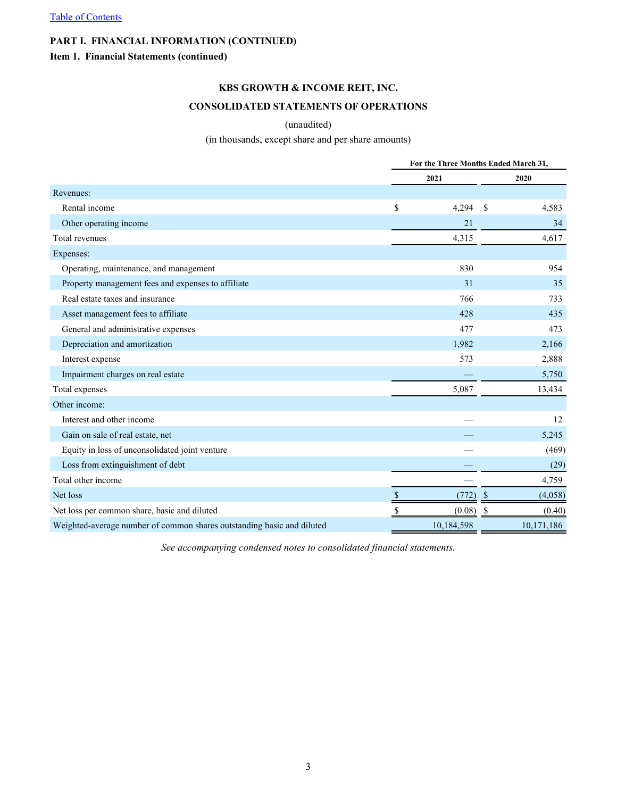<span id="page-3-0"></span>**Item 1. Financial Statements (continued)**

# **KBS GROWTH & INCOME REIT, INC.**

## **CONSOLIDATED STATEMENTS OF OPERATIONS**

### (unaudited)

(in thousands, except share and per share amounts)

|                                                                        |    | For the Three Months Ended March 31, |               |            |
|------------------------------------------------------------------------|----|--------------------------------------|---------------|------------|
|                                                                        |    | 2021                                 |               | 2020       |
| Revenues:                                                              |    |                                      |               |            |
| Rental income                                                          | \$ | 4,294                                | <sup>\$</sup> | 4,583      |
| Other operating income                                                 |    | 21                                   |               | 34         |
| Total revenues                                                         |    | 4,315                                |               | 4,617      |
| Expenses:                                                              |    |                                      |               |            |
| Operating, maintenance, and management                                 |    | 830                                  |               | 954        |
| Property management fees and expenses to affiliate                     |    | 31                                   |               | 35         |
| Real estate taxes and insurance                                        |    | 766                                  |               | 733        |
| Asset management fees to affiliate                                     |    | 428                                  |               | 435        |
| General and administrative expenses                                    |    | 477                                  |               | 473        |
| Depreciation and amortization                                          |    | 1,982                                |               | 2,166      |
| Interest expense                                                       |    | 573                                  |               | 2,888      |
| Impairment charges on real estate                                      |    |                                      |               | 5,750      |
| Total expenses                                                         |    | 5,087                                |               | 13,434     |
| Other income:                                                          |    |                                      |               |            |
| Interest and other income                                              |    |                                      |               | 12         |
| Gain on sale of real estate, net                                       |    |                                      |               | 5,245      |
| Equity in loss of unconsolidated joint venture                         |    |                                      |               | (469)      |
| Loss from extinguishment of debt                                       |    |                                      |               | (29)       |
| Total other income                                                     |    |                                      |               | 4,759      |
| Net loss                                                               | S  | (772)                                | <sup>\$</sup> | (4,058)    |
| Net loss per common share, basic and diluted                           |    | (0.08)                               |               | (0.40)     |
| Weighted-average number of common shares outstanding basic and diluted |    | 10,184,598                           |               | 10,171,186 |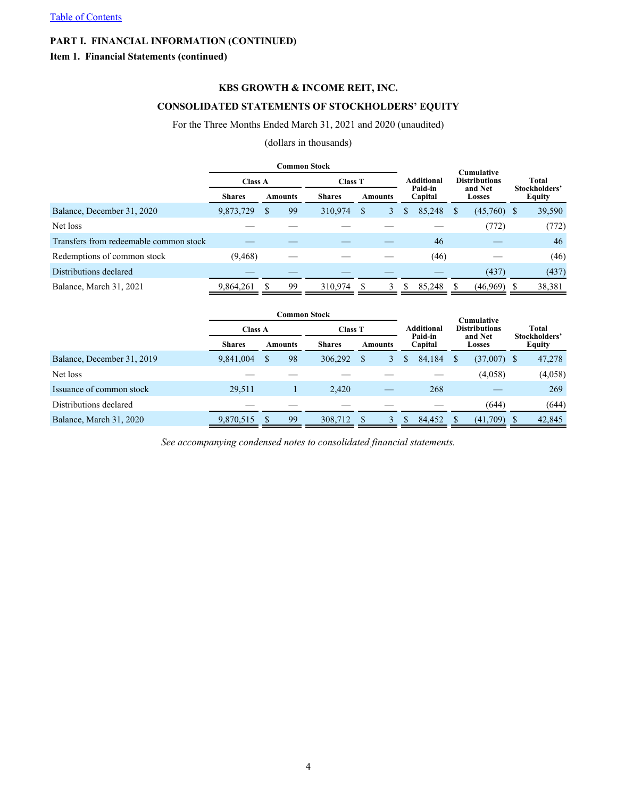## <span id="page-4-0"></span>**Item 1. Financial Statements (continued)**

## **KBS GROWTH & INCOME REIT, INC.**

# **CONSOLIDATED STATEMENTS OF STOCKHOLDERS' EQUITY**

## For the Three Months Ended March 31, 2021 and 2020 (unaudited)

## (dollars in thousands)

|                                        |                | <b>Common Stock</b> |    |                                 |                |                | <b>Cumulative</b> |                    |  |                      |       |                         |  |
|----------------------------------------|----------------|---------------------|----|---------------------------------|----------------|----------------|-------------------|--------------------|--|----------------------|-------|-------------------------|--|
|                                        | <b>Class A</b> |                     |    |                                 | <b>Class T</b> |                |                   | <b>Additional</b>  |  | <b>Distributions</b> | Total |                         |  |
|                                        | <b>Shares</b>  |                     |    | <b>Shares</b><br><b>Amounts</b> |                | <b>Amounts</b> |                   | Paid-in<br>Capital |  | and Net<br>Losses    |       | Stockholders'<br>Equity |  |
| Balance, December 31, 2020             | 9,873,729      |                     | 99 | 310,974                         | S              | 3              | S                 | 85,248             |  | $(45,760)$ \$        |       | 39,590                  |  |
| Net loss                               |                |                     |    |                                 |                |                |                   |                    |  | (772)                |       | (772)                   |  |
| Transfers from redeemable common stock |                |                     |    |                                 |                |                |                   | 46                 |  |                      |       | 46                      |  |
| Redemptions of common stock            | (9, 468)       |                     |    |                                 |                |                |                   | (46)               |  |                      |       | (46)                    |  |
| Distributions declared                 |                |                     |    |                                 |                |                |                   |                    |  | (437)                |       | (437)                   |  |
| Balance, March 31, 2021                | 9,864,261      |                     | 99 | 310,974                         |                |                |                   | 85,248             |  | (46,969)             |       | 38,381                  |  |

|                            |                | <b>Common Stock</b> |         |                |  | <b>Cumulative</b> |         |                       |        |                                 |                        |         |
|----------------------------|----------------|---------------------|---------|----------------|--|-------------------|---------|-----------------------|--------|---------------------------------|------------------------|---------|
|                            | <b>Class A</b> |                     |         | <b>Class T</b> |  |                   |         | Additional<br>Paid-in |        | <b>Distributions</b><br>and Net | Total<br>Stockholders' |         |
|                            | <b>Shares</b>  |                     | Amounts | <b>Shares</b>  |  | <b>Amounts</b>    | Capital |                       | Losses |                                 | <b>Equity</b>          |         |
| Balance, December 31, 2019 | 9,841,004      |                     | 98      | 306,292        |  | 3                 | S       | 84,184                | S      | (37,007)                        | S                      | 47,278  |
| Net loss                   |                |                     |         |                |  |                   |         |                       |        | (4,058)                         |                        | (4,058) |
| Issuance of common stock   | 29,511         |                     |         | 2,420          |  |                   |         | 268                   |        |                                 |                        | 269     |
| Distributions declared     |                |                     |         |                |  |                   |         |                       |        | (644)                           |                        | (644)   |
| Balance, March 31, 2020    | 9,870,515      |                     | 99      | 308,712        |  | $\mathcal{F}$     |         | 84,452                |        | (41,709)                        |                        | 42,845  |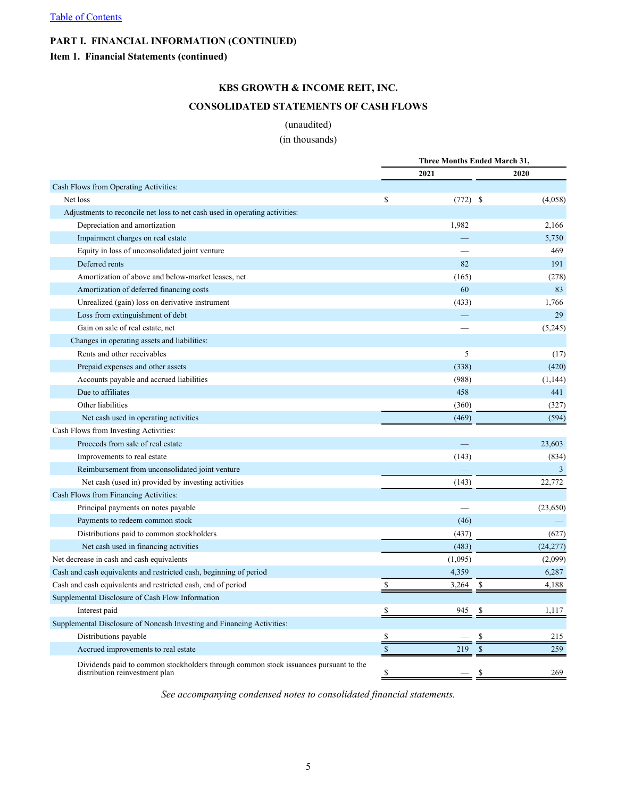# <span id="page-5-0"></span>**Item 1. Financial Statements (continued)**

# **KBS GROWTH & INCOME REIT, INC.**

# **CONSOLIDATED STATEMENTS OF CASH FLOWS**

## (unaudited)

(in thousands)

|                                                                                      | Three Months Ended March 31, |            |             |           |  |  |  |  |  |
|--------------------------------------------------------------------------------------|------------------------------|------------|-------------|-----------|--|--|--|--|--|
|                                                                                      |                              | 2021       |             | 2020      |  |  |  |  |  |
| Cash Flows from Operating Activities:                                                |                              |            |             |           |  |  |  |  |  |
| Net loss                                                                             | \$                           | $(772)$ \$ |             | (4,058)   |  |  |  |  |  |
| Adjustments to reconcile net loss to net cash used in operating activities:          |                              |            |             |           |  |  |  |  |  |
| Depreciation and amortization                                                        |                              | 1,982      |             | 2,166     |  |  |  |  |  |
| Impairment charges on real estate                                                    |                              |            |             | 5,750     |  |  |  |  |  |
| Equity in loss of unconsolidated joint venture                                       |                              |            |             | 469       |  |  |  |  |  |
| Deferred rents                                                                       |                              | 82         |             | 191       |  |  |  |  |  |
| Amortization of above and below-market leases, net                                   |                              | (165)      |             | (278)     |  |  |  |  |  |
| Amortization of deferred financing costs                                             |                              | 60         |             | 83        |  |  |  |  |  |
| Unrealized (gain) loss on derivative instrument                                      |                              | (433)      |             | 1,766     |  |  |  |  |  |
| Loss from extinguishment of debt                                                     |                              |            |             | 29        |  |  |  |  |  |
| Gain on sale of real estate, net                                                     |                              |            |             | (5,245)   |  |  |  |  |  |
| Changes in operating assets and liabilities:                                         |                              |            |             |           |  |  |  |  |  |
| Rents and other receivables                                                          |                              | $\sqrt{5}$ |             | (17)      |  |  |  |  |  |
| Prepaid expenses and other assets                                                    |                              | (338)      |             | (420)     |  |  |  |  |  |
| Accounts payable and accrued liabilities                                             |                              | (988)      |             | (1, 144)  |  |  |  |  |  |
| Due to affiliates                                                                    |                              | 458        |             | 441       |  |  |  |  |  |
| Other liabilities                                                                    |                              | (360)      |             | (327)     |  |  |  |  |  |
| Net cash used in operating activities                                                |                              | (469)      |             | (594)     |  |  |  |  |  |
| Cash Flows from Investing Activities:                                                |                              |            |             |           |  |  |  |  |  |
| Proceeds from sale of real estate                                                    |                              |            |             | 23.603    |  |  |  |  |  |
| Improvements to real estate                                                          |                              | (143)      |             | (834)     |  |  |  |  |  |
| Reimbursement from unconsolidated joint venture                                      |                              |            |             | 3         |  |  |  |  |  |
| Net cash (used in) provided by investing activities                                  |                              | (143)      |             | 22,772    |  |  |  |  |  |
| Cash Flows from Financing Activities:                                                |                              |            |             |           |  |  |  |  |  |
| Principal payments on notes payable                                                  |                              |            |             | (23, 650) |  |  |  |  |  |
| Payments to redeem common stock                                                      |                              | (46)       |             |           |  |  |  |  |  |
| Distributions paid to common stockholders                                            |                              | (437)      |             | (627)     |  |  |  |  |  |
| Net cash used in financing activities                                                |                              | (483)      |             | (24, 277) |  |  |  |  |  |
| Net decrease in cash and cash equivalents                                            |                              | (1,095)    |             | (2,099)   |  |  |  |  |  |
| Cash and cash equivalents and restricted cash, beginning of period                   |                              | 4,359      |             | 6,287     |  |  |  |  |  |
| Cash and cash equivalents and restricted cash, end of period                         | $\mathbb{S}$                 | 3,264      | \$          | 4,188     |  |  |  |  |  |
| Supplemental Disclosure of Cash Flow Information                                     |                              |            |             |           |  |  |  |  |  |
| Interest paid                                                                        | \$                           | 945        | \$          | 1,117     |  |  |  |  |  |
| Supplemental Disclosure of Noncash Investing and Financing Activities:               |                              |            |             |           |  |  |  |  |  |
| Distributions payable                                                                | \$                           |            | \$          | 215       |  |  |  |  |  |
| Accrued improvements to real estate                                                  | $\mathbb S$                  | 219        | $\mathbf S$ | 259       |  |  |  |  |  |
| Dividends paid to common stockholders through common stock issuances pursuant to the |                              |            |             |           |  |  |  |  |  |
| distribution reinvestment plan                                                       | \$                           |            | \$          | 269       |  |  |  |  |  |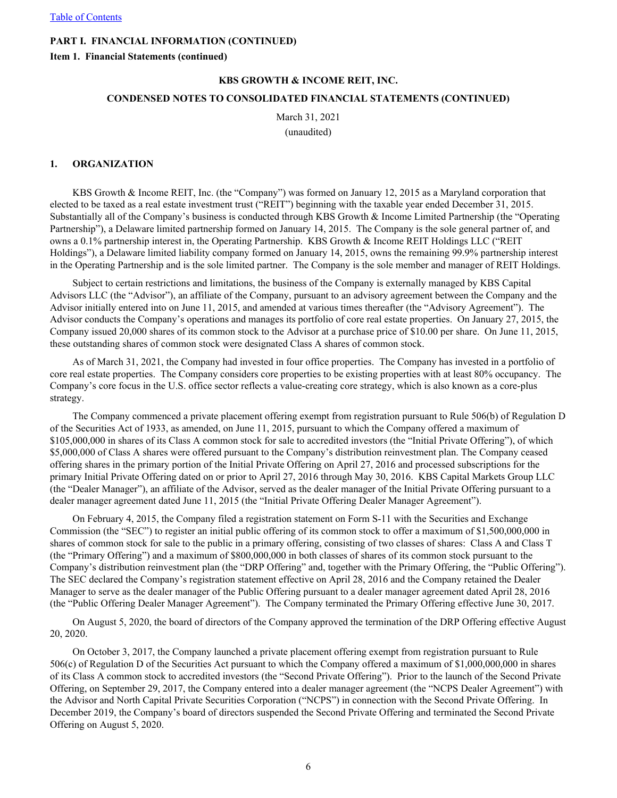<span id="page-6-0"></span>**Item 1. Financial Statements (continued)**

#### **KBS GROWTH & INCOME REIT, INC.**

## **CONDENSED NOTES TO CONSOLIDATED FINANCIAL STATEMENTS (CONTINUED)**

March 31, 2021 (unaudited)

#### **1. ORGANIZATION**

KBS Growth & Income REIT, Inc. (the "Company") was formed on January 12, 2015 as a Maryland corporation that elected to be taxed as a real estate investment trust ("REIT") beginning with the taxable year ended December 31, 2015. Substantially all of the Company's business is conducted through KBS Growth & Income Limited Partnership (the "Operating Partnership"), a Delaware limited partnership formed on January 14, 2015. The Company is the sole general partner of, and owns a 0.1% partnership interest in, the Operating Partnership. KBS Growth & Income REIT Holdings LLC ("REIT Holdings"), a Delaware limited liability company formed on January 14, 2015, owns the remaining 99.9% partnership interest in the Operating Partnership and is the sole limited partner. The Company is the sole member and manager of REIT Holdings.

Subject to certain restrictions and limitations, the business of the Company is externally managed by KBS Capital Advisors LLC (the "Advisor"), an affiliate of the Company, pursuant to an advisory agreement between the Company and the Advisor initially entered into on June 11, 2015, and amended at various times thereafter (the "Advisory Agreement"). The Advisor conducts the Company's operations and manages its portfolio of core real estate properties. On January 27, 2015, the Company issued 20,000 shares of its common stock to the Advisor at a purchase price of \$10.00 per share. On June 11, 2015, these outstanding shares of common stock were designated Class A shares of common stock.

As of March 31, 2021, the Company had invested in four office properties. The Company has invested in a portfolio of core real estate properties. The Company considers core properties to be existing properties with at least 80% occupancy. The Company's core focus in the U.S. office sector reflects a value-creating core strategy, which is also known as a core-plus strategy.

The Company commenced a private placement offering exempt from registration pursuant to Rule 506(b) of Regulation D of the Securities Act of 1933, as amended, on June 11, 2015, pursuant to which the Company offered a maximum of \$105,000,000 in shares of its Class A common stock for sale to accredited investors (the "Initial Private Offering"), of which \$5,000,000 of Class A shares were offered pursuant to the Company's distribution reinvestment plan. The Company ceased offering shares in the primary portion of the Initial Private Offering on April 27, 2016 and processed subscriptions for the primary Initial Private Offering dated on or prior to April 27, 2016 through May 30, 2016. KBS Capital Markets Group LLC (the "Dealer Manager"), an affiliate of the Advisor, served as the dealer manager of the Initial Private Offering pursuant to a dealer manager agreement dated June 11, 2015 (the "Initial Private Offering Dealer Manager Agreement").

On February 4, 2015, the Company filed a registration statement on Form S-11 with the Securities and Exchange Commission (the "SEC") to register an initial public offering of its common stock to offer a maximum of \$1,500,000,000 in shares of common stock for sale to the public in a primary offering, consisting of two classes of shares: Class A and Class T (the "Primary Offering") and a maximum of \$800,000,000 in both classes of shares of its common stock pursuant to the Company's distribution reinvestment plan (the "DRP Offering" and, together with the Primary Offering, the "Public Offering"). The SEC declared the Company's registration statement effective on April 28, 2016 and the Company retained the Dealer Manager to serve as the dealer manager of the Public Offering pursuant to a dealer manager agreement dated April 28, 2016 (the "Public Offering Dealer Manager Agreement"). The Company terminated the Primary Offering effective June 30, 2017.

On August 5, 2020, the board of directors of the Company approved the termination of the DRP Offering effective August 20, 2020.

On October 3, 2017, the Company launched a private placement offering exempt from registration pursuant to Rule 506(c) of Regulation D of the Securities Act pursuant to which the Company offered a maximum of \$1,000,000,000 in shares of its Class A common stock to accredited investors (the "Second Private Offering"). Prior to the launch of the Second Private Offering, on September 29, 2017, the Company entered into a dealer manager agreement (the "NCPS Dealer Agreement") with the Advisor and North Capital Private Securities Corporation ("NCPS") in connection with the Second Private Offering. In December 2019, the Company's board of directors suspended the Second Private Offering and terminated the Second Private Offering on August 5, 2020.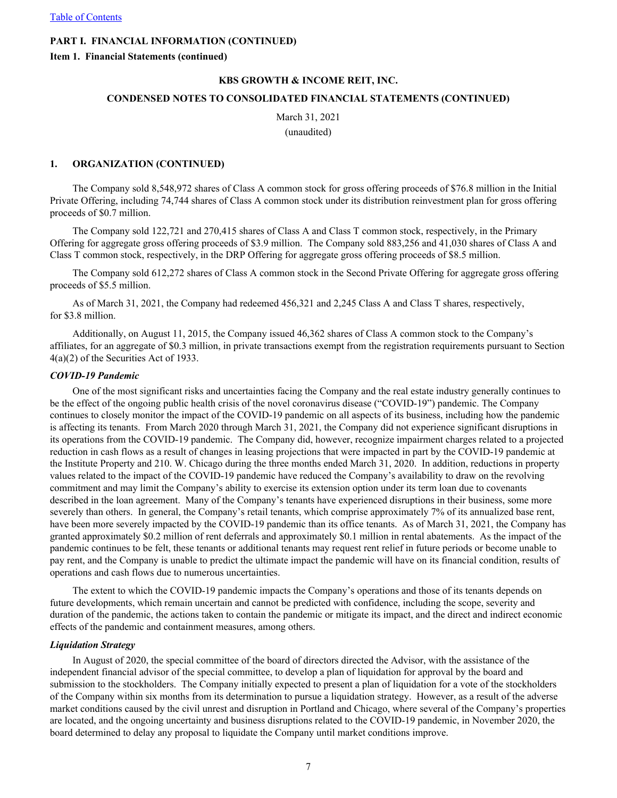**Item 1. Financial Statements (continued)**

#### **KBS GROWTH & INCOME REIT, INC.**

## **CONDENSED NOTES TO CONSOLIDATED FINANCIAL STATEMENTS (CONTINUED)**

March 31, 2021

(unaudited)

#### **1. ORGANIZATION (CONTINUED)**

The Company sold 8,548,972 shares of Class A common stock for gross offering proceeds of \$76.8 million in the Initial Private Offering, including 74,744 shares of Class A common stock under its distribution reinvestment plan for gross offering proceeds of \$0.7 million.

The Company sold 122,721 and 270,415 shares of Class A and Class T common stock, respectively, in the Primary Offering for aggregate gross offering proceeds of \$3.9 million. The Company sold 883,256 and 41,030 shares of Class A and Class T common stock, respectively, in the DRP Offering for aggregate gross offering proceeds of \$8.5 million.

The Company sold 612,272 shares of Class A common stock in the Second Private Offering for aggregate gross offering proceeds of \$5.5 million.

As of March 31, 2021, the Company had redeemed 456,321 and 2,245 Class A and Class T shares, respectively, for \$3.8 million.

Additionally, on August 11, 2015, the Company issued 46,362 shares of Class A common stock to the Company's affiliates, for an aggregate of \$0.3 million, in private transactions exempt from the registration requirements pursuant to Section 4(a)(2) of the Securities Act of 1933.

#### *COVID-19 Pandemic*

One of the most significant risks and uncertainties facing the Company and the real estate industry generally continues to be the effect of the ongoing public health crisis of the novel coronavirus disease ("COVID-19") pandemic. The Company continues to closely monitor the impact of the COVID-19 pandemic on all aspects of its business, including how the pandemic is affecting its tenants. From March 2020 through March 31, 2021, the Company did not experience significant disruptions in its operations from the COVID-19 pandemic. The Company did, however, recognize impairment charges related to a projected reduction in cash flows as a result of changes in leasing projections that were impacted in part by the COVID-19 pandemic at the Institute Property and 210. W. Chicago during the three months ended March 31, 2020. In addition, reductions in property values related to the impact of the COVID-19 pandemic have reduced the Company's availability to draw on the revolving commitment and may limit the Company's ability to exercise its extension option under its term loan due to covenants described in the loan agreement. Many of the Company's tenants have experienced disruptions in their business, some more severely than others. In general, the Company's retail tenants, which comprise approximately 7% of its annualized base rent, have been more severely impacted by the COVID-19 pandemic than its office tenants. As of March 31, 2021, the Company has granted approximately \$0.2 million of rent deferrals and approximately \$0.1 million in rental abatements. As the impact of the pandemic continues to be felt, these tenants or additional tenants may request rent relief in future periods or become unable to pay rent, and the Company is unable to predict the ultimate impact the pandemic will have on its financial condition, results of operations and cash flows due to numerous uncertainties.

The extent to which the COVID-19 pandemic impacts the Company's operations and those of its tenants depends on future developments, which remain uncertain and cannot be predicted with confidence, including the scope, severity and duration of the pandemic, the actions taken to contain the pandemic or mitigate its impact, and the direct and indirect economic effects of the pandemic and containment measures, among others.

#### *Liquidation Strategy*

In August of 2020, the special committee of the board of directors directed the Advisor, with the assistance of the independent financial advisor of the special committee, to develop a plan of liquidation for approval by the board and submission to the stockholders. The Company initially expected to present a plan of liquidation for a vote of the stockholders of the Company within six months from its determination to pursue a liquidation strategy. However, as a result of the adverse market conditions caused by the civil unrest and disruption in Portland and Chicago, where several of the Company's properties are located, and the ongoing uncertainty and business disruptions related to the COVID-19 pandemic, in November 2020, the board determined to delay any proposal to liquidate the Company until market conditions improve.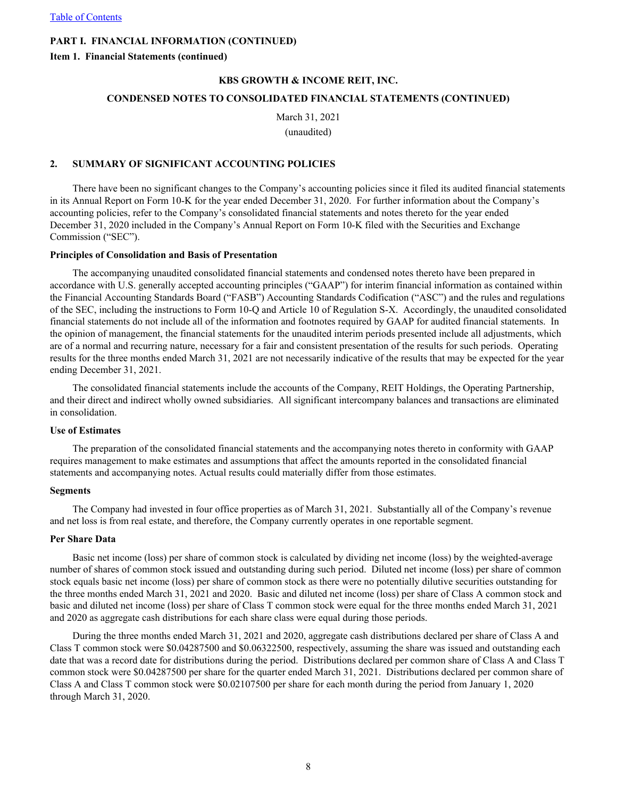**Item 1. Financial Statements (continued)**

#### **KBS GROWTH & INCOME REIT, INC.**

## **CONDENSED NOTES TO CONSOLIDATED FINANCIAL STATEMENTS (CONTINUED)**

March 31, 2021 (unaudited)

#### **2. SUMMARY OF SIGNIFICANT ACCOUNTING POLICIES**

There have been no significant changes to the Company's accounting policies since it filed its audited financial statements in its Annual Report on Form 10-K for the year ended December 31, 2020. For further information about the Company's accounting policies, refer to the Company's consolidated financial statements and notes thereto for the year ended December 31, 2020 included in the Company's Annual Report on Form 10-K filed with the Securities and Exchange Commission ("SEC").

#### **Principles of Consolidation and Basis of Presentation**

The accompanying unaudited consolidated financial statements and condensed notes thereto have been prepared in accordance with U.S. generally accepted accounting principles ("GAAP") for interim financial information as contained within the Financial Accounting Standards Board ("FASB") Accounting Standards Codification ("ASC") and the rules and regulations of the SEC, including the instructions to Form 10-Q and Article 10 of Regulation S-X. Accordingly, the unaudited consolidated financial statements do not include all of the information and footnotes required by GAAP for audited financial statements. In the opinion of management, the financial statements for the unaudited interim periods presented include all adjustments, which are of a normal and recurring nature, necessary for a fair and consistent presentation of the results for such periods. Operating results for the three months ended March 31, 2021 are not necessarily indicative of the results that may be expected for the year ending December 31, 2021.

The consolidated financial statements include the accounts of the Company, REIT Holdings, the Operating Partnership, and their direct and indirect wholly owned subsidiaries. All significant intercompany balances and transactions are eliminated in consolidation.

#### **Use of Estimates**

The preparation of the consolidated financial statements and the accompanying notes thereto in conformity with GAAP requires management to make estimates and assumptions that affect the amounts reported in the consolidated financial statements and accompanying notes. Actual results could materially differ from those estimates.

#### **Segments**

The Company had invested in four office properties as of March 31, 2021. Substantially all of the Company's revenue and net loss is from real estate, and therefore, the Company currently operates in one reportable segment.

#### **Per Share Data**

Basic net income (loss) per share of common stock is calculated by dividing net income (loss) by the weighted-average number of shares of common stock issued and outstanding during such period. Diluted net income (loss) per share of common stock equals basic net income (loss) per share of common stock as there were no potentially dilutive securities outstanding for the three months ended March 31, 2021 and 2020. Basic and diluted net income (loss) per share of Class A common stock and basic and diluted net income (loss) per share of Class T common stock were equal for the three months ended March 31, 2021 and 2020 as aggregate cash distributions for each share class were equal during those periods.

During the three months ended March 31, 2021 and 2020, aggregate cash distributions declared per share of Class A and Class T common stock were \$0.04287500 and \$0.06322500, respectively, assuming the share was issued and outstanding each date that was a record date for distributions during the period. Distributions declared per common share of Class A and Class T common stock were \$0.04287500 per share for the quarter ended March 31, 2021. Distributions declared per common share of Class A and Class T common stock were \$0.02107500 per share for each month during the period from January 1, 2020 through March 31, 2020.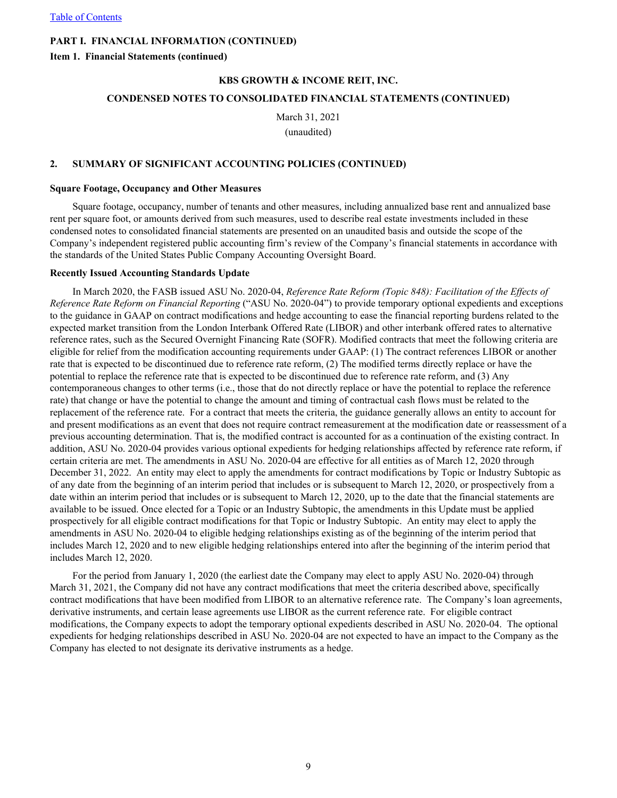**Item 1. Financial Statements (continued)**

#### **KBS GROWTH & INCOME REIT, INC.**

## **CONDENSED NOTES TO CONSOLIDATED FINANCIAL STATEMENTS (CONTINUED)**

March 31, 2021 (unaudited)

#### **2. SUMMARY OF SIGNIFICANT ACCOUNTING POLICIES (CONTINUED)**

#### **Square Footage, Occupancy and Other Measures**

Square footage, occupancy, number of tenants and other measures, including annualized base rent and annualized base rent per square foot, or amounts derived from such measures, used to describe real estate investments included in these condensed notes to consolidated financial statements are presented on an unaudited basis and outside the scope of the Company's independent registered public accounting firm's review of the Company's financial statements in accordance with the standards of the United States Public Company Accounting Oversight Board.

#### **Recently Issued Accounting Standards Update**

In March 2020, the FASB issued ASU No. 2020-04, *Reference Rate Reform (Topic 848): Facilitation of the Effects of Reference Rate Reform on Financial Reporting* ("ASU No. 2020-04") to provide temporary optional expedients and exceptions to the guidance in GAAP on contract modifications and hedge accounting to ease the financial reporting burdens related to the expected market transition from the London Interbank Offered Rate (LIBOR) and other interbank offered rates to alternative reference rates, such as the Secured Overnight Financing Rate (SOFR). Modified contracts that meet the following criteria are eligible for relief from the modification accounting requirements under GAAP: (1) The contract references LIBOR or another rate that is expected to be discontinued due to reference rate reform, (2) The modified terms directly replace or have the potential to replace the reference rate that is expected to be discontinued due to reference rate reform, and (3) Any contemporaneous changes to other terms (i.e., those that do not directly replace or have the potential to replace the reference rate) that change or have the potential to change the amount and timing of contractual cash flows must be related to the replacement of the reference rate. For a contract that meets the criteria, the guidance generally allows an entity to account for and present modifications as an event that does not require contract remeasurement at the modification date or reassessment of a previous accounting determination. That is, the modified contract is accounted for as a continuation of the existing contract. In addition, ASU No. 2020-04 provides various optional expedients for hedging relationships affected by reference rate reform, if certain criteria are met. The amendments in ASU No. 2020-04 are effective for all entities as of March 12, 2020 through December 31, 2022. An entity may elect to apply the amendments for contract modifications by Topic or Industry Subtopic as of any date from the beginning of an interim period that includes or is subsequent to March 12, 2020, or prospectively from a date within an interim period that includes or is subsequent to March 12, 2020, up to the date that the financial statements are available to be issued. Once elected for a Topic or an Industry Subtopic, the amendments in this Update must be applied prospectively for all eligible contract modifications for that Topic or Industry Subtopic. An entity may elect to apply the amendments in ASU No. 2020-04 to eligible hedging relationships existing as of the beginning of the interim period that includes March 12, 2020 and to new eligible hedging relationships entered into after the beginning of the interim period that includes March 12, 2020.

For the period from January 1, 2020 (the earliest date the Company may elect to apply ASU No. 2020-04) through March 31, 2021, the Company did not have any contract modifications that meet the criteria described above, specifically contract modifications that have been modified from LIBOR to an alternative reference rate. The Company's loan agreements, derivative instruments, and certain lease agreements use LIBOR as the current reference rate. For eligible contract modifications, the Company expects to adopt the temporary optional expedients described in ASU No. 2020-04. The optional expedients for hedging relationships described in ASU No. 2020-04 are not expected to have an impact to the Company as the Company has elected to not designate its derivative instruments as a hedge.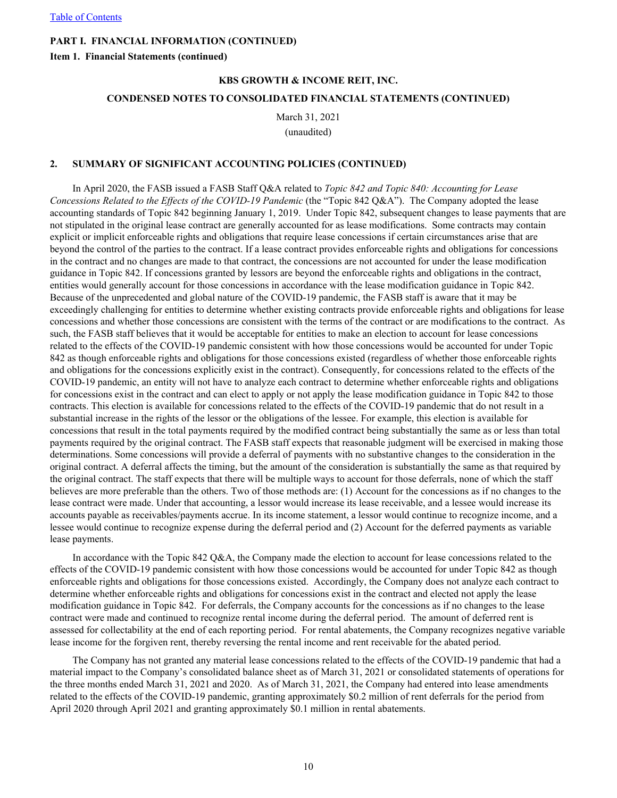**Item 1. Financial Statements (continued)**

#### **KBS GROWTH & INCOME REIT, INC.**

## **CONDENSED NOTES TO CONSOLIDATED FINANCIAL STATEMENTS (CONTINUED)**

March 31, 2021

(unaudited)

#### **2. SUMMARY OF SIGNIFICANT ACCOUNTING POLICIES (CONTINUED)**

In April 2020, the FASB issued a FASB Staff Q&A related to *Topic 842 and Topic 840: Accounting for Lease Concessions Related to the Effects of the COVID-19 Pandemic* (the "Topic 842 Q&A"). The Company adopted the lease accounting standards of Topic 842 beginning January 1, 2019. Under Topic 842, subsequent changes to lease payments that are not stipulated in the original lease contract are generally accounted for as lease modifications. Some contracts may contain explicit or implicit enforceable rights and obligations that require lease concessions if certain circumstances arise that are beyond the control of the parties to the contract. If a lease contract provides enforceable rights and obligations for concessions in the contract and no changes are made to that contract, the concessions are not accounted for under the lease modification guidance in Topic 842. If concessions granted by lessors are beyond the enforceable rights and obligations in the contract, entities would generally account for those concessions in accordance with the lease modification guidance in Topic 842. Because of the unprecedented and global nature of the COVID-19 pandemic, the FASB staff is aware that it may be exceedingly challenging for entities to determine whether existing contracts provide enforceable rights and obligations for lease concessions and whether those concessions are consistent with the terms of the contract or are modifications to the contract. As such, the FASB staff believes that it would be acceptable for entities to make an election to account for lease concessions related to the effects of the COVID-19 pandemic consistent with how those concessions would be accounted for under Topic 842 as though enforceable rights and obligations for those concessions existed (regardless of whether those enforceable rights and obligations for the concessions explicitly exist in the contract). Consequently, for concessions related to the effects of the COVID-19 pandemic, an entity will not have to analyze each contract to determine whether enforceable rights and obligations for concessions exist in the contract and can elect to apply or not apply the lease modification guidance in Topic 842 to those contracts. This election is available for concessions related to the effects of the COVID-19 pandemic that do not result in a substantial increase in the rights of the lessor or the obligations of the lessee. For example, this election is available for concessions that result in the total payments required by the modified contract being substantially the same as or less than total payments required by the original contract. The FASB staff expects that reasonable judgment will be exercised in making those determinations. Some concessions will provide a deferral of payments with no substantive changes to the consideration in the original contract. A deferral affects the timing, but the amount of the consideration is substantially the same as that required by the original contract. The staff expects that there will be multiple ways to account for those deferrals, none of which the staff believes are more preferable than the others. Two of those methods are: (1) Account for the concessions as if no changes to the lease contract were made. Under that accounting, a lessor would increase its lease receivable, and a lessee would increase its accounts payable as receivables/payments accrue. In its income statement, a lessor would continue to recognize income, and a lessee would continue to recognize expense during the deferral period and (2) Account for the deferred payments as variable lease payments.

In accordance with the Topic 842 Q&A, the Company made the election to account for lease concessions related to the effects of the COVID-19 pandemic consistent with how those concessions would be accounted for under Topic 842 as though enforceable rights and obligations for those concessions existed. Accordingly, the Company does not analyze each contract to determine whether enforceable rights and obligations for concessions exist in the contract and elected not apply the lease modification guidance in Topic 842. For deferrals, the Company accounts for the concessions as if no changes to the lease contract were made and continued to recognize rental income during the deferral period. The amount of deferred rent is assessed for collectability at the end of each reporting period. For rental abatements, the Company recognizes negative variable lease income for the forgiven rent, thereby reversing the rental income and rent receivable for the abated period.

The Company has not granted any material lease concessions related to the effects of the COVID-19 pandemic that had a material impact to the Company's consolidated balance sheet as of March 31, 2021 or consolidated statements of operations for the three months ended March 31, 2021 and 2020. As of March 31, 2021, the Company had entered into lease amendments related to the effects of the COVID-19 pandemic, granting approximately \$0.2 million of rent deferrals for the period from April 2020 through April 2021 and granting approximately \$0.1 million in rental abatements.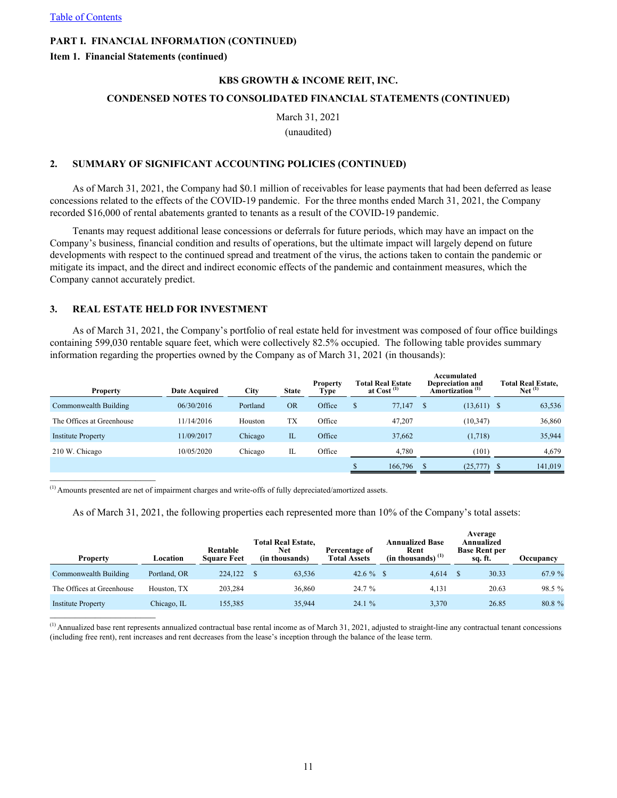**Item 1. Financial Statements (continued)**

#### **KBS GROWTH & INCOME REIT, INC.**

## **CONDENSED NOTES TO CONSOLIDATED FINANCIAL STATEMENTS (CONTINUED)**

March 31, 2021

(unaudited)

#### **2. SUMMARY OF SIGNIFICANT ACCOUNTING POLICIES (CONTINUED)**

As of March 31, 2021, the Company had \$0.1 million of receivables for lease payments that had been deferred as lease concessions related to the effects of the COVID-19 pandemic. For the three months ended March 31, 2021, the Company recorded \$16,000 of rental abatements granted to tenants as a result of the COVID-19 pandemic.

Tenants may request additional lease concessions or deferrals for future periods, which may have an impact on the Company's business, financial condition and results of operations, but the ultimate impact will largely depend on future developments with respect to the continued spread and treatment of the virus, the actions taken to contain the pandemic or mitigate its impact, and the direct and indirect economic effects of the pandemic and containment measures, which the Company cannot accurately predict.

## **3. REAL ESTATE HELD FOR INVESTMENT**

As of March 31, 2021, the Company's portfolio of real estate held for investment was composed of four office buildings containing 599,030 rentable square feet, which were collectively 82.5% occupied. The following table provides summary information regarding the properties owned by the Company as of March 31, 2021 (in thousands):

| <b>Property</b>           | Date Acquired | City     | <b>State</b> | <b>Property</b><br>Type | <b>Total Real Estate</b><br>at Cost $^{(1)}$ |         | Accumulated<br>Depreciation and<br>Amortization <sup>(1)</sup> |               |  | <b>Total Real Estate,</b><br>Net <sup>(1)</sup> |
|---------------------------|---------------|----------|--------------|-------------------------|----------------------------------------------|---------|----------------------------------------------------------------|---------------|--|-------------------------------------------------|
| Commonwealth Building     | 06/30/2016    | Portland | <b>OR</b>    | Office                  | S                                            | 77.147  |                                                                | $(13,611)$ \$ |  | 63,536                                          |
| The Offices at Greenhouse | 11/14/2016    | Houston  | TX           | Office                  |                                              | 47,207  |                                                                | (10, 347)     |  | 36,860                                          |
| <b>Institute Property</b> | 11/09/2017    | Chicago  | IL           | Office                  |                                              | 37,662  |                                                                | (1,718)       |  | 35,944                                          |
| 210 W. Chicago            | 10/05/2020    | Chicago  | IL           | Office                  |                                              | 4.780   |                                                                | (101)         |  | 4,679                                           |
|                           |               |          |              |                         |                                              | 166,796 |                                                                | (25, 777)     |  | 141,019                                         |
|                           |               |          |              |                         |                                              |         |                                                                |               |  |                                                 |

(1) Amounts presented are net of impairment charges and write-offs of fully depreciated/amortized assets.

As of March 31, 2021, the following properties each represented more than 10% of the Company's total assets:

| <b>Property</b>           | Location     | Rentable<br><b>Square Feet</b> | <b>Total Real Estate,</b><br>Net<br>(in thousands) | Percentage of<br><b>Total Assets</b> | <b>Annualized Base</b><br>Rent<br>(in thousands) $^{(1)}$ | Average<br>Annualized<br><b>Base Rent per</b><br>sq. ft. | Occupancy |
|---------------------------|--------------|--------------------------------|----------------------------------------------------|--------------------------------------|-----------------------------------------------------------|----------------------------------------------------------|-----------|
| Commonwealth Building     | Portland, OR | 224,122                        | 63.536                                             | 42.6 $%$ \$                          | 4.614                                                     | 30.33                                                    | 67.9 %    |
| The Offices at Greenhouse | Houston, TX  | 203.284                        | 36.860                                             | 24.7 %                               | 4.131                                                     | 20.63                                                    | 98.5 %    |
| <b>Institute Property</b> | Chicago, IL  | 155,385                        | 35.944                                             | 24.1%                                | 3.370                                                     | 26.85                                                    | 80.8%     |

(1) Annualized base rent represents annualized contractual base rental income as of March 31, 2021, adjusted to straight-line any contractual tenant concessions (including free rent), rent increases and rent decreases from the lease's inception through the balance of the lease term.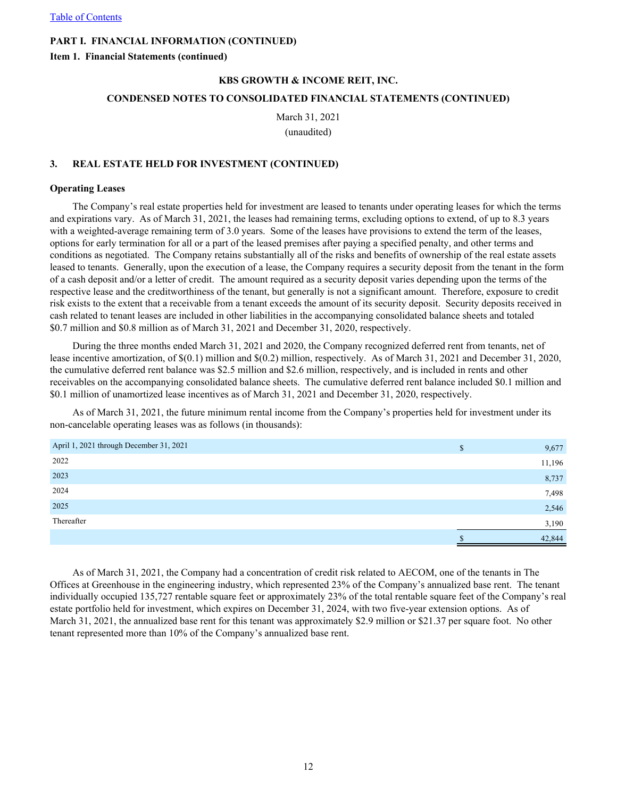**Item 1. Financial Statements (continued)**

#### **KBS GROWTH & INCOME REIT, INC.**

## **CONDENSED NOTES TO CONSOLIDATED FINANCIAL STATEMENTS (CONTINUED)**

March 31, 2021 (unaudited)

#### **3. REAL ESTATE HELD FOR INVESTMENT (CONTINUED)**

#### **Operating Leases**

The Company's real estate properties held for investment are leased to tenants under operating leases for which the terms and expirations vary. As of March 31, 2021, the leases had remaining terms, excluding options to extend, of up to 8.3 years with a weighted-average remaining term of 3.0 years. Some of the leases have provisions to extend the term of the leases, options for early termination for all or a part of the leased premises after paying a specified penalty, and other terms and conditions as negotiated. The Company retains substantially all of the risks and benefits of ownership of the real estate assets leased to tenants. Generally, upon the execution of a lease, the Company requires a security deposit from the tenant in the form of a cash deposit and/or a letter of credit. The amount required as a security deposit varies depending upon the terms of the respective lease and the creditworthiness of the tenant, but generally is not a significant amount. Therefore, exposure to credit risk exists to the extent that a receivable from a tenant exceeds the amount of its security deposit. Security deposits received in cash related to tenant leases are included in other liabilities in the accompanying consolidated balance sheets and totaled \$0.7 million and \$0.8 million as of March 31, 2021 and December 31, 2020, respectively.

During the three months ended March 31, 2021 and 2020, the Company recognized deferred rent from tenants, net of lease incentive amortization, of \$(0.1) million and \$(0.2) million, respectively. As of March 31, 2021 and December 31, 2020, the cumulative deferred rent balance was \$2.5 million and \$2.6 million, respectively, and is included in rents and other receivables on the accompanying consolidated balance sheets. The cumulative deferred rent balance included \$0.1 million and \$0.1 million of unamortized lease incentives as of March 31, 2021 and December 31, 2020, respectively.

As of March 31, 2021, the future minimum rental income from the Company's properties held for investment under its non-cancelable operating leases was as follows (in thousands):

| April 1, 2021 through December 31, 2021 | \$<br>9,677 |
|-----------------------------------------|-------------|
| 2022                                    | 11,196      |
| 2023                                    | 8,737       |
| 2024                                    | 7,498       |
| 2025                                    | 2,546       |
| Thereafter                              | 3,190       |
|                                         | 42,844      |

As of March 31, 2021, the Company had a concentration of credit risk related to AECOM, one of the tenants in The Offices at Greenhouse in the engineering industry, which represented 23% of the Company's annualized base rent. The tenant individually occupied 135,727 rentable square feet or approximately 23% of the total rentable square feet of the Company's real estate portfolio held for investment, which expires on December 31, 2024, with two five-year extension options. As of March 31, 2021, the annualized base rent for this tenant was approximately \$2.9 million or \$21.37 per square foot. No other tenant represented more than 10% of the Company's annualized base rent.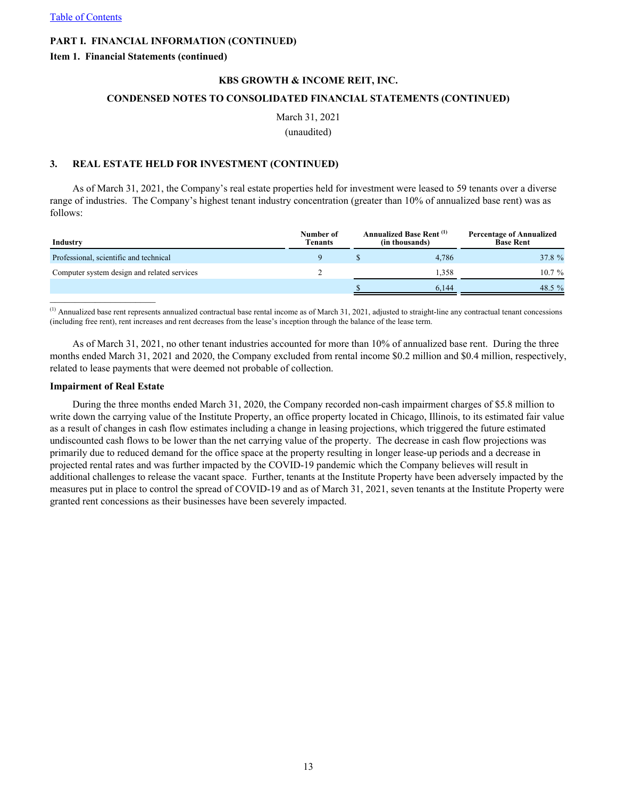#### **Item 1. Financial Statements (continued)**

#### **KBS GROWTH & INCOME REIT, INC.**

## **CONDENSED NOTES TO CONSOLIDATED FINANCIAL STATEMENTS (CONTINUED)**

March 31, 2021

(unaudited)

#### **3. REAL ESTATE HELD FOR INVESTMENT (CONTINUED)**

As of March 31, 2021, the Company's real estate properties held for investment were leased to 59 tenants over a diverse range of industries. The Company's highest tenant industry concentration (greater than 10% of annualized base rent) was as follows:

| Industry                                    | Number of<br><b>Tenants</b> | <b>Annualized Base Rent (1)</b><br>(in thousands) | <b>Percentage of Annualized</b><br><b>Base Rent</b> |  |  |
|---------------------------------------------|-----------------------------|---------------------------------------------------|-----------------------------------------------------|--|--|
| Professional, scientific and technical      |                             | 4.786                                             | 37.8 %                                              |  |  |
| Computer system design and related services |                             | .358                                              | 10.7%                                               |  |  |
|                                             |                             | 6.144                                             | 48.5 %                                              |  |  |
|                                             |                             |                                                   |                                                     |  |  |

(1) Annualized base rent represents annualized contractual base rental income as of March 31, 2021, adjusted to straight-line any contractual tenant concessions (including free rent), rent increases and rent decreases from the lease's inception through the balance of the lease term.

As of March 31, 2021, no other tenant industries accounted for more than 10% of annualized base rent. During the three months ended March 31, 2021 and 2020, the Company excluded from rental income \$0.2 million and \$0.4 million, respectively, related to lease payments that were deemed not probable of collection.

#### **Impairment of Real Estate**

During the three months ended March 31, 2020, the Company recorded non-cash impairment charges of \$5.8 million to write down the carrying value of the Institute Property, an office property located in Chicago, Illinois, to its estimated fair value as a result of changes in cash flow estimates including a change in leasing projections, which triggered the future estimated undiscounted cash flows to be lower than the net carrying value of the property. The decrease in cash flow projections was primarily due to reduced demand for the office space at the property resulting in longer lease-up periods and a decrease in projected rental rates and was further impacted by the COVID-19 pandemic which the Company believes will result in additional challenges to release the vacant space. Further, tenants at the Institute Property have been adversely impacted by the measures put in place to control the spread of COVID-19 and as of March 31, 2021, seven tenants at the Institute Property were granted rent concessions as their businesses have been severely impacted.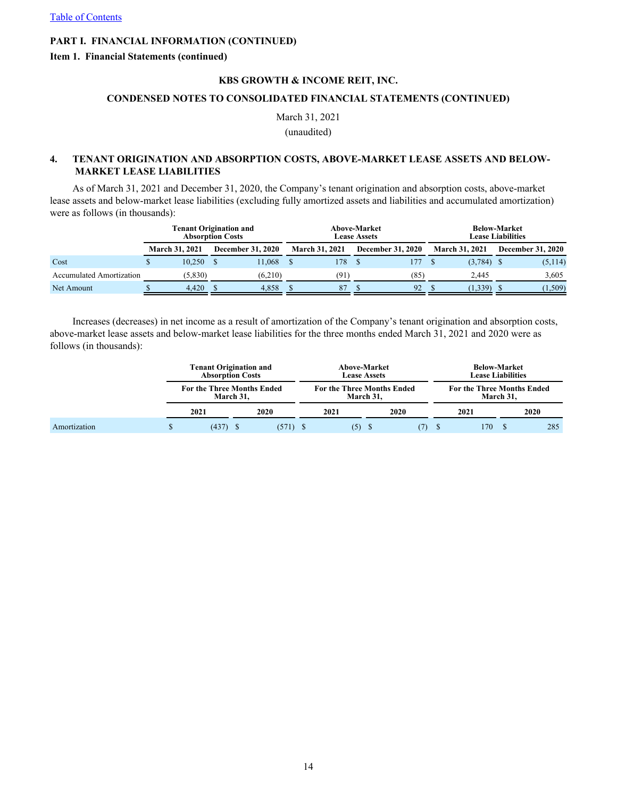#### **Item 1. Financial Statements (continued)**

#### **KBS GROWTH & INCOME REIT, INC.**

## **CONDENSED NOTES TO CONSOLIDATED FINANCIAL STATEMENTS (CONTINUED)**

# March 31, 2021

## (unaudited)

## **4. TENANT ORIGINATION AND ABSORPTION COSTS, ABOVE-MARKET LEASE ASSETS AND BELOW- MARKET LEASE LIABILITIES**

As of March 31, 2021 and December 31, 2020, the Company's tenant origination and absorption costs, above-market lease assets and below-market lease liabilities (excluding fully amortized assets and liabilities and accumulated amortization) were as follows (in thousands):

|                                 | <b>Tenant Origination and</b><br><b>Absorption Costs</b> |                       |  |                          |  | <b>Above-Market</b><br><b>Lease Assets</b> |                          | <b>Below-Market</b><br><b>Lease Liabilities</b> |                       |  |                          |  |  |
|---------------------------------|----------------------------------------------------------|-----------------------|--|--------------------------|--|--------------------------------------------|--------------------------|-------------------------------------------------|-----------------------|--|--------------------------|--|--|
|                                 |                                                          | <b>March 31, 2021</b> |  | <b>December 31, 2020</b> |  | <b>March 31, 2021</b>                      | <b>December 31, 2020</b> |                                                 | <b>March 31, 2021</b> |  | <b>December 31, 2020</b> |  |  |
| Cost                            |                                                          | 10.250                |  | 11,068                   |  | 178.                                       |                          |                                                 | (3,784)               |  | (5,114)                  |  |  |
| <b>Accumulated Amortization</b> |                                                          | (5,830)               |  | (6,210)                  |  | (91)                                       | (85)                     |                                                 | 2.445                 |  | 3,605                    |  |  |
| Net Amount                      |                                                          | 4.420                 |  | 4,858                    |  | 87                                         | 92                       |                                                 | 1,339                 |  | (1,509)                  |  |  |

Increases (decreases) in net income as a result of amortization of the Company's tenant origination and absorption costs, above-market lease assets and below-market lease liabilities for the three months ended March 31, 2021 and 2020 were as follows (in thousands):

|              | <b>Tenant Origination and</b><br><b>Absorption Costs</b> |  |       | <b>Above-Market</b>                            |          | <b>Lease Assets</b> |      | <b>Below-Market</b><br><b>Lease Liabilities</b> |      |  |                                                |  |  |  |
|--------------|----------------------------------------------------------|--|-------|------------------------------------------------|----------|---------------------|------|-------------------------------------------------|------|--|------------------------------------------------|--|--|--|
|              | <b>For the Three Months Ended</b><br>March 31.           |  |       | <b>For the Three Months Ended</b><br>March 31. |          |                     |      |                                                 |      |  | <b>For the Three Months Ended</b><br>March 31. |  |  |  |
|              | 2021                                                     |  | 2020  | 2021                                           |          |                     | 2020 |                                                 | 2021 |  | 2020                                           |  |  |  |
| Amortization | (437)                                                    |  | (571) |                                                | $(5)$ \$ |                     |      |                                                 | 170. |  | 285                                            |  |  |  |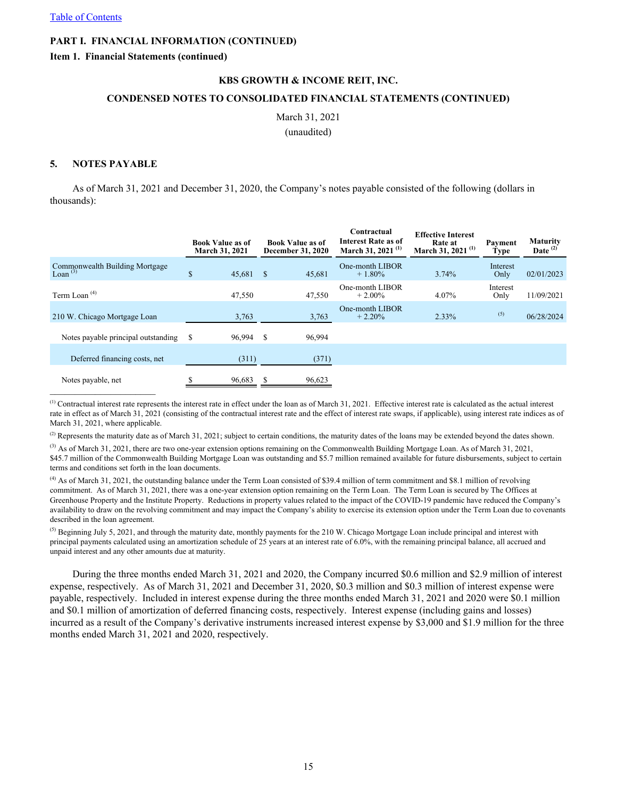#### **Item 1. Financial Statements (continued)**

#### **KBS GROWTH & INCOME REIT, INC.**

#### **CONDENSED NOTES TO CONSOLIDATED FINANCIAL STATEMENTS (CONTINUED)**

March 31, 2021

(unaudited)

#### **5. NOTES PAYABLE**

As of March 31, 2021 and December 31, 2020, the Company's notes payable consisted of the following (dollars in thousands):

|                                              |              | <b>Book Value as of</b><br>March 31, 2021 |    | <b>Book Value as of</b><br>December 31, 2020 | Contractual<br><b>Interest Rate as of</b><br>March 31, 2021 <sup>(1)</sup> | <b>Effective Interest</b><br>Rate at<br>March 31, 2021 <sup>(1)</sup> | Payment<br>Type  | <b>Maturity</b><br>Date $(2)$ |
|----------------------------------------------|--------------|-------------------------------------------|----|----------------------------------------------|----------------------------------------------------------------------------|-----------------------------------------------------------------------|------------------|-------------------------------|
| Commonwealth Building Mortgage<br>Loan $(3)$ | $\mathbb{S}$ | 45,681                                    | S  | 45,681                                       | One-month LIBOR<br>$+1.80%$                                                | 3.74%                                                                 | Interest<br>Only | 02/01/2023                    |
| Term Loan $(4)$                              |              | 47,550                                    |    | 47,550                                       | One-month LIBOR<br>$+2.00\%$                                               | 4.07%                                                                 | Interest<br>Only | 11/09/2021                    |
| 210 W. Chicago Mortgage Loan                 |              | 3,763                                     |    | 3,763                                        | One-month LIBOR<br>$+2.20%$                                                | 2.33%                                                                 | (5)              | 06/28/2024                    |
| Notes payable principal outstanding          | \$           | 96,994                                    | S  | 96,994                                       |                                                                            |                                                                       |                  |                               |
| Deferred financing costs, net                |              | (311)                                     |    | (371)                                        |                                                                            |                                                                       |                  |                               |
| Notes payable, net                           |              | 96,683                                    | -S | 96,623                                       |                                                                            |                                                                       |                  |                               |

(1) Contractual interest rate represents the interest rate in effect under the loan as of March 31, 2021. Effective interest rate is calculated as the actual interest rate in effect as of March 31, 2021 (consisting of the contractual interest rate and the effect of interest rate swaps, if applicable), using interest rate indices as of March 31, 2021, where applicable.

<sup>(2)</sup> Represents the maturity date as of March 31, 2021; subject to certain conditions, the maturity dates of the loans may be extended beyond the dates shown.

 $^{(3)}$  As of March 31, 2021, there are two one-year extension options remaining on the Commonwealth Building Mortgage Loan. As of March 31, 2021, \$45.7 million of the Commonwealth Building Mortgage Loan was outstanding and \$5.7 million remained available for future disbursements, subject to certain terms and conditions set forth in the loan documents.

<sup>(4)</sup> As of March 31, 2021, the outstanding balance under the Term Loan consisted of \$39.4 million of term commitment and \$8.1 million of revolving commitment. As of March 31, 2021, there was a one-year extension option remaining on the Term Loan. The Term Loan is secured by The Offices at Greenhouse Property and the Institute Property. Reductions in property values related to the impact of the COVID-19 pandemic have reduced the Company's availability to draw on the revolving commitment and may impact the Company's ability to exercise its extension option under the Term Loan due to covenants described in the loan agreement.

 $<sup>(5)</sup>$  Beginning July 5, 2021, and through the maturity date, monthly payments for the 210 W. Chicago Mortgage Loan include principal and interest with</sup> principal payments calculated using an amortization schedule of 25 years at an interest rate of 6.0%, with the remaining principal balance, all accrued and unpaid interest and any other amounts due at maturity.

During the three months ended March 31, 2021 and 2020, the Company incurred \$0.6 million and \$2.9 million of interest expense, respectively. As of March 31, 2021 and December 31, 2020, \$0.3 million and \$0.3 million of interest expense were payable, respectively. Included in interest expense during the three months ended March 31, 2021 and 2020 were \$0.1 million and \$0.1 million of amortization of deferred financing costs, respectively. Interest expense (including gains and losses) incurred as a result of the Company's derivative instruments increased interest expense by \$3,000 and \$1.9 million for the three months ended March 31, 2021 and 2020, respectively.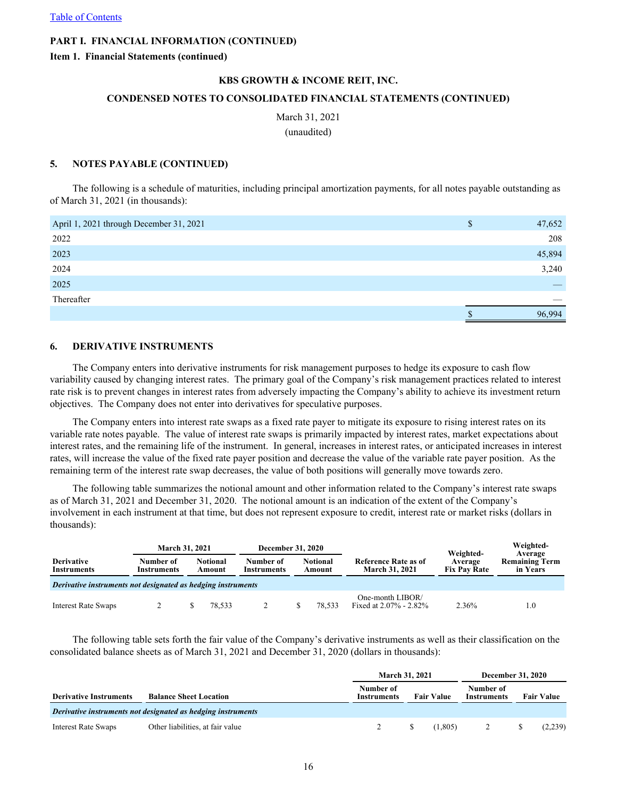#### **Item 1. Financial Statements (continued)**

#### **KBS GROWTH & INCOME REIT, INC.**

## **CONDENSED NOTES TO CONSOLIDATED FINANCIAL STATEMENTS (CONTINUED)**

# March 31, 2021

(unaudited)

#### **5. NOTES PAYABLE (CONTINUED)**

The following is a schedule of maturities, including principal amortization payments, for all notes payable outstanding as of March 31, 2021 (in thousands):

| April 1, 2021 through December 31, 2021 | ъ | 47,652 |
|-----------------------------------------|---|--------|
| 2022                                    |   | 208    |
| 2023                                    |   | 45,894 |
| 2024                                    |   | 3,240  |
| 2025                                    |   |        |
| Thereafter                              |   |        |
|                                         |   | 96,994 |

## **6. DERIVATIVE INSTRUMENTS**

The Company enters into derivative instruments for risk management purposes to hedge its exposure to cash flow variability caused by changing interest rates. The primary goal of the Company's risk management practices related to interest rate risk is to prevent changes in interest rates from adversely impacting the Company's ability to achieve its investment return objectives. The Company does not enter into derivatives for speculative purposes.

The Company enters into interest rate swaps as a fixed rate payer to mitigate its exposure to rising interest rates on its variable rate notes payable. The value of interest rate swaps is primarily impacted by interest rates, market expectations about interest rates, and the remaining life of the instrument. In general, increases in interest rates, or anticipated increases in interest rates, will increase the value of the fixed rate payer position and decrease the value of the variable rate payer position. As the remaining term of the interest rate swap decreases, the value of both positions will generally move towards zero.

The following table summarizes the notional amount and other information related to the Company's interest rate swaps as of March 31, 2021 and December 31, 2020. The notional amount is an indication of the extent of the Company's involvement in each instrument at that time, but does not represent exposure to credit, interest rate or market risks (dollars in thousands):

|                                                              | <b>March 31, 2021</b>    |  |                    | <b>December 31, 2020</b> |                           |        |                                                  | Weighted-                      | Weighted-<br>Average              |  |
|--------------------------------------------------------------|--------------------------|--|--------------------|--------------------------|---------------------------|--------|--------------------------------------------------|--------------------------------|-----------------------------------|--|
| <b>Derivative</b><br>Instruments                             | Number of<br>Instruments |  | Notional<br>Amount | Number of<br>Instruments | <b>Notional</b><br>Amount |        | Reference Rate as of<br><b>March 31, 2021</b>    | Average<br><b>Fix Pay Rate</b> | <b>Remaining Term</b><br>in Years |  |
| Derivative instruments not designated as hedging instruments |                          |  |                    |                          |                           |        |                                                  |                                |                                   |  |
| Interest Rate Swaps                                          |                          |  | 78.533             |                          |                           | 78.533 | One-month LIBOR/<br>Fixed at $2.07\%$ - $2.82\%$ | 2.36%                          | 1.0                               |  |

The following table sets forth the fair value of the Company's derivative instruments as well as their classification on the consolidated balance sheets as of March 31, 2021 and December 31, 2020 (dollars in thousands):

|                               |                                                              | <b>March 31, 2021</b>           |                   | <b>December 31, 2020</b> |  |                   |
|-------------------------------|--------------------------------------------------------------|---------------------------------|-------------------|--------------------------|--|-------------------|
| <b>Derivative Instruments</b> | <b>Balance Sheet Location</b>                                | Number of<br><b>Instruments</b> | <b>Fair Value</b> | Number of<br>Instruments |  | <b>Fair Value</b> |
|                               | Derivative instruments not designated as hedging instruments |                                 |                   |                          |  |                   |
| Interest Rate Swaps           | Other liabilities, at fair value                             |                                 | (1.805)           |                          |  | (2,239)           |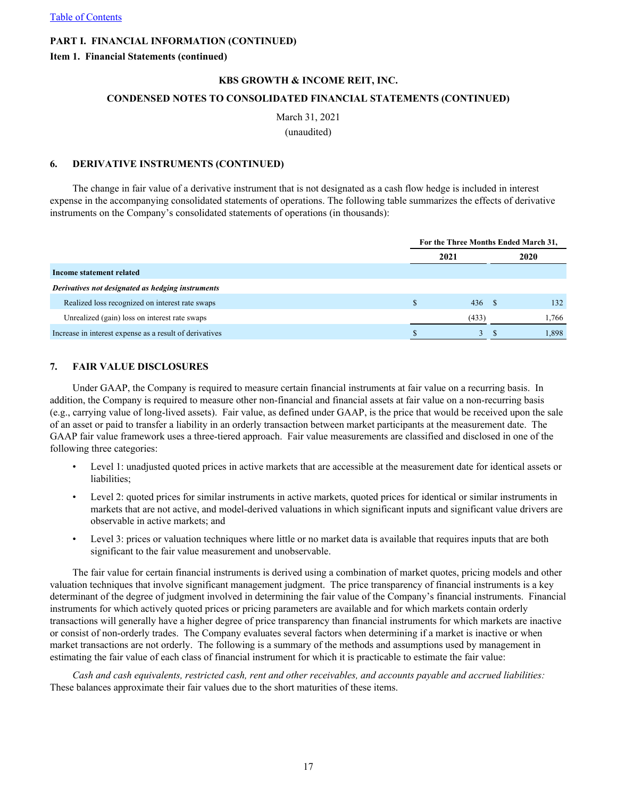#### **Item 1. Financial Statements (continued)**

#### **KBS GROWTH & INCOME REIT, INC.**

## **CONDENSED NOTES TO CONSOLIDATED FINANCIAL STATEMENTS (CONTINUED)**

# March 31, 2021

(unaudited)

#### **6. DERIVATIVE INSTRUMENTS (CONTINUED)**

The change in fair value of a derivative instrument that is not designated as a cash flow hedge is included in interest expense in the accompanying consolidated statements of operations. The following table summarizes the effects of derivative instruments on the Company's consolidated statements of operations (in thousands):

|                                                         | For the Three Months Ended March 31, |       |  |       |  |
|---------------------------------------------------------|--------------------------------------|-------|--|-------|--|
|                                                         |                                      | 2021  |  | 2020  |  |
| Income statement related                                |                                      |       |  |       |  |
| Derivatives not designated as hedging instruments       |                                      |       |  |       |  |
| Realized loss recognized on interest rate swaps         |                                      | 436   |  | 132   |  |
| Unrealized (gain) loss on interest rate swaps           |                                      | (433) |  | l.766 |  |
| Increase in interest expense as a result of derivatives |                                      |       |  | 1,898 |  |
|                                                         |                                      |       |  |       |  |

## **7. FAIR VALUE DISCLOSURES**

Under GAAP, the Company is required to measure certain financial instruments at fair value on a recurring basis. In addition, the Company is required to measure other non-financial and financial assets at fair value on a non-recurring basis (e.g., carrying value of long-lived assets). Fair value, as defined under GAAP, is the price that would be received upon the sale of an asset or paid to transfer a liability in an orderly transaction between market participants at the measurement date. The GAAP fair value framework uses a three-tiered approach. Fair value measurements are classified and disclosed in one of the following three categories:

- Level 1: unadjusted quoted prices in active markets that are accessible at the measurement date for identical assets or liabilities;
- Level 2: quoted prices for similar instruments in active markets, quoted prices for identical or similar instruments in markets that are not active, and model-derived valuations in which significant inputs and significant value drivers are observable in active markets; and
- Level 3: prices or valuation techniques where little or no market data is available that requires inputs that are both significant to the fair value measurement and unobservable.

The fair value for certain financial instruments is derived using a combination of market quotes, pricing models and other valuation techniques that involve significant management judgment. The price transparency of financial instruments is a key determinant of the degree of judgment involved in determining the fair value of the Company's financial instruments. Financial instruments for which actively quoted prices or pricing parameters are available and for which markets contain orderly transactions will generally have a higher degree of price transparency than financial instruments for which markets are inactive or consist of non-orderly trades. The Company evaluates several factors when determining if a market is inactive or when market transactions are not orderly. The following is a summary of the methods and assumptions used by management in estimating the fair value of each class of financial instrument for which it is practicable to estimate the fair value:

*Cash and cash equivalents, restricted cash, rent and other receivables, and accounts payable and accrued liabilities:* These balances approximate their fair values due to the short maturities of these items.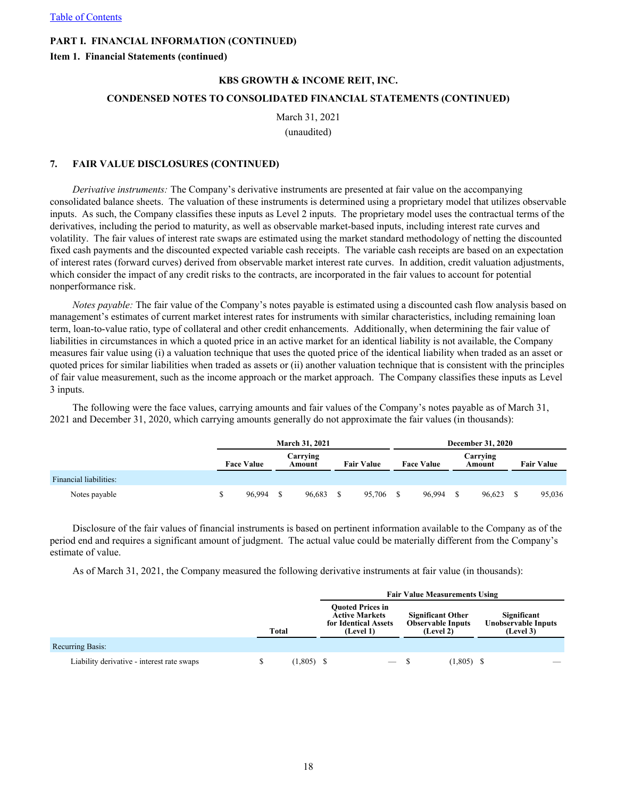**Item 1. Financial Statements (continued)**

#### **KBS GROWTH & INCOME REIT, INC.**

## **CONDENSED NOTES TO CONSOLIDATED FINANCIAL STATEMENTS (CONTINUED)**

March 31, 2021

(unaudited)

## **7. FAIR VALUE DISCLOSURES (CONTINUED)**

*Derivative instruments:* The Company's derivative instruments are presented at fair value on the accompanying consolidated balance sheets. The valuation of these instruments is determined using a proprietary model that utilizes observable inputs. As such, the Company classifies these inputs as Level 2 inputs. The proprietary model uses the contractual terms of the derivatives, including the period to maturity, as well as observable market-based inputs, including interest rate curves and volatility. The fair values of interest rate swaps are estimated using the market standard methodology of netting the discounted fixed cash payments and the discounted expected variable cash receipts. The variable cash receipts are based on an expectation of interest rates (forward curves) derived from observable market interest rate curves. In addition, credit valuation adjustments, which consider the impact of any credit risks to the contracts, are incorporated in the fair values to account for potential nonperformance risk.

*Notes payable:* The fair value of the Company's notes payable is estimated using a discounted cash flow analysis based on management's estimates of current market interest rates for instruments with similar characteristics, including remaining loan term, loan-to-value ratio, type of collateral and other credit enhancements. Additionally, when determining the fair value of liabilities in circumstances in which a quoted price in an active market for an identical liability is not available, the Company measures fair value using (i) a valuation technique that uses the quoted price of the identical liability when traded as an asset or quoted prices for similar liabilities when traded as assets or (ii) another valuation technique that is consistent with the principles of fair value measurement, such as the income approach or the market approach. The Company classifies these inputs as Level 3 inputs.

The following were the face values, carrying amounts and fair values of the Company's notes payable as of March 31, 2021 and December 31, 2020, which carrying amounts generally do not approximate the fair values (in thousands):

|                        |  |                   | <b>March 31, 2021</b> |                   |        | <b>December 31, 2020</b> |                   |  |                    |                   |        |  |  |  |
|------------------------|--|-------------------|-----------------------|-------------------|--------|--------------------------|-------------------|--|--------------------|-------------------|--------|--|--|--|
|                        |  | <b>Face Value</b> | Carrying<br>Amount    | <b>Fair Value</b> |        |                          | <b>Face Value</b> |  | Carrying<br>Amount | <b>Fair Value</b> |        |  |  |  |
| Financial liabilities: |  |                   |                       |                   |        |                          |                   |  |                    |                   |        |  |  |  |
| Notes payable          |  | 96.994            | 96.683                |                   | 95.706 | -S                       | 96.994            |  | 96.623             |                   | 95,036 |  |  |  |

Disclosure of the fair values of financial instruments is based on pertinent information available to the Company as of the period end and requires a significant amount of judgment. The actual value could be materially different from the Company's estimate of value.

As of March 31, 2021, the Company measured the following derivative instruments at fair value (in thousands):

|                                            |              |                                                                                       |  | <b>Fair Value Measurements Using</b>                              |                                                        |    |
|--------------------------------------------|--------------|---------------------------------------------------------------------------------------|--|-------------------------------------------------------------------|--------------------------------------------------------|----|
|                                            | <b>Total</b> | <b>Ouoted Prices in</b><br><b>Active Markets</b><br>for Identical Assets<br>(Level 1) |  | <b>Significant Other</b><br><b>Observable Inputs</b><br>(Level 2) | Significant<br><b>Unobservable Inputs</b><br>(Level 3) |    |
| Recurring Basis:                           |              |                                                                                       |  |                                                                   |                                                        |    |
| Liability derivative - interest rate swaps | (1, 805)     |                                                                                       |  | (1,805)                                                           |                                                        | __ |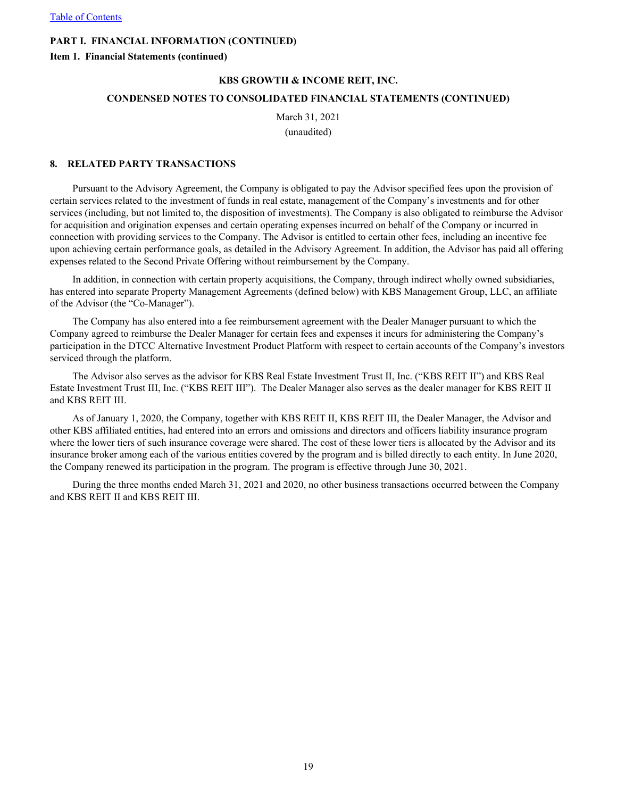**Item 1. Financial Statements (continued)**

#### **KBS GROWTH & INCOME REIT, INC.**

## **CONDENSED NOTES TO CONSOLIDATED FINANCIAL STATEMENTS (CONTINUED)**

March 31, 2021

(unaudited)

#### **8. RELATED PARTY TRANSACTIONS**

Pursuant to the Advisory Agreement, the Company is obligated to pay the Advisor specified fees upon the provision of certain services related to the investment of funds in real estate, management of the Company's investments and for other services (including, but not limited to, the disposition of investments). The Company is also obligated to reimburse the Advisor for acquisition and origination expenses and certain operating expenses incurred on behalf of the Company or incurred in connection with providing services to the Company. The Advisor is entitled to certain other fees, including an incentive fee upon achieving certain performance goals, as detailed in the Advisory Agreement. In addition, the Advisor has paid all offering expenses related to the Second Private Offering without reimbursement by the Company.

In addition, in connection with certain property acquisitions, the Company, through indirect wholly owned subsidiaries, has entered into separate Property Management Agreements (defined below) with KBS Management Group, LLC, an affiliate of the Advisor (the "Co-Manager").

The Company has also entered into a fee reimbursement agreement with the Dealer Manager pursuant to which the Company agreed to reimburse the Dealer Manager for certain fees and expenses it incurs for administering the Company's participation in the DTCC Alternative Investment Product Platform with respect to certain accounts of the Company's investors serviced through the platform.

The Advisor also serves as the advisor for KBS Real Estate Investment Trust II, Inc. ("KBS REIT II") and KBS Real Estate Investment Trust III, Inc. ("KBS REIT III"). The Dealer Manager also serves as the dealer manager for KBS REIT II and KBS REIT III.

As of January 1, 2020, the Company, together with KBS REIT II, KBS REIT III, the Dealer Manager, the Advisor and other KBS affiliated entities, had entered into an errors and omissions and directors and officers liability insurance program where the lower tiers of such insurance coverage were shared. The cost of these lower tiers is allocated by the Advisor and its insurance broker among each of the various entities covered by the program and is billed directly to each entity. In June 2020, the Company renewed its participation in the program. The program is effective through June 30, 2021.

During the three months ended March 31, 2021 and 2020, no other business transactions occurred between the Company and KBS REIT II and KBS REIT III.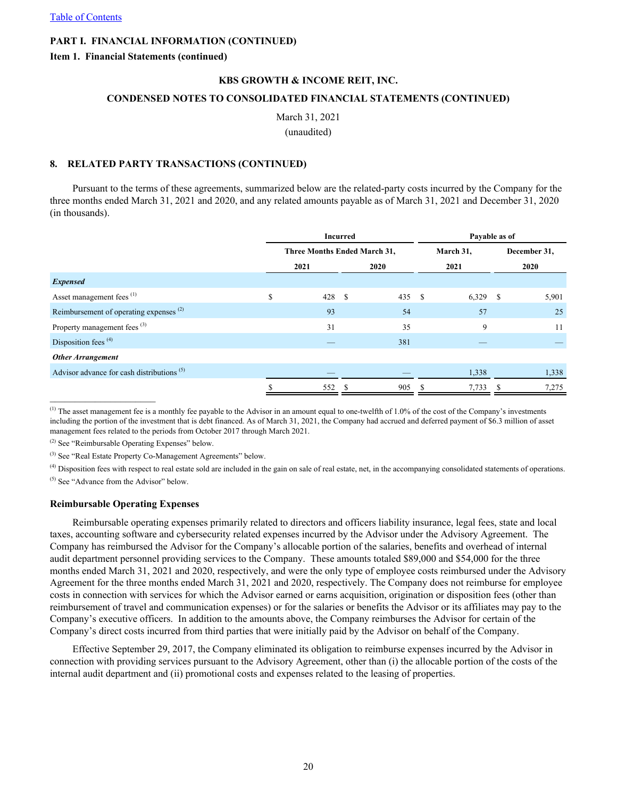#### **Item 1. Financial Statements (continued)**

#### **KBS GROWTH & INCOME REIT, INC.**

## **CONDENSED NOTES TO CONSOLIDATED FINANCIAL STATEMENTS (CONTINUED)**

March 31, 2021

(unaudited)

#### **8. RELATED PARTY TRANSACTIONS (CONTINUED)**

Pursuant to the terms of these agreements, summarized below are the related-party costs incurred by the Company for the three months ended March 31, 2021 and 2020, and any related amounts payable as of March 31, 2021 and December 31, 2020 (in thousands).

|                                                       |                              | <b>Incurred</b> |      |        |      |           | Payable as of |              |  |
|-------------------------------------------------------|------------------------------|-----------------|------|--------|------|-----------|---------------|--------------|--|
|                                                       | Three Months Ended March 31, |                 |      |        |      | March 31, |               | December 31, |  |
|                                                       |                              | 2021            | 2020 |        | 2021 | 2020      |               |              |  |
| <b>Expensed</b>                                       |                              |                 |      |        |      |           |               |              |  |
| Asset management fees <sup>(1)</sup>                  | \$                           | 428 \$          |      | 435 \$ |      | 6,329     | S             | 5,901        |  |
| Reimbursement of operating expenses <sup>(2)</sup>    |                              | 93              |      | 54     |      | 57        |               | 25           |  |
| Property management fees <sup>(3)</sup>               |                              | 31              |      | 35     |      | 9         |               | 11           |  |
| Disposition fees <sup>(4)</sup>                       |                              |                 |      | 381    |      |           |               |              |  |
| <b>Other Arrangement</b>                              |                              |                 |      |        |      |           |               |              |  |
| Advisor advance for cash distributions <sup>(5)</sup> |                              |                 |      |        |      | 1,338     |               | 1,338        |  |
|                                                       |                              | 552             |      | 905    |      | 7,733     |               | 7,275        |  |
|                                                       |                              |                 |      |        |      |           |               |              |  |

(1) The asset management fee is a monthly fee payable to the Advisor in an amount equal to one-twelfth of 1.0% of the cost of the Company's investments including the portion of the investment that is debt financed. As of March 31, 2021, the Company had accrued and deferred payment of \$6.3 million of asset management fees related to the periods from October 2017 through March 2021.

(2) See "Reimbursable Operating Expenses" below.

(3) See "Real Estate Property Co-Management Agreements" below.

<sup>(4)</sup> Disposition fees with respect to real estate sold are included in the gain on sale of real estate, net, in the accompanying consolidated statements of operations.

(5) See "Advance from the Advisor" below.

#### **Reimbursable Operating Expenses**

Reimbursable operating expenses primarily related to directors and officers liability insurance, legal fees, state and local taxes, accounting software and cybersecurity related expenses incurred by the Advisor under the Advisory Agreement. The Company has reimbursed the Advisor for the Company's allocable portion of the salaries, benefits and overhead of internal audit department personnel providing services to the Company. These amounts totaled \$89,000 and \$54,000 for the three months ended March 31, 2021 and 2020, respectively, and were the only type of employee costs reimbursed under the Advisory Agreement for the three months ended March 31, 2021 and 2020, respectively. The Company does not reimburse for employee costs in connection with services for which the Advisor earned or earns acquisition, origination or disposition fees (other than reimbursement of travel and communication expenses) or for the salaries or benefits the Advisor or its affiliates may pay to the Company's executive officers. In addition to the amounts above, the Company reimburses the Advisor for certain of the Company's direct costs incurred from third parties that were initially paid by the Advisor on behalf of the Company.

Effective September 29, 2017, the Company eliminated its obligation to reimburse expenses incurred by the Advisor in connection with providing services pursuant to the Advisory Agreement, other than (i) the allocable portion of the costs of the internal audit department and (ii) promotional costs and expenses related to the leasing of properties.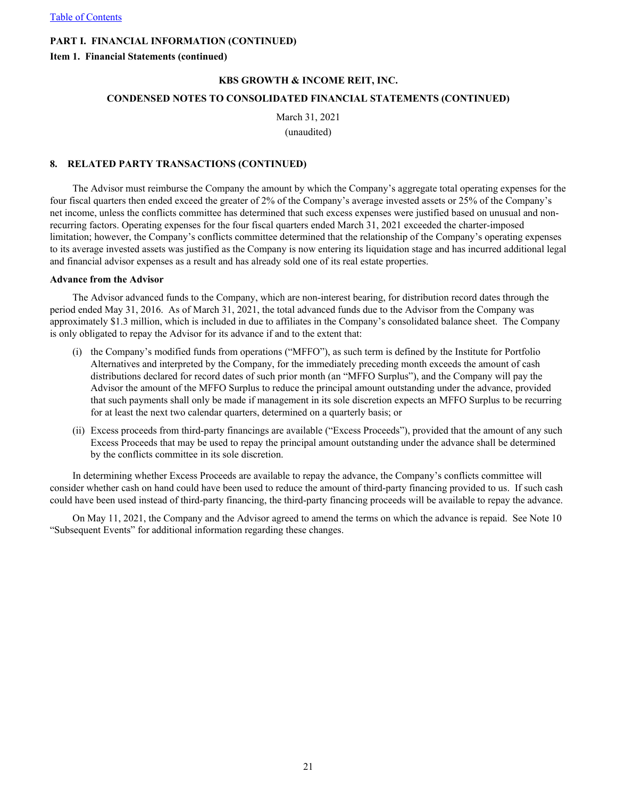**Item 1. Financial Statements (continued)**

#### **KBS GROWTH & INCOME REIT, INC.**

## **CONDENSED NOTES TO CONSOLIDATED FINANCIAL STATEMENTS (CONTINUED)**

March 31, 2021 (unaudited)

## **8. RELATED PARTY TRANSACTIONS (CONTINUED)**

The Advisor must reimburse the Company the amount by which the Company's aggregate total operating expenses for the four fiscal quarters then ended exceed the greater of 2% of the Company's average invested assets or 25% of the Company's net income, unless the conflicts committee has determined that such excess expenses were justified based on unusual and nonrecurring factors. Operating expenses for the four fiscal quarters ended March 31, 2021 exceeded the charter-imposed limitation; however, the Company's conflicts committee determined that the relationship of the Company's operating expenses to its average invested assets was justified as the Company is now entering its liquidation stage and has incurred additional legal and financial advisor expenses as a result and has already sold one of its real estate properties.

#### **Advance from the Advisor**

The Advisor advanced funds to the Company, which are non-interest bearing, for distribution record dates through the period ended May 31, 2016. As of March 31, 2021, the total advanced funds due to the Advisor from the Company was approximately \$1.3 million, which is included in due to affiliates in the Company's consolidated balance sheet. The Company is only obligated to repay the Advisor for its advance if and to the extent that:

- (i) the Company's modified funds from operations ("MFFO"), as such term is defined by the Institute for Portfolio Alternatives and interpreted by the Company, for the immediately preceding month exceeds the amount of cash distributions declared for record dates of such prior month (an "MFFO Surplus"), and the Company will pay the Advisor the amount of the MFFO Surplus to reduce the principal amount outstanding under the advance, provided that such payments shall only be made if management in its sole discretion expects an MFFO Surplus to be recurring for at least the next two calendar quarters, determined on a quarterly basis; or
- (ii) Excess proceeds from third-party financings are available ("Excess Proceeds"), provided that the amount of any such Excess Proceeds that may be used to repay the principal amount outstanding under the advance shall be determined by the conflicts committee in its sole discretion.

In determining whether Excess Proceeds are available to repay the advance, the Company's conflicts committee will consider whether cash on hand could have been used to reduce the amount of third-party financing provided to us. If such cash could have been used instead of third-party financing, the third-party financing proceeds will be available to repay the advance.

On May 11, 2021, the Company and the Advisor agreed to amend the terms on which the advance is repaid. See Note 10 "Subsequent Events" for additional information regarding these changes.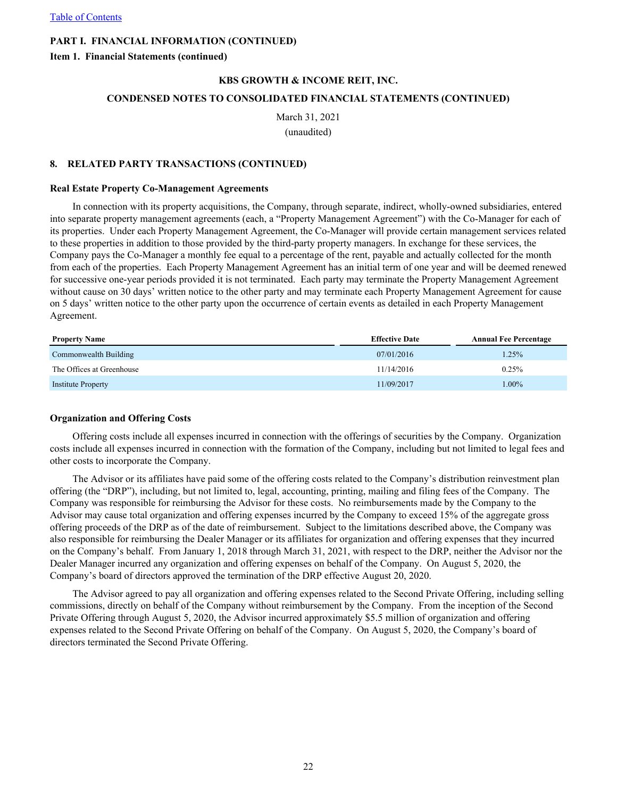**Item 1. Financial Statements (continued)**

#### **KBS GROWTH & INCOME REIT, INC.**

## **CONDENSED NOTES TO CONSOLIDATED FINANCIAL STATEMENTS (CONTINUED)**

March 31, 2021

(unaudited)

#### **8. RELATED PARTY TRANSACTIONS (CONTINUED)**

#### **Real Estate Property Co-Management Agreements**

In connection with its property acquisitions, the Company, through separate, indirect, wholly-owned subsidiaries, entered into separate property management agreements (each, a "Property Management Agreement") with the Co-Manager for each of its properties. Under each Property Management Agreement, the Co-Manager will provide certain management services related to these properties in addition to those provided by the third-party property managers. In exchange for these services, the Company pays the Co-Manager a monthly fee equal to a percentage of the rent, payable and actually collected for the month from each of the properties. Each Property Management Agreement has an initial term of one year and will be deemed renewed for successive one-year periods provided it is not terminated. Each party may terminate the Property Management Agreement without cause on 30 days' written notice to the other party and may terminate each Property Management Agreement for cause on 5 days' written notice to the other party upon the occurrence of certain events as detailed in each Property Management Agreement.

| <b>Property Name</b>      | <b>Effective Date</b> | <b>Annual Fee Percentage</b> |
|---------------------------|-----------------------|------------------------------|
| Commonwealth Building     | 07/01/2016            | .25%                         |
| The Offices at Greenhouse | 11/14/2016            | 0.25%                        |
| Institute Property        | 11/09/2017            | $1.00\%$                     |

#### **Organization and Offering Costs**

Offering costs include all expenses incurred in connection with the offerings of securities by the Company. Organization costs include all expenses incurred in connection with the formation of the Company, including but not limited to legal fees and other costs to incorporate the Company.

The Advisor or its affiliates have paid some of the offering costs related to the Company's distribution reinvestment plan offering (the "DRP"), including, but not limited to, legal, accounting, printing, mailing and filing fees of the Company. The Company was responsible for reimbursing the Advisor for these costs. No reimbursements made by the Company to the Advisor may cause total organization and offering expenses incurred by the Company to exceed 15% of the aggregate gross offering proceeds of the DRP as of the date of reimbursement. Subject to the limitations described above, the Company was also responsible for reimbursing the Dealer Manager or its affiliates for organization and offering expenses that they incurred on the Company's behalf. From January 1, 2018 through March 31, 2021, with respect to the DRP, neither the Advisor nor the Dealer Manager incurred any organization and offering expenses on behalf of the Company. On August 5, 2020, the Company's board of directors approved the termination of the DRP effective August 20, 2020.

The Advisor agreed to pay all organization and offering expenses related to the Second Private Offering, including selling commissions, directly on behalf of the Company without reimbursement by the Company. From the inception of the Second Private Offering through August 5, 2020, the Advisor incurred approximately \$5.5 million of organization and offering expenses related to the Second Private Offering on behalf of the Company. On August 5, 2020, the Company's board of directors terminated the Second Private Offering.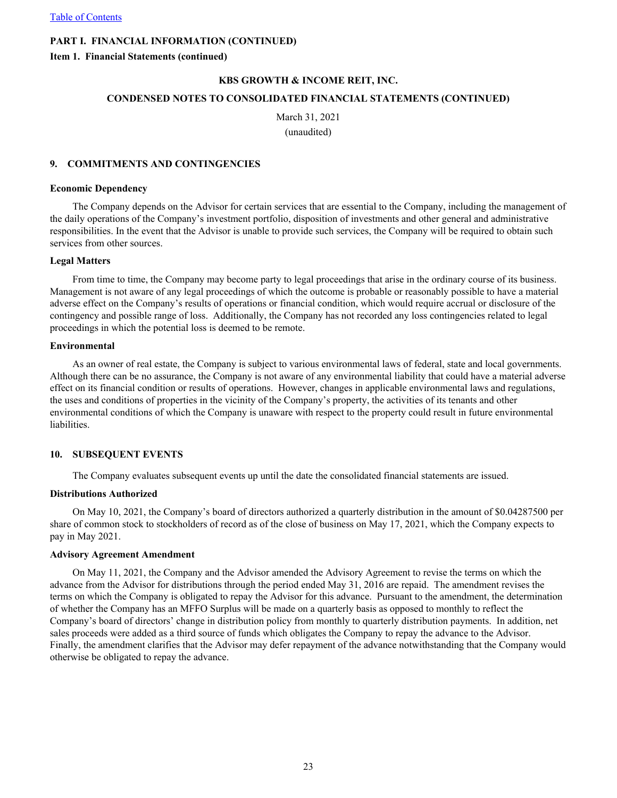**Item 1. Financial Statements (continued)**

#### **KBS GROWTH & INCOME REIT, INC.**

## **CONDENSED NOTES TO CONSOLIDATED FINANCIAL STATEMENTS (CONTINUED)**

March 31, 2021 (unaudited)

#### **9. COMMITMENTS AND CONTINGENCIES**

#### **Economic Dependency**

The Company depends on the Advisor for certain services that are essential to the Company, including the management of the daily operations of the Company's investment portfolio, disposition of investments and other general and administrative responsibilities. In the event that the Advisor is unable to provide such services, the Company will be required to obtain such services from other sources.

#### **Legal Matters**

From time to time, the Company may become party to legal proceedings that arise in the ordinary course of its business. Management is not aware of any legal proceedings of which the outcome is probable or reasonably possible to have a material adverse effect on the Company's results of operations or financial condition, which would require accrual or disclosure of the contingency and possible range of loss. Additionally, the Company has not recorded any loss contingencies related to legal proceedings in which the potential loss is deemed to be remote.

#### **Environmental**

As an owner of real estate, the Company is subject to various environmental laws of federal, state and local governments. Although there can be no assurance, the Company is not aware of any environmental liability that could have a material adverse effect on its financial condition or results of operations. However, changes in applicable environmental laws and regulations, the uses and conditions of properties in the vicinity of the Company's property, the activities of its tenants and other environmental conditions of which the Company is unaware with respect to the property could result in future environmental liabilities.

#### **10. SUBSEQUENT EVENTS**

The Company evaluates subsequent events up until the date the consolidated financial statements are issued.

#### **Distributions Authorized**

On May 10, 2021, the Company's board of directors authorized a quarterly distribution in the amount of \$0.04287500 per share of common stock to stockholders of record as of the close of business on May 17, 2021, which the Company expects to pay in May 2021.

#### **Advisory Agreement Amendment**

On May 11, 2021, the Company and the Advisor amended the Advisory Agreement to revise the terms on which the advance from the Advisor for distributions through the period ended May 31, 2016 are repaid. The amendment revises the terms on which the Company is obligated to repay the Advisor for this advance. Pursuant to the amendment, the determination of whether the Company has an MFFO Surplus will be made on a quarterly basis as opposed to monthly to reflect the Company's board of directors' change in distribution policy from monthly to quarterly distribution payments. In addition, net sales proceeds were added as a third source of funds which obligates the Company to repay the advance to the Advisor. Finally, the amendment clarifies that the Advisor may defer repayment of the advance notwithstanding that the Company would otherwise be obligated to repay the advance.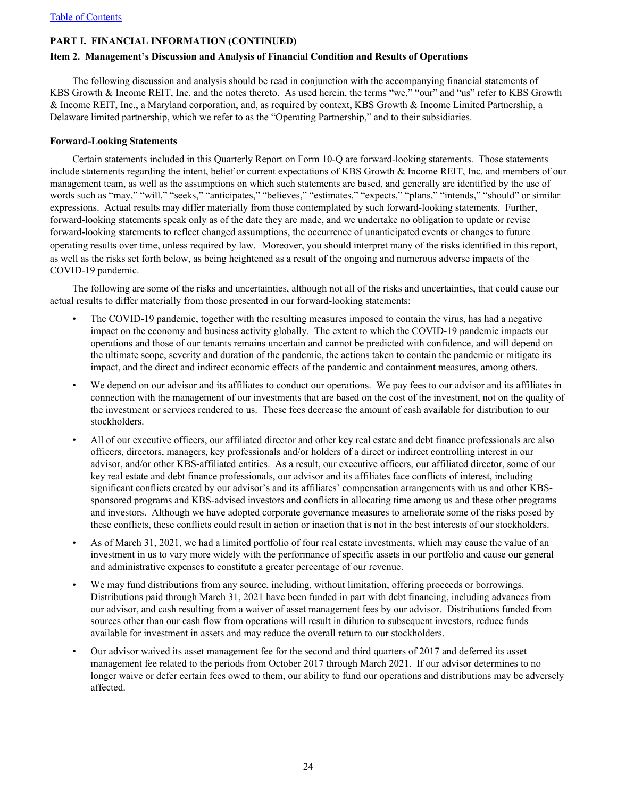## <span id="page-24-0"></span>**Item 2. Management's Discussion and Analysis of Financial Condition and Results of Operations**

The following discussion and analysis should be read in conjunction with the accompanying financial statements of KBS Growth & Income REIT, Inc. and the notes thereto. As used herein, the terms "we," "our" and "us" refer to KBS Growth & Income REIT, Inc., a Maryland corporation, and, as required by context, KBS Growth & Income Limited Partnership, a Delaware limited partnership, which we refer to as the "Operating Partnership," and to their subsidiaries.

#### **Forward-Looking Statements**

Certain statements included in this Quarterly Report on Form 10-Q are forward-looking statements. Those statements include statements regarding the intent, belief or current expectations of KBS Growth & Income REIT, Inc. and members of our management team, as well as the assumptions on which such statements are based, and generally are identified by the use of words such as "may," "will," "seeks," "anticipates," "believes," "estimates," "expects," "plans," "intends," "should" or similar expressions. Actual results may differ materially from those contemplated by such forward-looking statements. Further, forward-looking statements speak only as of the date they are made, and we undertake no obligation to update or revise forward-looking statements to reflect changed assumptions, the occurrence of unanticipated events or changes to future operating results over time, unless required by law. Moreover, you should interpret many of the risks identified in this report, as well as the risks set forth below, as being heightened as a result of the ongoing and numerous adverse impacts of the COVID-19 pandemic.

The following are some of the risks and uncertainties, although not all of the risks and uncertainties, that could cause our actual results to differ materially from those presented in our forward-looking statements:

- The COVID-19 pandemic, together with the resulting measures imposed to contain the virus, has had a negative impact on the economy and business activity globally. The extent to which the COVID-19 pandemic impacts our operations and those of our tenants remains uncertain and cannot be predicted with confidence, and will depend on the ultimate scope, severity and duration of the pandemic, the actions taken to contain the pandemic or mitigate its impact, and the direct and indirect economic effects of the pandemic and containment measures, among others.
- We depend on our advisor and its affiliates to conduct our operations. We pay fees to our advisor and its affiliates in connection with the management of our investments that are based on the cost of the investment, not on the quality of the investment or services rendered to us. These fees decrease the amount of cash available for distribution to our stockholders.
- All of our executive officers, our affiliated director and other key real estate and debt finance professionals are also officers, directors, managers, key professionals and/or holders of a direct or indirect controlling interest in our advisor, and/or other KBS-affiliated entities. As a result, our executive officers, our affiliated director, some of our key real estate and debt finance professionals, our advisor and its affiliates face conflicts of interest, including significant conflicts created by our advisor's and its affiliates' compensation arrangements with us and other KBSsponsored programs and KBS-advised investors and conflicts in allocating time among us and these other programs and investors. Although we have adopted corporate governance measures to ameliorate some of the risks posed by these conflicts, these conflicts could result in action or inaction that is not in the best interests of our stockholders.
- As of March 31, 2021, we had a limited portfolio of four real estate investments, which may cause the value of an investment in us to vary more widely with the performance of specific assets in our portfolio and cause our general and administrative expenses to constitute a greater percentage of our revenue.
- We may fund distributions from any source, including, without limitation, offering proceeds or borrowings. Distributions paid through March 31, 2021 have been funded in part with debt financing, including advances from our advisor, and cash resulting from a waiver of asset management fees by our advisor. Distributions funded from sources other than our cash flow from operations will result in dilution to subsequent investors, reduce funds available for investment in assets and may reduce the overall return to our stockholders.
- Our advisor waived its asset management fee for the second and third quarters of 2017 and deferred its asset management fee related to the periods from October 2017 through March 2021. If our advisor determines to no longer waive or defer certain fees owed to them, our ability to fund our operations and distributions may be adversely affected.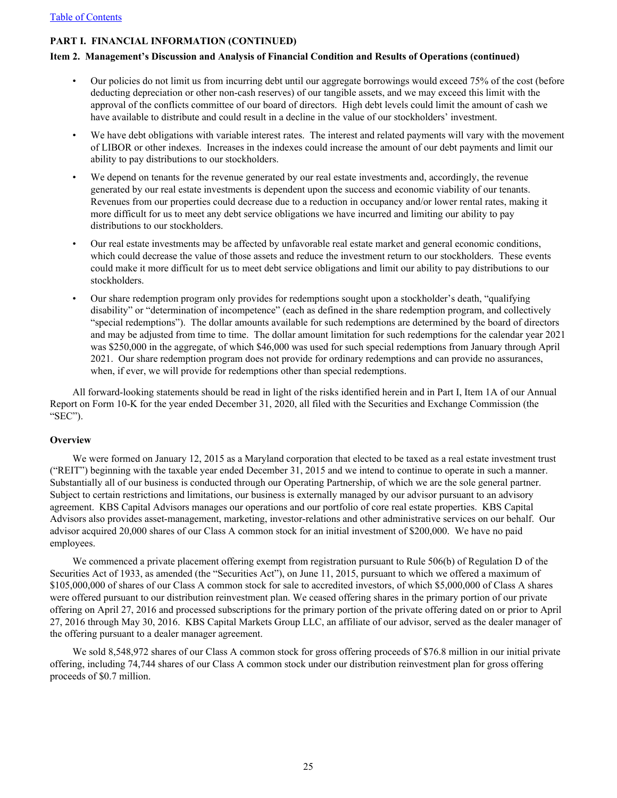## **Item 2. Management's Discussion and Analysis of Financial Condition and Results of Operations (continued)**

- Our policies do not limit us from incurring debt until our aggregate borrowings would exceed 75% of the cost (before deducting depreciation or other non-cash reserves) of our tangible assets, and we may exceed this limit with the approval of the conflicts committee of our board of directors. High debt levels could limit the amount of cash we have available to distribute and could result in a decline in the value of our stockholders' investment.
- We have debt obligations with variable interest rates. The interest and related payments will vary with the movement of LIBOR or other indexes. Increases in the indexes could increase the amount of our debt payments and limit our ability to pay distributions to our stockholders.
- We depend on tenants for the revenue generated by our real estate investments and, accordingly, the revenue generated by our real estate investments is dependent upon the success and economic viability of our tenants. Revenues from our properties could decrease due to a reduction in occupancy and/or lower rental rates, making it more difficult for us to meet any debt service obligations we have incurred and limiting our ability to pay distributions to our stockholders.
- Our real estate investments may be affected by unfavorable real estate market and general economic conditions, which could decrease the value of those assets and reduce the investment return to our stockholders. These events could make it more difficult for us to meet debt service obligations and limit our ability to pay distributions to our stockholders.
- Our share redemption program only provides for redemptions sought upon a stockholder's death, "qualifying disability" or "determination of incompetence" (each as defined in the share redemption program, and collectively "special redemptions"). The dollar amounts available for such redemptions are determined by the board of directors and may be adjusted from time to time. The dollar amount limitation for such redemptions for the calendar year 2021 was \$250,000 in the aggregate, of which \$46,000 was used for such special redemptions from January through April 2021. Our share redemption program does not provide for ordinary redemptions and can provide no assurances, when, if ever, we will provide for redemptions other than special redemptions.

All forward-looking statements should be read in light of the risks identified herein and in Part I, Item 1A of our Annual Report on Form 10-K for the year ended December 31, 2020, all filed with the Securities and Exchange Commission (the "SEC").

## **Overview**

We were formed on January 12, 2015 as a Maryland corporation that elected to be taxed as a real estate investment trust ("REIT") beginning with the taxable year ended December 31, 2015 and we intend to continue to operate in such a manner. Substantially all of our business is conducted through our Operating Partnership, of which we are the sole general partner. Subject to certain restrictions and limitations, our business is externally managed by our advisor pursuant to an advisory agreement. KBS Capital Advisors manages our operations and our portfolio of core real estate properties. KBS Capital Advisors also provides asset-management, marketing, investor-relations and other administrative services on our behalf. Our advisor acquired 20,000 shares of our Class A common stock for an initial investment of \$200,000. We have no paid employees.

We commenced a private placement offering exempt from registration pursuant to Rule 506(b) of Regulation D of the Securities Act of 1933, as amended (the "Securities Act"), on June 11, 2015, pursuant to which we offered a maximum of \$105,000,000 of shares of our Class A common stock for sale to accredited investors, of which \$5,000,000 of Class A shares were offered pursuant to our distribution reinvestment plan. We ceased offering shares in the primary portion of our private offering on April 27, 2016 and processed subscriptions for the primary portion of the private offering dated on or prior to April 27, 2016 through May 30, 2016. KBS Capital Markets Group LLC, an affiliate of our advisor, served as the dealer manager of the offering pursuant to a dealer manager agreement.

We sold 8,548,972 shares of our Class A common stock for gross offering proceeds of \$76.8 million in our initial private offering, including 74,744 shares of our Class A common stock under our distribution reinvestment plan for gross offering proceeds of \$0.7 million.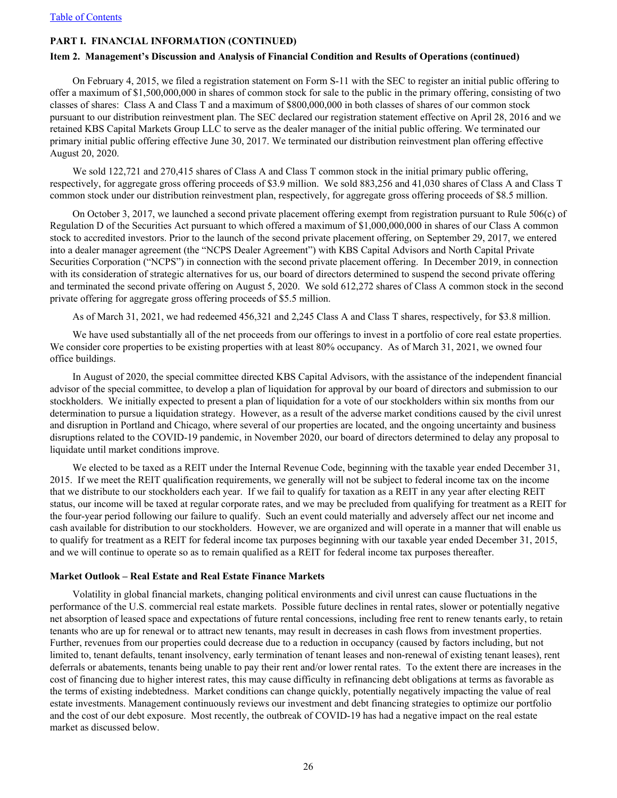## **Item 2. Management's Discussion and Analysis of Financial Condition and Results of Operations (continued)**

On February 4, 2015, we filed a registration statement on Form S-11 with the SEC to register an initial public offering to offer a maximum of \$1,500,000,000 in shares of common stock for sale to the public in the primary offering, consisting of two classes of shares: Class A and Class T and a maximum of \$800,000,000 in both classes of shares of our common stock pursuant to our distribution reinvestment plan. The SEC declared our registration statement effective on April 28, 2016 and we retained KBS Capital Markets Group LLC to serve as the dealer manager of the initial public offering. We terminated our primary initial public offering effective June 30, 2017. We terminated our distribution reinvestment plan offering effective August 20, 2020.

We sold 122,721 and 270,415 shares of Class A and Class T common stock in the initial primary public offering, respectively, for aggregate gross offering proceeds of \$3.9 million. We sold 883,256 and 41,030 shares of Class A and Class T common stock under our distribution reinvestment plan, respectively, for aggregate gross offering proceeds of \$8.5 million.

On October 3, 2017, we launched a second private placement offering exempt from registration pursuant to Rule 506(c) of Regulation D of the Securities Act pursuant to which offered a maximum of \$1,000,000,000 in shares of our Class A common stock to accredited investors. Prior to the launch of the second private placement offering, on September 29, 2017, we entered into a dealer manager agreement (the "NCPS Dealer Agreement") with KBS Capital Advisors and North Capital Private Securities Corporation ("NCPS") in connection with the second private placement offering. In December 2019, in connection with its consideration of strategic alternatives for us, our board of directors determined to suspend the second private offering and terminated the second private offering on August 5, 2020. We sold 612,272 shares of Class A common stock in the second private offering for aggregate gross offering proceeds of \$5.5 million.

As of March 31, 2021, we had redeemed 456,321 and 2,245 Class A and Class T shares, respectively, for \$3.8 million.

We have used substantially all of the net proceeds from our offerings to invest in a portfolio of core real estate properties. We consider core properties to be existing properties with at least 80% occupancy. As of March 31, 2021, we owned four office buildings.

In August of 2020, the special committee directed KBS Capital Advisors, with the assistance of the independent financial advisor of the special committee, to develop a plan of liquidation for approval by our board of directors and submission to our stockholders. We initially expected to present a plan of liquidation for a vote of our stockholders within six months from our determination to pursue a liquidation strategy. However, as a result of the adverse market conditions caused by the civil unrest and disruption in Portland and Chicago, where several of our properties are located, and the ongoing uncertainty and business disruptions related to the COVID-19 pandemic, in November 2020, our board of directors determined to delay any proposal to liquidate until market conditions improve.

We elected to be taxed as a REIT under the Internal Revenue Code, beginning with the taxable year ended December 31, 2015. If we meet the REIT qualification requirements, we generally will not be subject to federal income tax on the income that we distribute to our stockholders each year. If we fail to qualify for taxation as a REIT in any year after electing REIT status, our income will be taxed at regular corporate rates, and we may be precluded from qualifying for treatment as a REIT for the four-year period following our failure to qualify. Such an event could materially and adversely affect our net income and cash available for distribution to our stockholders. However, we are organized and will operate in a manner that will enable us to qualify for treatment as a REIT for federal income tax purposes beginning with our taxable year ended December 31, 2015, and we will continue to operate so as to remain qualified as a REIT for federal income tax purposes thereafter.

#### **Market Outlook – Real Estate and Real Estate Finance Markets**

Volatility in global financial markets, changing political environments and civil unrest can cause fluctuations in the performance of the U.S. commercial real estate markets. Possible future declines in rental rates, slower or potentially negative net absorption of leased space and expectations of future rental concessions, including free rent to renew tenants early, to retain tenants who are up for renewal or to attract new tenants, may result in decreases in cash flows from investment properties. Further, revenues from our properties could decrease due to a reduction in occupancy (caused by factors including, but not limited to, tenant defaults, tenant insolvency, early termination of tenant leases and non-renewal of existing tenant leases), rent deferrals or abatements, tenants being unable to pay their rent and/or lower rental rates. To the extent there are increases in the cost of financing due to higher interest rates, this may cause difficulty in refinancing debt obligations at terms as favorable as the terms of existing indebtedness. Market conditions can change quickly, potentially negatively impacting the value of real estate investments. Management continuously reviews our investment and debt financing strategies to optimize our portfolio and the cost of our debt exposure. Most recently, the outbreak of COVID-19 has had a negative impact on the real estate market as discussed below.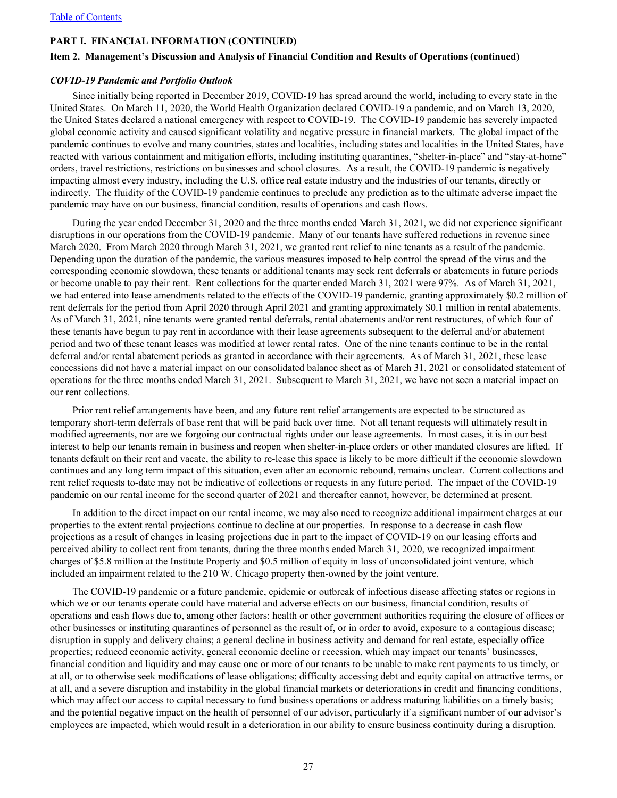#### **Item 2. Management's Discussion and Analysis of Financial Condition and Results of Operations (continued)**

#### *COVID-19 Pandemic and Portfolio Outlook*

Since initially being reported in December 2019, COVID-19 has spread around the world, including to every state in the United States. On March 11, 2020, the World Health Organization declared COVID-19 a pandemic, and on March 13, 2020, the United States declared a national emergency with respect to COVID-19. The COVID-19 pandemic has severely impacted global economic activity and caused significant volatility and negative pressure in financial markets. The global impact of the pandemic continues to evolve and many countries, states and localities, including states and localities in the United States, have reacted with various containment and mitigation efforts, including instituting quarantines, "shelter-in-place" and "stay-at-home" orders, travel restrictions, restrictions on businesses and school closures. As a result, the COVID-19 pandemic is negatively impacting almost every industry, including the U.S. office real estate industry and the industries of our tenants, directly or indirectly. The fluidity of the COVID-19 pandemic continues to preclude any prediction as to the ultimate adverse impact the pandemic may have on our business, financial condition, results of operations and cash flows.

During the year ended December 31, 2020 and the three months ended March 31, 2021, we did not experience significant disruptions in our operations from the COVID-19 pandemic. Many of our tenants have suffered reductions in revenue since March 2020. From March 2020 through March 31, 2021, we granted rent relief to nine tenants as a result of the pandemic. Depending upon the duration of the pandemic, the various measures imposed to help control the spread of the virus and the corresponding economic slowdown, these tenants or additional tenants may seek rent deferrals or abatements in future periods or become unable to pay their rent. Rent collections for the quarter ended March 31, 2021 were 97%. As of March 31, 2021, we had entered into lease amendments related to the effects of the COVID-19 pandemic, granting approximately \$0.2 million of rent deferrals for the period from April 2020 through April 2021 and granting approximately \$0.1 million in rental abatements. As of March 31, 2021, nine tenants were granted rental deferrals, rental abatements and/or rent restructures, of which four of these tenants have begun to pay rent in accordance with their lease agreements subsequent to the deferral and/or abatement period and two of these tenant leases was modified at lower rental rates. One of the nine tenants continue to be in the rental deferral and/or rental abatement periods as granted in accordance with their agreements. As of March 31, 2021, these lease concessions did not have a material impact on our consolidated balance sheet as of March 31, 2021 or consolidated statement of operations for the three months ended March 31, 2021. Subsequent to March 31, 2021, we have not seen a material impact on our rent collections.

Prior rent relief arrangements have been, and any future rent relief arrangements are expected to be structured as temporary short-term deferrals of base rent that will be paid back over time. Not all tenant requests will ultimately result in modified agreements, nor are we forgoing our contractual rights under our lease agreements. In most cases, it is in our best interest to help our tenants remain in business and reopen when shelter-in-place orders or other mandated closures are lifted. If tenants default on their rent and vacate, the ability to re-lease this space is likely to be more difficult if the economic slowdown continues and any long term impact of this situation, even after an economic rebound, remains unclear. Current collections and rent relief requests to-date may not be indicative of collections or requests in any future period. The impact of the COVID-19 pandemic on our rental income for the second quarter of 2021 and thereafter cannot, however, be determined at present.

In addition to the direct impact on our rental income, we may also need to recognize additional impairment charges at our properties to the extent rental projections continue to decline at our properties. In response to a decrease in cash flow projections as a result of changes in leasing projections due in part to the impact of COVID-19 on our leasing efforts and perceived ability to collect rent from tenants, during the three months ended March 31, 2020, we recognized impairment charges of \$5.8 million at the Institute Property and \$0.5 million of equity in loss of unconsolidated joint venture, which included an impairment related to the 210 W. Chicago property then-owned by the joint venture.

The COVID-19 pandemic or a future pandemic, epidemic or outbreak of infectious disease affecting states or regions in which we or our tenants operate could have material and adverse effects on our business, financial condition, results of operations and cash flows due to, among other factors: health or other government authorities requiring the closure of offices or other businesses or instituting quarantines of personnel as the result of, or in order to avoid, exposure to a contagious disease; disruption in supply and delivery chains; a general decline in business activity and demand for real estate, especially office properties; reduced economic activity, general economic decline or recession, which may impact our tenants' businesses, financial condition and liquidity and may cause one or more of our tenants to be unable to make rent payments to us timely, or at all, or to otherwise seek modifications of lease obligations; difficulty accessing debt and equity capital on attractive terms, or at all, and a severe disruption and instability in the global financial markets or deteriorations in credit and financing conditions, which may affect our access to capital necessary to fund business operations or address maturing liabilities on a timely basis; and the potential negative impact on the health of personnel of our advisor, particularly if a significant number of our advisor's employees are impacted, which would result in a deterioration in our ability to ensure business continuity during a disruption.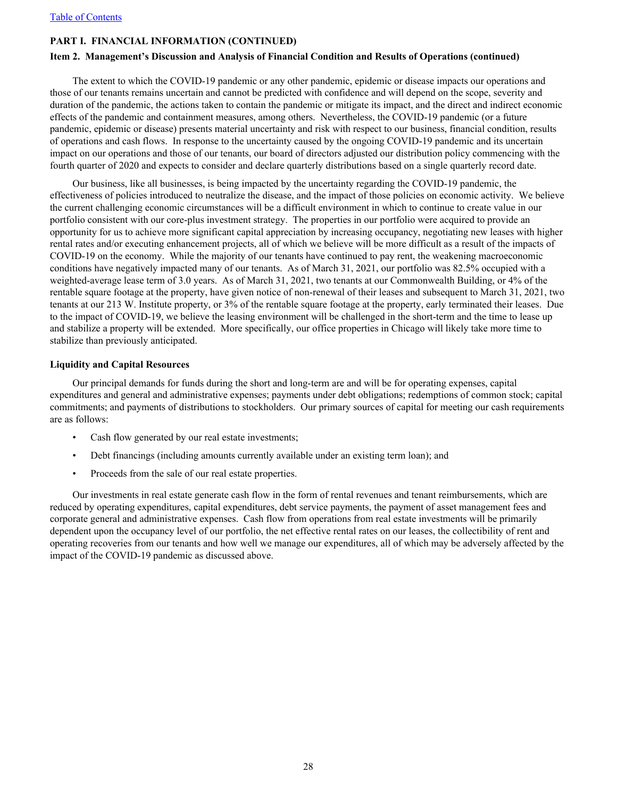# **Item 2. Management's Discussion and Analysis of Financial Condition and Results of Operations (continued)**

The extent to which the COVID-19 pandemic or any other pandemic, epidemic or disease impacts our operations and those of our tenants remains uncertain and cannot be predicted with confidence and will depend on the scope, severity and duration of the pandemic, the actions taken to contain the pandemic or mitigate its impact, and the direct and indirect economic effects of the pandemic and containment measures, among others. Nevertheless, the COVID-19 pandemic (or a future pandemic, epidemic or disease) presents material uncertainty and risk with respect to our business, financial condition, results of operations and cash flows. In response to the uncertainty caused by the ongoing COVID-19 pandemic and its uncertain impact on our operations and those of our tenants, our board of directors adjusted our distribution policy commencing with the fourth quarter of 2020 and expects to consider and declare quarterly distributions based on a single quarterly record date.

Our business, like all businesses, is being impacted by the uncertainty regarding the COVID-19 pandemic, the effectiveness of policies introduced to neutralize the disease, and the impact of those policies on economic activity. We believe the current challenging economic circumstances will be a difficult environment in which to continue to create value in our portfolio consistent with our core-plus investment strategy. The properties in our portfolio were acquired to provide an opportunity for us to achieve more significant capital appreciation by increasing occupancy, negotiating new leases with higher rental rates and/or executing enhancement projects, all of which we believe will be more difficult as a result of the impacts of COVID-19 on the economy. While the majority of our tenants have continued to pay rent, the weakening macroeconomic conditions have negatively impacted many of our tenants. As of March 31, 2021, our portfolio was 82.5% occupied with a weighted-average lease term of 3.0 years. As of March 31, 2021, two tenants at our Commonwealth Building, or 4% of the rentable square footage at the property, have given notice of non-renewal of their leases and subsequent to March 31, 2021, two tenants at our 213 W. Institute property, or 3% of the rentable square footage at the property, early terminated their leases. Due to the impact of COVID-19, we believe the leasing environment will be challenged in the short-term and the time to lease up and stabilize a property will be extended. More specifically, our office properties in Chicago will likely take more time to stabilize than previously anticipated.

#### **Liquidity and Capital Resources**

Our principal demands for funds during the short and long-term are and will be for operating expenses, capital expenditures and general and administrative expenses; payments under debt obligations; redemptions of common stock; capital commitments; and payments of distributions to stockholders. Our primary sources of capital for meeting our cash requirements are as follows:

- Cash flow generated by our real estate investments;
- Debt financings (including amounts currently available under an existing term loan); and
- Proceeds from the sale of our real estate properties.

Our investments in real estate generate cash flow in the form of rental revenues and tenant reimbursements, which are reduced by operating expenditures, capital expenditures, debt service payments, the payment of asset management fees and corporate general and administrative expenses. Cash flow from operations from real estate investments will be primarily dependent upon the occupancy level of our portfolio, the net effective rental rates on our leases, the collectibility of rent and operating recoveries from our tenants and how well we manage our expenditures, all of which may be adversely affected by the impact of the COVID-19 pandemic as discussed above.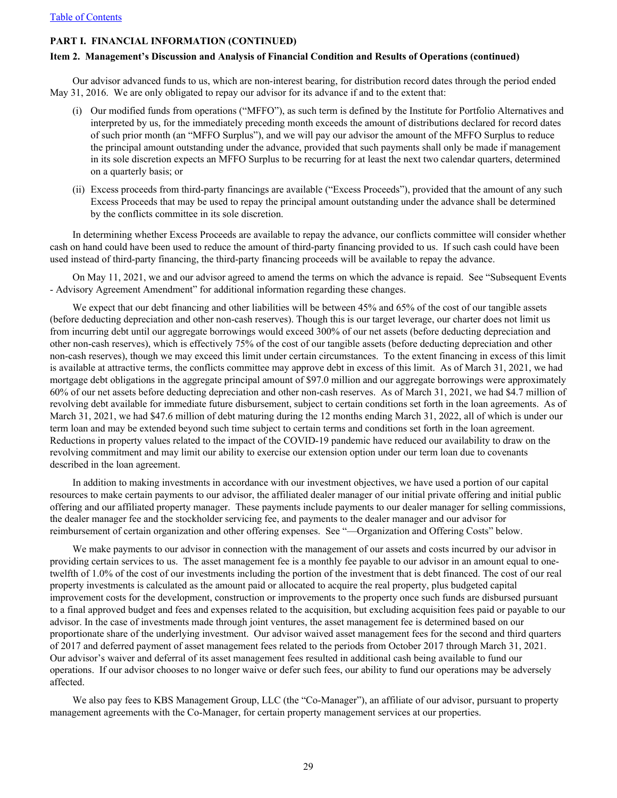## **Item 2. Management's Discussion and Analysis of Financial Condition and Results of Operations (continued)**

Our advisor advanced funds to us, which are non-interest bearing, for distribution record dates through the period ended May 31, 2016. We are only obligated to repay our advisor for its advance if and to the extent that:

- (i) Our modified funds from operations ("MFFO"), as such term is defined by the Institute for Portfolio Alternatives and interpreted by us, for the immediately preceding month exceeds the amount of distributions declared for record dates of such prior month (an "MFFO Surplus"), and we will pay our advisor the amount of the MFFO Surplus to reduce the principal amount outstanding under the advance, provided that such payments shall only be made if management in its sole discretion expects an MFFO Surplus to be recurring for at least the next two calendar quarters, determined on a quarterly basis; or
- (ii) Excess proceeds from third-party financings are available ("Excess Proceeds"), provided that the amount of any such Excess Proceeds that may be used to repay the principal amount outstanding under the advance shall be determined by the conflicts committee in its sole discretion.

In determining whether Excess Proceeds are available to repay the advance, our conflicts committee will consider whether cash on hand could have been used to reduce the amount of third-party financing provided to us. If such cash could have been used instead of third-party financing, the third-party financing proceeds will be available to repay the advance.

On May 11, 2021, we and our advisor agreed to amend the terms on which the advance is repaid. See "Subsequent Events - Advisory Agreement Amendment" for additional information regarding these changes.

We expect that our debt financing and other liabilities will be between 45% and 65% of the cost of our tangible assets (before deducting depreciation and other non-cash reserves). Though this is our target leverage, our charter does not limit us from incurring debt until our aggregate borrowings would exceed 300% of our net assets (before deducting depreciation and other non-cash reserves), which is effectively 75% of the cost of our tangible assets (before deducting depreciation and other non-cash reserves), though we may exceed this limit under certain circumstances. To the extent financing in excess of this limit is available at attractive terms, the conflicts committee may approve debt in excess of this limit. As of March 31, 2021, we had mortgage debt obligations in the aggregate principal amount of \$97.0 million and our aggregate borrowings were approximately 60% of our net assets before deducting depreciation and other non-cash reserves. As of March 31, 2021, we had \$4.7 million of revolving debt available for immediate future disbursement, subject to certain conditions set forth in the loan agreements. As of March 31, 2021, we had \$47.6 million of debt maturing during the 12 months ending March 31, 2022, all of which is under our term loan and may be extended beyond such time subject to certain terms and conditions set forth in the loan agreement. Reductions in property values related to the impact of the COVID-19 pandemic have reduced our availability to draw on the revolving commitment and may limit our ability to exercise our extension option under our term loan due to covenants described in the loan agreement.

In addition to making investments in accordance with our investment objectives, we have used a portion of our capital resources to make certain payments to our advisor, the affiliated dealer manager of our initial private offering and initial public offering and our affiliated property manager. These payments include payments to our dealer manager for selling commissions, the dealer manager fee and the stockholder servicing fee, and payments to the dealer manager and our advisor for reimbursement of certain organization and other offering expenses. See "—Organization and Offering Costs" below.

We make payments to our advisor in connection with the management of our assets and costs incurred by our advisor in providing certain services to us. The asset management fee is a monthly fee payable to our advisor in an amount equal to onetwelfth of 1.0% of the cost of our investments including the portion of the investment that is debt financed. The cost of our real property investments is calculated as the amount paid or allocated to acquire the real property, plus budgeted capital improvement costs for the development, construction or improvements to the property once such funds are disbursed pursuant to a final approved budget and fees and expenses related to the acquisition, but excluding acquisition fees paid or payable to our advisor. In the case of investments made through joint ventures, the asset management fee is determined based on our proportionate share of the underlying investment. Our advisor waived asset management fees for the second and third quarters of 2017 and deferred payment of asset management fees related to the periods from October 2017 through March 31, 2021. Our advisor's waiver and deferral of its asset management fees resulted in additional cash being available to fund our operations. If our advisor chooses to no longer waive or defer such fees, our ability to fund our operations may be adversely affected.

We also pay fees to KBS Management Group, LLC (the "Co-Manager"), an affiliate of our advisor, pursuant to property management agreements with the Co-Manager, for certain property management services at our properties.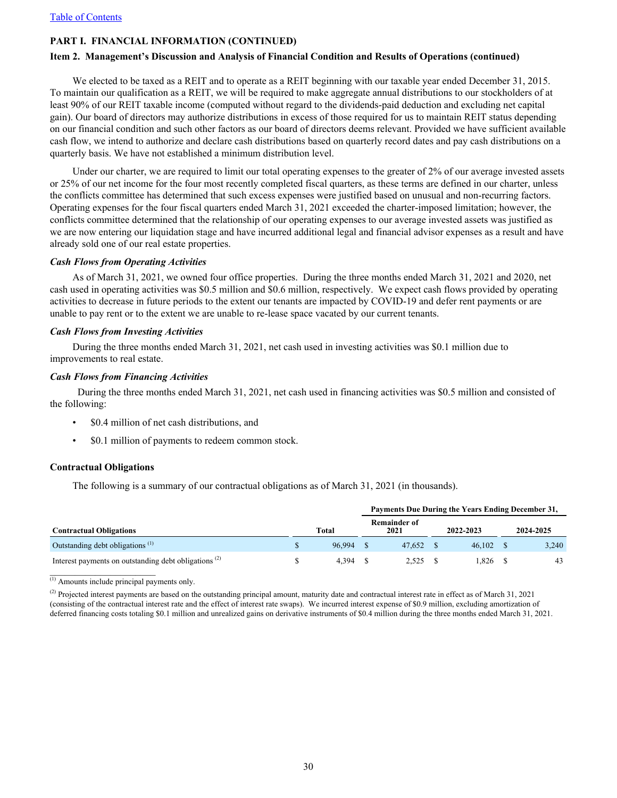## **Item 2. Management's Discussion and Analysis of Financial Condition and Results of Operations (continued)**

We elected to be taxed as a REIT and to operate as a REIT beginning with our taxable year ended December 31, 2015. To maintain our qualification as a REIT, we will be required to make aggregate annual distributions to our stockholders of at least 90% of our REIT taxable income (computed without regard to the dividends-paid deduction and excluding net capital gain). Our board of directors may authorize distributions in excess of those required for us to maintain REIT status depending on our financial condition and such other factors as our board of directors deems relevant. Provided we have sufficient available cash flow, we intend to authorize and declare cash distributions based on quarterly record dates and pay cash distributions on a quarterly basis. We have not established a minimum distribution level.

Under our charter, we are required to limit our total operating expenses to the greater of 2% of our average invested assets or 25% of our net income for the four most recently completed fiscal quarters, as these terms are defined in our charter, unless the conflicts committee has determined that such excess expenses were justified based on unusual and non-recurring factors. Operating expenses for the four fiscal quarters ended March 31, 2021 exceeded the charter-imposed limitation; however, the conflicts committee determined that the relationship of our operating expenses to our average invested assets was justified as we are now entering our liquidation stage and have incurred additional legal and financial advisor expenses as a result and have already sold one of our real estate properties.

#### *Cash Flows from Operating Activities*

As of March 31, 2021, we owned four office properties. During the three months ended March 31, 2021 and 2020, net cash used in operating activities was \$0.5 million and \$0.6 million, respectively. We expect cash flows provided by operating activities to decrease in future periods to the extent our tenants are impacted by COVID-19 and defer rent payments or are unable to pay rent or to the extent we are unable to re-lease space vacated by our current tenants.

#### *Cash Flows from Investing Activities*

During the three months ended March 31, 2021, net cash used in investing activities was \$0.1 million due to improvements to real estate.

#### *Cash Flows from Financing Activities*

 During the three months ended March 31, 2021, net cash used in financing activities was \$0.5 million and consisted of the following:

- \$0.4 million of net cash distributions, and
- \$0.1 million of payments to redeem common stock.

#### **Contractual Obligations**

 $\mathcal{L}_\text{max}$  , where  $\mathcal{L}_\text{max}$  , we have the set of the set of the set of the set of the set of the set of the set of the set of the set of the set of the set of the set of the set of the set of the set of the set of

The following is a summary of our contractual obligations as of March 31, 2021 (in thousands).

|                                                         |        | Payments Due During the Years Ending December 31, |                                          |  |        |  |           |  |
|---------------------------------------------------------|--------|---------------------------------------------------|------------------------------------------|--|--------|--|-----------|--|
| <b>Contractual Obligations</b>                          | Total  |                                                   | <b>Remainder of</b><br>2022-2023<br>2021 |  |        |  | 2024-2025 |  |
| Outstanding debt obligations <sup>(1)</sup>             | 96.994 |                                                   | 47.652                                   |  | 46.102 |  | 3.240     |  |
| Interest payments on outstanding debt obligations $(2)$ | 4.394  |                                                   | 2,525                                    |  | .826   |  | 43        |  |

 $\overline{^{(1)}}$  Amounts include principal payments only.

<sup>(2)</sup> Projected interest payments are based on the outstanding principal amount, maturity date and contractual interest rate in effect as of March 31, 2021 (consisting of the contractual interest rate and the effect of interest rate swaps). We incurred interest expense of \$0.9 million, excluding amortization of deferred financing costs totaling \$0.1 million and unrealized gains on derivative instruments of \$0.4 million during the three months ended March 31, 2021.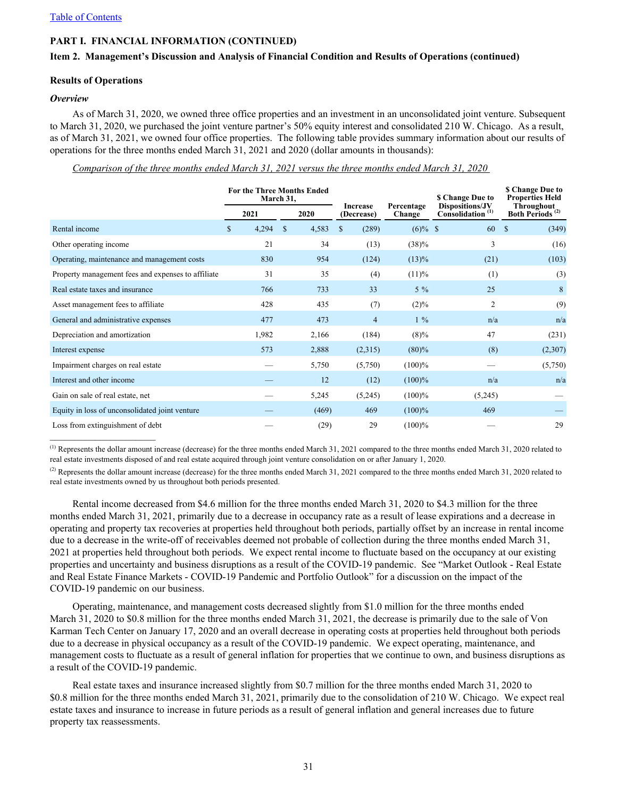## **Item 2. Management's Discussion and Analysis of Financial Condition and Results of Operations (continued)**

#### **Results of Operations**

#### *Overview*

As of March 31, 2020, we owned three office properties and an investment in an unconsolidated joint venture. Subsequent to March 31, 2020, we purchased the joint venture partner's 50% equity interest and consolidated 210 W. Chicago. As a result, as of March 31, 2021, we owned four office properties. The following table provides summary information about our results of operations for the three months ended March 31, 2021 and 2020 (dollar amounts in thousands):

*Comparison of the three months ended March 31, 2021 versus the three months ended March 31, 2020*

|                                                    |              | <b>For the Three Months Ended</b><br>March 31. | Increase             | Percentage | <b>S Change Due to</b>                          | <b>S Change Due to</b><br><b>Properties Held</b><br>Throughout<br><b>Both Periods</b> <sup>(2)</sup> |  |
|----------------------------------------------------|--------------|------------------------------------------------|----------------------|------------|-------------------------------------------------|------------------------------------------------------------------------------------------------------|--|
|                                                    | 2021         | 2020                                           | (Decrease)           | Change     | Dispositions/JV<br>Consolidation <sup>(1)</sup> |                                                                                                      |  |
| Rental income                                      | 4,294<br>\$. | <sup>\$</sup><br>4,583                         | (289)<br>$\mathbf S$ | $(6)\%$ \$ | 60                                              | <sup>\$</sup><br>(349)                                                                               |  |
| Other operating income                             | 21           | 34                                             | (13)                 | (38)%      | 3                                               | (16)                                                                                                 |  |
| Operating, maintenance and management costs        | 830          | 954                                            | (124)                | $(13)\%$   | (21)                                            | (103)                                                                                                |  |
| Property management fees and expenses to affiliate | 31           | 35                                             | (4)                  | (11)%      | (1)                                             | (3)                                                                                                  |  |
| Real estate taxes and insurance                    | 766          | 733                                            | 33                   | $5\%$      | 25                                              | 8                                                                                                    |  |
| Asset management fees to affiliate                 | 428          | 435                                            | (7)                  | $(2)\%$    | 2                                               | (9)                                                                                                  |  |
| General and administrative expenses                | 477          | 473                                            | $\overline{4}$       | $1\%$      | n/a                                             | n/a                                                                                                  |  |
| Depreciation and amortization                      | 1,982        | 2,166                                          | (184)                | $(8)\%$    | 47                                              | (231)                                                                                                |  |
| Interest expense                                   | 573          | 2,888                                          | (2,315)              | (80)%      | (8)                                             | (2,307)                                                                                              |  |
| Impairment charges on real estate                  |              | 5,750                                          | (5,750)              | (100)%     |                                                 | (5,750)                                                                                              |  |
| Interest and other income                          |              | 12                                             | (12)                 | $(100)\%$  | n/a                                             | n/a                                                                                                  |  |
| Gain on sale of real estate, net                   |              | 5,245                                          | (5,245)              | (100)%     | (5,245)                                         |                                                                                                      |  |
| Equity in loss of unconsolidated joint venture     |              | (469)                                          | 469                  | (100)%     | 469                                             |                                                                                                      |  |
| Loss from extinguishment of debt                   |              | (29)                                           | 29                   | (100)%     |                                                 | 29                                                                                                   |  |

 $<sup>(1)</sup>$  Represents the dollar amount increase (decrease) for the three months ended March 31, 2021 compared to the three months ended March 31, 2020 related to</sup> real estate investments disposed of and real estate acquired through joint venture consolidation on or after January 1, 2020.

<sup>(2)</sup> Represents the dollar amount increase (decrease) for the three months ended March 31, 2021 compared to the three months ended March 31, 2020 related to real estate investments owned by us throughout both periods presented.

Rental income decreased from \$4.6 million for the three months ended March 31, 2020 to \$4.3 million for the three months ended March 31, 2021, primarily due to a decrease in occupancy rate as a result of lease expirations and a decrease in operating and property tax recoveries at properties held throughout both periods, partially offset by an increase in rental income due to a decrease in the write-off of receivables deemed not probable of collection during the three months ended March 31, 2021 at properties held throughout both periods. We expect rental income to fluctuate based on the occupancy at our existing properties and uncertainty and business disruptions as a result of the COVID-19 pandemic. See "Market Outlook - Real Estate and Real Estate Finance Markets - COVID-19 Pandemic and Portfolio Outlook" for a discussion on the impact of the COVID-19 pandemic on our business.

Operating, maintenance, and management costs decreased slightly from \$1.0 million for the three months ended March 31, 2020 to \$0.8 million for the three months ended March 31, 2021, the decrease is primarily due to the sale of Von Karman Tech Center on January 17, 2020 and an overall decrease in operating costs at properties held throughout both periods due to a decrease in physical occupancy as a result of the COVID-19 pandemic. We expect operating, maintenance, and management costs to fluctuate as a result of general inflation for properties that we continue to own, and business disruptions as a result of the COVID-19 pandemic.

Real estate taxes and insurance increased slightly from \$0.7 million for the three months ended March 31, 2020 to \$0.8 million for the three months ended March 31, 2021, primarily due to the consolidation of 210 W. Chicago. We expect real estate taxes and insurance to increase in future periods as a result of general inflation and general increases due to future property tax reassessments.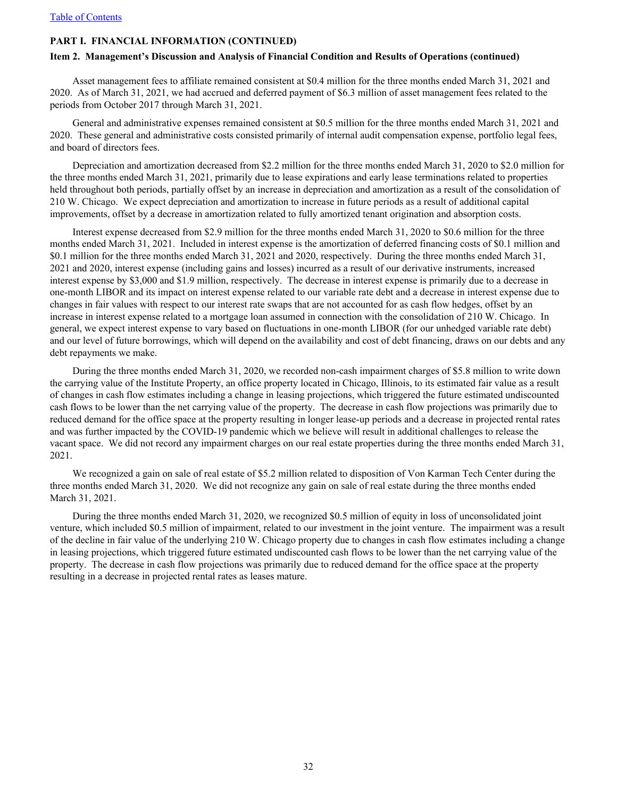## **Item 2. Management's Discussion and Analysis of Financial Condition and Results of Operations (continued)**

Asset management fees to affiliate remained consistent at \$0.4 million for the three months ended March 31, 2021 and 2020. As of March 31, 2021, we had accrued and deferred payment of \$6.3 million of asset management fees related to the periods from October 2017 through March 31, 2021.

General and administrative expenses remained consistent at \$0.5 million for the three months ended March 31, 2021 and 2020. These general and administrative costs consisted primarily of internal audit compensation expense, portfolio legal fees, and board of directors fees.

Depreciation and amortization decreased from \$2.2 million for the three months ended March 31, 2020 to \$2.0 million for the three months ended March 31, 2021, primarily due to lease expirations and early lease terminations related to properties held throughout both periods, partially offset by an increase in depreciation and amortization as a result of the consolidation of 210 W. Chicago. We expect depreciation and amortization to increase in future periods as a result of additional capital improvements, offset by a decrease in amortization related to fully amortized tenant origination and absorption costs.

Interest expense decreased from \$2.9 million for the three months ended March 31, 2020 to \$0.6 million for the three months ended March 31, 2021. Included in interest expense is the amortization of deferred financing costs of \$0.1 million and \$0.1 million for the three months ended March 31, 2021 and 2020, respectively. During the three months ended March 31, 2021 and 2020, interest expense (including gains and losses) incurred as a result of our derivative instruments, increased interest expense by \$3,000 and \$1.9 million, respectively. The decrease in interest expense is primarily due to a decrease in one-month LIBOR and its impact on interest expense related to our variable rate debt and a decrease in interest expense due to changes in fair values with respect to our interest rate swaps that are not accounted for as cash flow hedges, offset by an increase in interest expense related to a mortgage loan assumed in connection with the consolidation of 210 W. Chicago. In general, we expect interest expense to vary based on fluctuations in one-month LIBOR (for our unhedged variable rate debt) and our level of future borrowings, which will depend on the availability and cost of debt financing, draws on our debts and any debt repayments we make.

During the three months ended March 31, 2020, we recorded non-cash impairment charges of \$5.8 million to write down the carrying value of the Institute Property, an office property located in Chicago, Illinois, to its estimated fair value as a result of changes in cash flow estimates including a change in leasing projections, which triggered the future estimated undiscounted cash flows to be lower than the net carrying value of the property. The decrease in cash flow projections was primarily due to reduced demand for the office space at the property resulting in longer lease-up periods and a decrease in projected rental rates and was further impacted by the COVID-19 pandemic which we believe will result in additional challenges to release the vacant space. We did not record any impairment charges on our real estate properties during the three months ended March 31, 2021.

We recognized a gain on sale of real estate of \$5.2 million related to disposition of Von Karman Tech Center during the three months ended March 31, 2020. We did not recognize any gain on sale of real estate during the three months ended March 31, 2021.

During the three months ended March 31, 2020, we recognized \$0.5 million of equity in loss of unconsolidated joint venture, which included \$0.5 million of impairment, related to our investment in the joint venture. The impairment was a result of the decline in fair value of the underlying 210 W. Chicago property due to changes in cash flow estimates including a change in leasing projections, which triggered future estimated undiscounted cash flows to be lower than the net carrying value of the property. The decrease in cash flow projections was primarily due to reduced demand for the office space at the property resulting in a decrease in projected rental rates as leases mature.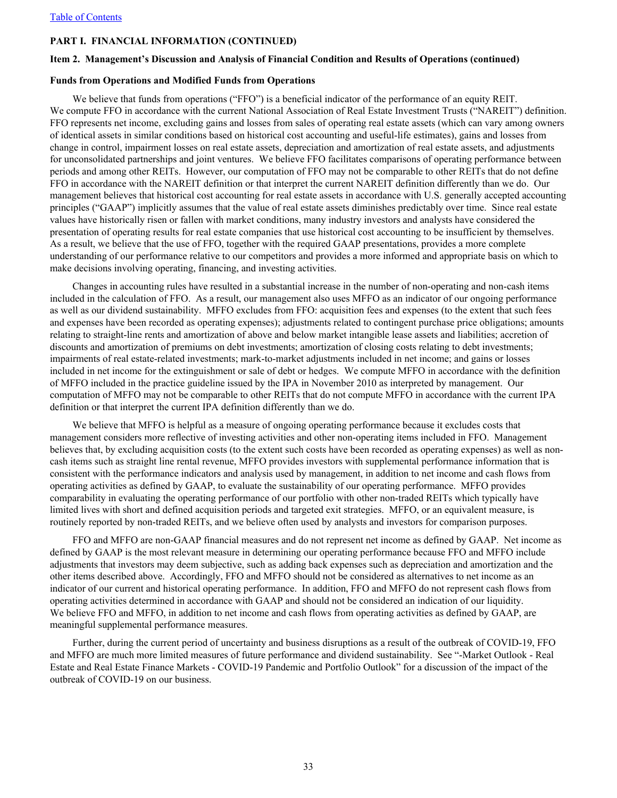#### **Item 2. Management's Discussion and Analysis of Financial Condition and Results of Operations (continued)**

#### **Funds from Operations and Modified Funds from Operations**

We believe that funds from operations ("FFO") is a beneficial indicator of the performance of an equity REIT. We compute FFO in accordance with the current National Association of Real Estate Investment Trusts ("NAREIT") definition. FFO represents net income, excluding gains and losses from sales of operating real estate assets (which can vary among owners of identical assets in similar conditions based on historical cost accounting and useful-life estimates), gains and losses from change in control, impairment losses on real estate assets, depreciation and amortization of real estate assets, and adjustments for unconsolidated partnerships and joint ventures. We believe FFO facilitates comparisons of operating performance between periods and among other REITs. However, our computation of FFO may not be comparable to other REITs that do not define FFO in accordance with the NAREIT definition or that interpret the current NAREIT definition differently than we do. Our management believes that historical cost accounting for real estate assets in accordance with U.S. generally accepted accounting principles ("GAAP") implicitly assumes that the value of real estate assets diminishes predictably over time. Since real estate values have historically risen or fallen with market conditions, many industry investors and analysts have considered the presentation of operating results for real estate companies that use historical cost accounting to be insufficient by themselves. As a result, we believe that the use of FFO, together with the required GAAP presentations, provides a more complete understanding of our performance relative to our competitors and provides a more informed and appropriate basis on which to make decisions involving operating, financing, and investing activities.

Changes in accounting rules have resulted in a substantial increase in the number of non-operating and non-cash items included in the calculation of FFO. As a result, our management also uses MFFO as an indicator of our ongoing performance as well as our dividend sustainability. MFFO excludes from FFO: acquisition fees and expenses (to the extent that such fees and expenses have been recorded as operating expenses); adjustments related to contingent purchase price obligations; amounts relating to straight-line rents and amortization of above and below market intangible lease assets and liabilities; accretion of discounts and amortization of premiums on debt investments; amortization of closing costs relating to debt investments; impairments of real estate-related investments; mark-to-market adjustments included in net income; and gains or losses included in net income for the extinguishment or sale of debt or hedges. We compute MFFO in accordance with the definition of MFFO included in the practice guideline issued by the IPA in November 2010 as interpreted by management. Our computation of MFFO may not be comparable to other REITs that do not compute MFFO in accordance with the current IPA definition or that interpret the current IPA definition differently than we do.

We believe that MFFO is helpful as a measure of ongoing operating performance because it excludes costs that management considers more reflective of investing activities and other non-operating items included in FFO. Management believes that, by excluding acquisition costs (to the extent such costs have been recorded as operating expenses) as well as noncash items such as straight line rental revenue, MFFO provides investors with supplemental performance information that is consistent with the performance indicators and analysis used by management, in addition to net income and cash flows from operating activities as defined by GAAP, to evaluate the sustainability of our operating performance. MFFO provides comparability in evaluating the operating performance of our portfolio with other non-traded REITs which typically have limited lives with short and defined acquisition periods and targeted exit strategies. MFFO, or an equivalent measure, is routinely reported by non-traded REITs, and we believe often used by analysts and investors for comparison purposes.

FFO and MFFO are non-GAAP financial measures and do not represent net income as defined by GAAP. Net income as defined by GAAP is the most relevant measure in determining our operating performance because FFO and MFFO include adjustments that investors may deem subjective, such as adding back expenses such as depreciation and amortization and the other items described above. Accordingly, FFO and MFFO should not be considered as alternatives to net income as an indicator of our current and historical operating performance. In addition, FFO and MFFO do not represent cash flows from operating activities determined in accordance with GAAP and should not be considered an indication of our liquidity. We believe FFO and MFFO, in addition to net income and cash flows from operating activities as defined by GAAP, are meaningful supplemental performance measures.

Further, during the current period of uncertainty and business disruptions as a result of the outbreak of COVID-19, FFO and MFFO are much more limited measures of future performance and dividend sustainability. See "-Market Outlook - Real Estate and Real Estate Finance Markets - COVID-19 Pandemic and Portfolio Outlook" for a discussion of the impact of the outbreak of COVID-19 on our business.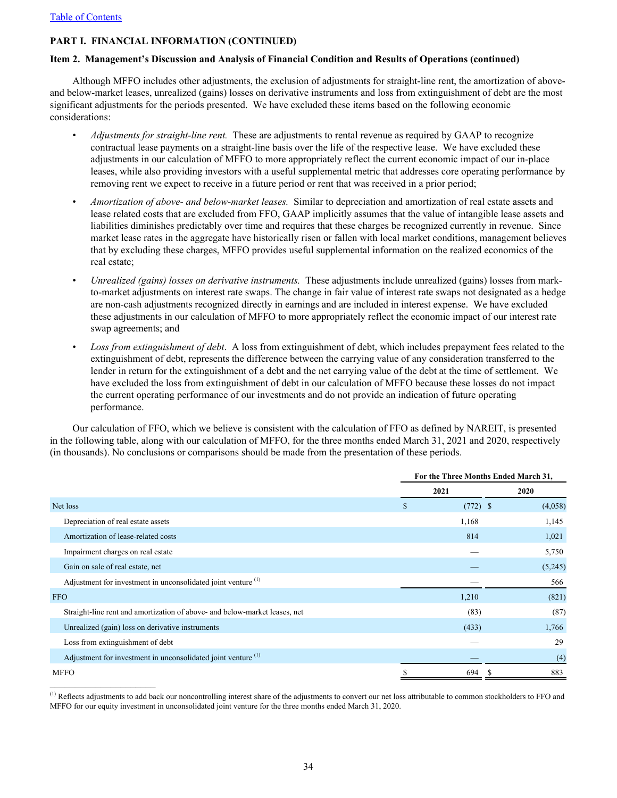#### **Item 2. Management's Discussion and Analysis of Financial Condition and Results of Operations (continued)**

Although MFFO includes other adjustments, the exclusion of adjustments for straight-line rent, the amortization of aboveand below-market leases, unrealized (gains) losses on derivative instruments and loss from extinguishment of debt are the most significant adjustments for the periods presented. We have excluded these items based on the following economic considerations:

- *Adjustments for straight-line rent.* These are adjustments to rental revenue as required by GAAP to recognize contractual lease payments on a straight-line basis over the life of the respective lease. We have excluded these adjustments in our calculation of MFFO to more appropriately reflect the current economic impact of our in-place leases, while also providing investors with a useful supplemental metric that addresses core operating performance by removing rent we expect to receive in a future period or rent that was received in a prior period;
- *Amortization of above- and below-market leases.* Similar to depreciation and amortization of real estate assets and lease related costs that are excluded from FFO, GAAP implicitly assumes that the value of intangible lease assets and liabilities diminishes predictably over time and requires that these charges be recognized currently in revenue. Since market lease rates in the aggregate have historically risen or fallen with local market conditions, management believes that by excluding these charges, MFFO provides useful supplemental information on the realized economics of the real estate;
- *Unrealized (gains) losses on derivative instruments.* These adjustments include unrealized (gains) losses from markto-market adjustments on interest rate swaps. The change in fair value of interest rate swaps not designated as a hedge are non-cash adjustments recognized directly in earnings and are included in interest expense. We have excluded these adjustments in our calculation of MFFO to more appropriately reflect the economic impact of our interest rate swap agreements; and
- *Loss from extinguishment of debt*. A loss from extinguishment of debt, which includes prepayment fees related to the extinguishment of debt, represents the difference between the carrying value of any consideration transferred to the lender in return for the extinguishment of a debt and the net carrying value of the debt at the time of settlement. We have excluded the loss from extinguishment of debt in our calculation of MFFO because these losses do not impact the current operating performance of our investments and do not provide an indication of future operating performance.

Our calculation of FFO, which we believe is consistent with the calculation of FFO as defined by NAREIT, is presented in the following table, along with our calculation of MFFO, for the three months ended March 31, 2021 and 2020, respectively (in thousands). No conclusions or comparisons should be made from the presentation of these periods.

|                                                                            | For the Three Months Ended March 31, |         |
|----------------------------------------------------------------------------|--------------------------------------|---------|
|                                                                            | 2021                                 | 2020    |
| Net loss                                                                   | \$<br>$(772)$ \$                     | (4,058) |
| Depreciation of real estate assets                                         | 1,168                                | 1,145   |
| Amortization of lease-related costs                                        | 814                                  | 1,021   |
| Impairment charges on real estate                                          |                                      | 5,750   |
| Gain on sale of real estate, net                                           |                                      | (5,245) |
| Adjustment for investment in unconsolidated joint venture <sup>(1)</sup>   |                                      | 566     |
| <b>FFO</b>                                                                 | 1,210                                | (821)   |
| Straight-line rent and amortization of above- and below-market leases, net | (83)                                 | (87)    |
| Unrealized (gain) loss on derivative instruments                           | (433)                                | 1,766   |
| Loss from extinguishment of debt                                           |                                      | 29      |
| Adjustment for investment in unconsolidated joint venture <sup>(1)</sup>   |                                      | (4)     |
| <b>MFFO</b>                                                                | 694                                  | 883     |
|                                                                            |                                      |         |

<sup>&</sup>lt;sup>(1)</sup> Reflects adjustments to add back our noncontrolling interest share of the adjustments to convert our net loss attributable to common stockholders to FFO and MFFO for our equity investment in unconsolidated joint venture for the three months ended March 31, 2020.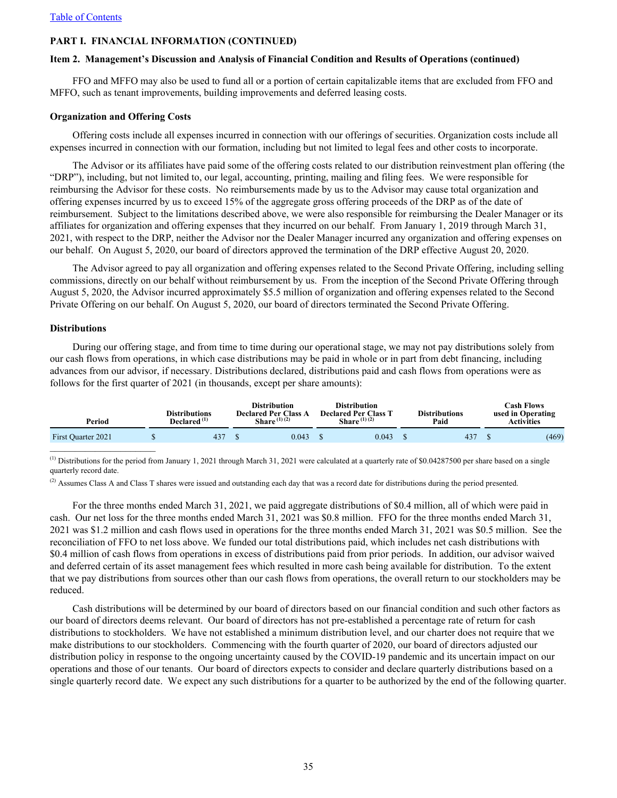#### **Item 2. Management's Discussion and Analysis of Financial Condition and Results of Operations (continued)**

FFO and MFFO may also be used to fund all or a portion of certain capitalizable items that are excluded from FFO and MFFO, such as tenant improvements, building improvements and deferred leasing costs.

#### **Organization and Offering Costs**

Offering costs include all expenses incurred in connection with our offerings of securities. Organization costs include all expenses incurred in connection with our formation, including but not limited to legal fees and other costs to incorporate.

The Advisor or its affiliates have paid some of the offering costs related to our distribution reinvestment plan offering (the "DRP"), including, but not limited to, our legal, accounting, printing, mailing and filing fees. We were responsible for reimbursing the Advisor for these costs. No reimbursements made by us to the Advisor may cause total organization and offering expenses incurred by us to exceed 15% of the aggregate gross offering proceeds of the DRP as of the date of reimbursement. Subject to the limitations described above, we were also responsible for reimbursing the Dealer Manager or its affiliates for organization and offering expenses that they incurred on our behalf. From January 1, 2019 through March 31, 2021, with respect to the DRP, neither the Advisor nor the Dealer Manager incurred any organization and offering expenses on our behalf. On August 5, 2020, our board of directors approved the termination of the DRP effective August 20, 2020.

The Advisor agreed to pay all organization and offering expenses related to the Second Private Offering, including selling commissions, directly on our behalf without reimbursement by us. From the inception of the Second Private Offering through August 5, 2020, the Advisor incurred approximately \$5.5 million of organization and offering expenses related to the Second Private Offering on our behalf. On August 5, 2020, our board of directors terminated the Second Private Offering.

#### **Distributions**

During our offering stage, and from time to time during our operational stage, we may not pay distributions solely from our cash flows from operations, in which case distributions may be paid in whole or in part from debt financing, including advances from our advisor, if necessary. Distributions declared, distributions paid and cash flows from operations were as follows for the first quarter of 2021 (in thousands, except per share amounts):

| Period             | <b>Distributions</b><br>Declared <sup>(1)</sup> |     | <b>Distribution</b><br><b>Declared Per Class A</b><br><b>Share</b> $(1)(2)$ |       | <b>Distribution</b><br><b>Declared Per Class T</b><br><b>Share</b> $(1)(2)$ |       | <b>Distributions</b><br>Paid |     | Cash Flows<br>used in Operating<br>Activities |
|--------------------|-------------------------------------------------|-----|-----------------------------------------------------------------------------|-------|-----------------------------------------------------------------------------|-------|------------------------------|-----|-----------------------------------------------|
| First Ouarter 2021 |                                                 | 437 |                                                                             | 0.043 |                                                                             | 0.043 |                              | 437 | (469)                                         |
|                    |                                                 |     |                                                                             |       |                                                                             |       |                              |     |                                               |

 $^{(1)}$  Distributions for the period from January 1, 2021 through March 31, 2021 were calculated at a quarterly rate of \$0.04287500 per share based on a single quarterly record date.

<sup>(2)</sup> Assumes Class A and Class T shares were issued and outstanding each day that was a record date for distributions during the period presented.

For the three months ended March 31, 2021, we paid aggregate distributions of \$0.4 million, all of which were paid in cash. Our net loss for the three months ended March 31, 2021 was \$0.8 million. FFO for the three months ended March 31, 2021 was \$1.2 million and cash flows used in operations for the three months ended March 31, 2021 was \$0.5 million. See the reconciliation of FFO to net loss above. We funded our total distributions paid, which includes net cash distributions with \$0.4 million of cash flows from operations in excess of distributions paid from prior periods. In addition, our advisor waived and deferred certain of its asset management fees which resulted in more cash being available for distribution. To the extent that we pay distributions from sources other than our cash flows from operations, the overall return to our stockholders may be reduced.

Cash distributions will be determined by our board of directors based on our financial condition and such other factors as our board of directors deems relevant. Our board of directors has not pre-established a percentage rate of return for cash distributions to stockholders. We have not established a minimum distribution level, and our charter does not require that we make distributions to our stockholders. Commencing with the fourth quarter of 2020, our board of directors adjusted our distribution policy in response to the ongoing uncertainty caused by the COVID-19 pandemic and its uncertain impact on our operations and those of our tenants. Our board of directors expects to consider and declare quarterly distributions based on a single quarterly record date. We expect any such distributions for a quarter to be authorized by the end of the following quarter.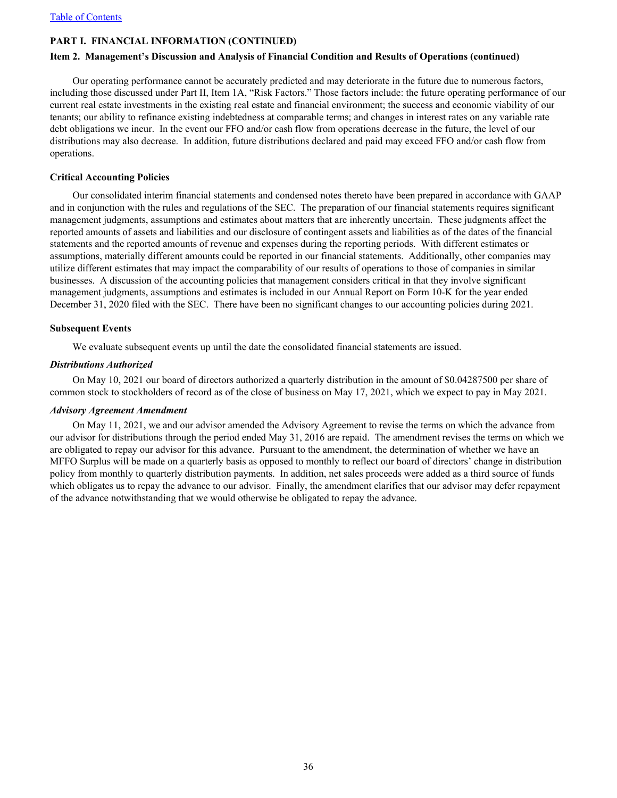## **Item 2. Management's Discussion and Analysis of Financial Condition and Results of Operations (continued)**

Our operating performance cannot be accurately predicted and may deteriorate in the future due to numerous factors, including those discussed under Part II, Item 1A, "Risk Factors." Those factors include: the future operating performance of our current real estate investments in the existing real estate and financial environment; the success and economic viability of our tenants; our ability to refinance existing indebtedness at comparable terms; and changes in interest rates on any variable rate debt obligations we incur. In the event our FFO and/or cash flow from operations decrease in the future, the level of our distributions may also decrease. In addition, future distributions declared and paid may exceed FFO and/or cash flow from operations.

#### **Critical Accounting Policies**

Our consolidated interim financial statements and condensed notes thereto have been prepared in accordance with GAAP and in conjunction with the rules and regulations of the SEC. The preparation of our financial statements requires significant management judgments, assumptions and estimates about matters that are inherently uncertain. These judgments affect the reported amounts of assets and liabilities and our disclosure of contingent assets and liabilities as of the dates of the financial statements and the reported amounts of revenue and expenses during the reporting periods. With different estimates or assumptions, materially different amounts could be reported in our financial statements. Additionally, other companies may utilize different estimates that may impact the comparability of our results of operations to those of companies in similar businesses. A discussion of the accounting policies that management considers critical in that they involve significant management judgments, assumptions and estimates is included in our Annual Report on Form 10-K for the year ended December 31, 2020 filed with the SEC. There have been no significant changes to our accounting policies during 2021.

#### **Subsequent Events**

We evaluate subsequent events up until the date the consolidated financial statements are issued.

#### *Distributions Authorized*

On May 10, 2021 our board of directors authorized a quarterly distribution in the amount of \$0.04287500 per share of common stock to stockholders of record as of the close of business on May 17, 2021, which we expect to pay in May 2021.

#### *Advisory Agreement Amendment*

On May 11, 2021, we and our advisor amended the Advisory Agreement to revise the terms on which the advance from our advisor for distributions through the period ended May 31, 2016 are repaid. The amendment revises the terms on which we are obligated to repay our advisor for this advance. Pursuant to the amendment, the determination of whether we have an MFFO Surplus will be made on a quarterly basis as opposed to monthly to reflect our board of directors' change in distribution policy from monthly to quarterly distribution payments. In addition, net sales proceeds were added as a third source of funds which obligates us to repay the advance to our advisor. Finally, the amendment clarifies that our advisor may defer repayment of the advance notwithstanding that we would otherwise be obligated to repay the advance.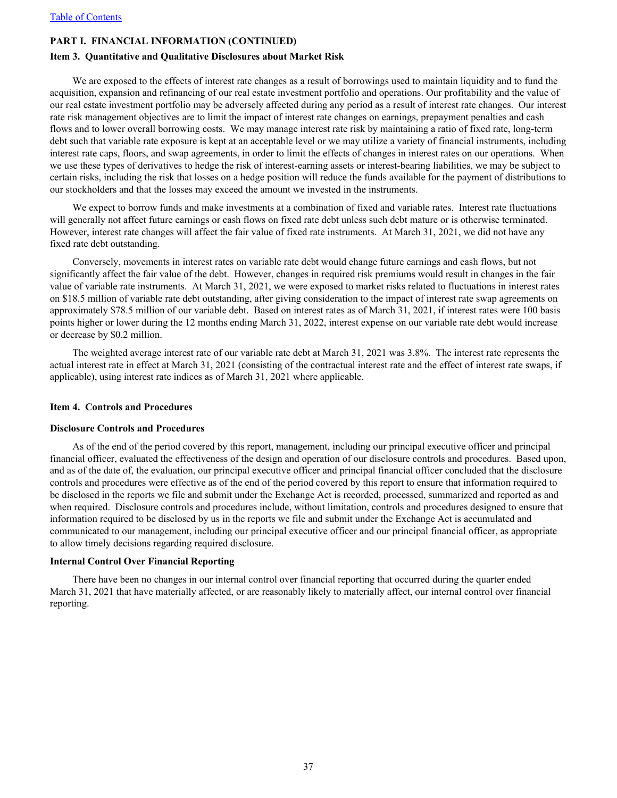#### <span id="page-37-0"></span>**Item 3. Quantitative and Qualitative Disclosures about Market Risk**

We are exposed to the effects of interest rate changes as a result of borrowings used to maintain liquidity and to fund the acquisition, expansion and refinancing of our real estate investment portfolio and operations. Our profitability and the value of our real estate investment portfolio may be adversely affected during any period as a result of interest rate changes. Our interest rate risk management objectives are to limit the impact of interest rate changes on earnings, prepayment penalties and cash flows and to lower overall borrowing costs. We may manage interest rate risk by maintaining a ratio of fixed rate, long-term debt such that variable rate exposure is kept at an acceptable level or we may utilize a variety of financial instruments, including interest rate caps, floors, and swap agreements, in order to limit the effects of changes in interest rates on our operations. When we use these types of derivatives to hedge the risk of interest-earning assets or interest-bearing liabilities, we may be subject to certain risks, including the risk that losses on a hedge position will reduce the funds available for the payment of distributions to our stockholders and that the losses may exceed the amount we invested in the instruments.

We expect to borrow funds and make investments at a combination of fixed and variable rates. Interest rate fluctuations will generally not affect future earnings or cash flows on fixed rate debt unless such debt mature or is otherwise terminated. However, interest rate changes will affect the fair value of fixed rate instruments. At March 31, 2021, we did not have any fixed rate debt outstanding.

Conversely, movements in interest rates on variable rate debt would change future earnings and cash flows, but not significantly affect the fair value of the debt. However, changes in required risk premiums would result in changes in the fair value of variable rate instruments. At March 31, 2021, we were exposed to market risks related to fluctuations in interest rates on \$18.5 million of variable rate debt outstanding, after giving consideration to the impact of interest rate swap agreements on approximately \$78.5 million of our variable debt. Based on interest rates as of March 31, 2021, if interest rates were 100 basis points higher or lower during the 12 months ending March 31, 2022, interest expense on our variable rate debt would increase or decrease by \$0.2 million.

The weighted average interest rate of our variable rate debt at March 31, 2021 was 3.8%. The interest rate represents the actual interest rate in effect at March 31, 2021 (consisting of the contractual interest rate and the effect of interest rate swaps, if applicable), using interest rate indices as of March 31, 2021 where applicable.

#### **Item 4. Controls and Procedures**

#### **Disclosure Controls and Procedures**

As of the end of the period covered by this report, management, including our principal executive officer and principal financial officer, evaluated the effectiveness of the design and operation of our disclosure controls and procedures. Based upon, and as of the date of, the evaluation, our principal executive officer and principal financial officer concluded that the disclosure controls and procedures were effective as of the end of the period covered by this report to ensure that information required to be disclosed in the reports we file and submit under the Exchange Act is recorded, processed, summarized and reported as and when required. Disclosure controls and procedures include, without limitation, controls and procedures designed to ensure that information required to be disclosed by us in the reports we file and submit under the Exchange Act is accumulated and communicated to our management, including our principal executive officer and our principal financial officer, as appropriate to allow timely decisions regarding required disclosure.

#### **Internal Control Over Financial Reporting**

There have been no changes in our internal control over financial reporting that occurred during the quarter ended March 31, 2021 that have materially affected, or are reasonably likely to materially affect, our internal control over financial reporting.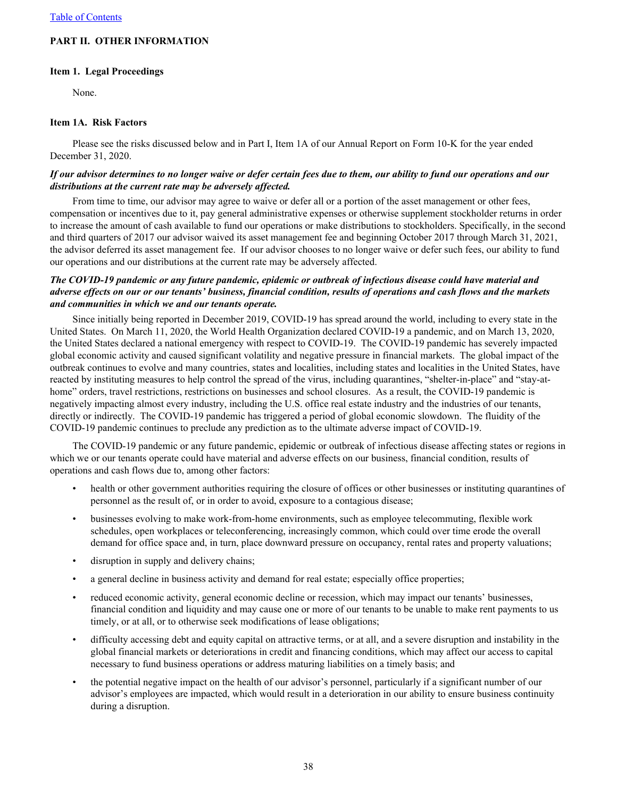## <span id="page-38-0"></span>**PART II. OTHER INFORMATION**

#### **Item 1. Legal Proceedings**

None.

#### **Item 1A. Risk Factors**

Please see the risks discussed below and in Part I, Item 1A of our Annual Report on Form 10-K for the year ended December 31, 2020.

## *If our advisor determines to no longer waive or defer certain fees due to them, our ability to fund our operations and our distributions at the current rate may be adversely affected.*

From time to time, our advisor may agree to waive or defer all or a portion of the asset management or other fees, compensation or incentives due to it, pay general administrative expenses or otherwise supplement stockholder returns in order to increase the amount of cash available to fund our operations or make distributions to stockholders. Specifically, in the second and third quarters of 2017 our advisor waived its asset management fee and beginning October 2017 through March 31, 2021, the advisor deferred its asset management fee. If our advisor chooses to no longer waive or defer such fees, our ability to fund our operations and our distributions at the current rate may be adversely affected.

## *The COVID-19 pandemic or any future pandemic, epidemic or outbreak of infectious disease could have material and adverse effects on our or our tenants' business, financial condition, results of operations and cash flows and the markets and communities in which we and our tenants operate.*

Since initially being reported in December 2019, COVID-19 has spread around the world, including to every state in the United States. On March 11, 2020, the World Health Organization declared COVID-19 a pandemic, and on March 13, 2020, the United States declared a national emergency with respect to COVID-19. The COVID-19 pandemic has severely impacted global economic activity and caused significant volatility and negative pressure in financial markets. The global impact of the outbreak continues to evolve and many countries, states and localities, including states and localities in the United States, have reacted by instituting measures to help control the spread of the virus, including quarantines, "shelter-in-place" and "stay-athome" orders, travel restrictions, restrictions on businesses and school closures. As a result, the COVID-19 pandemic is negatively impacting almost every industry, including the U.S. office real estate industry and the industries of our tenants, directly or indirectly. The COVID-19 pandemic has triggered a period of global economic slowdown. The fluidity of the COVID-19 pandemic continues to preclude any prediction as to the ultimate adverse impact of COVID-19.

The COVID-19 pandemic or any future pandemic, epidemic or outbreak of infectious disease affecting states or regions in which we or our tenants operate could have material and adverse effects on our business, financial condition, results of operations and cash flows due to, among other factors:

- health or other government authorities requiring the closure of offices or other businesses or instituting quarantines of personnel as the result of, or in order to avoid, exposure to a contagious disease;
- businesses evolving to make work-from-home environments, such as employee telecommuting, flexible work schedules, open workplaces or teleconferencing, increasingly common, which could over time erode the overall demand for office space and, in turn, place downward pressure on occupancy, rental rates and property valuations;
- disruption in supply and delivery chains;
- a general decline in business activity and demand for real estate; especially office properties;
- reduced economic activity, general economic decline or recession, which may impact our tenants' businesses, financial condition and liquidity and may cause one or more of our tenants to be unable to make rent payments to us timely, or at all, or to otherwise seek modifications of lease obligations;
- difficulty accessing debt and equity capital on attractive terms, or at all, and a severe disruption and instability in the global financial markets or deteriorations in credit and financing conditions, which may affect our access to capital necessary to fund business operations or address maturing liabilities on a timely basis; and
- the potential negative impact on the health of our advisor's personnel, particularly if a significant number of our advisor's employees are impacted, which would result in a deterioration in our ability to ensure business continuity during a disruption.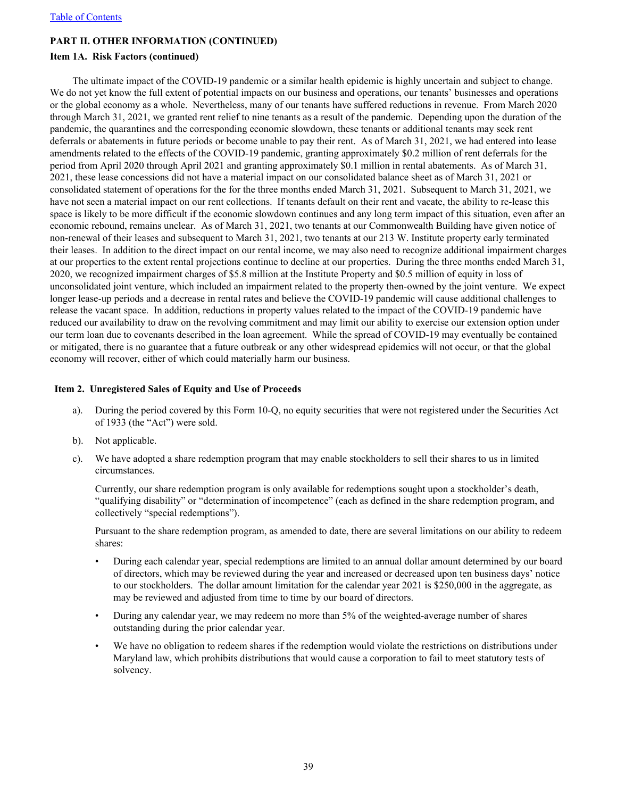## <span id="page-39-0"></span>**PART II. OTHER INFORMATION (CONTINUED)**

#### **Item 1A. Risk Factors (continued)**

The ultimate impact of the COVID-19 pandemic or a similar health epidemic is highly uncertain and subject to change. We do not yet know the full extent of potential impacts on our business and operations, our tenants' businesses and operations or the global economy as a whole. Nevertheless, many of our tenants have suffered reductions in revenue. From March 2020 through March 31, 2021, we granted rent relief to nine tenants as a result of the pandemic. Depending upon the duration of the pandemic, the quarantines and the corresponding economic slowdown, these tenants or additional tenants may seek rent deferrals or abatements in future periods or become unable to pay their rent. As of March 31, 2021, we had entered into lease amendments related to the effects of the COVID-19 pandemic, granting approximately \$0.2 million of rent deferrals for the period from April 2020 through April 2021 and granting approximately \$0.1 million in rental abatements. As of March 31, 2021, these lease concessions did not have a material impact on our consolidated balance sheet as of March 31, 2021 or consolidated statement of operations for the for the three months ended March 31, 2021. Subsequent to March 31, 2021, we have not seen a material impact on our rent collections. If tenants default on their rent and vacate, the ability to re-lease this space is likely to be more difficult if the economic slowdown continues and any long term impact of this situation, even after an economic rebound, remains unclear. As of March 31, 2021, two tenants at our Commonwealth Building have given notice of non-renewal of their leases and subsequent to March 31, 2021, two tenants at our 213 W. Institute property early terminated their leases. In addition to the direct impact on our rental income, we may also need to recognize additional impairment charges at our properties to the extent rental projections continue to decline at our properties. During the three months ended March 31, 2020, we recognized impairment charges of \$5.8 million at the Institute Property and \$0.5 million of equity in loss of unconsolidated joint venture, which included an impairment related to the property then-owned by the joint venture. We expect longer lease-up periods and a decrease in rental rates and believe the COVID-19 pandemic will cause additional challenges to release the vacant space. In addition, reductions in property values related to the impact of the COVID-19 pandemic have reduced our availability to draw on the revolving commitment and may limit our ability to exercise our extension option under our term loan due to covenants described in the loan agreement. While the spread of COVID-19 may eventually be contained or mitigated, there is no guarantee that a future outbreak or any other widespread epidemics will not occur, or that the global economy will recover, either of which could materially harm our business.

#### **Item 2. Unregistered Sales of Equity and Use of Proceeds**

- a). During the period covered by this Form 10-Q, no equity securities that were not registered under the Securities Act of 1933 (the "Act") were sold.
- b). Not applicable.
- c). We have adopted a share redemption program that may enable stockholders to sell their shares to us in limited circumstances.

Currently, our share redemption program is only available for redemptions sought upon a stockholder's death, "qualifying disability" or "determination of incompetence" (each as defined in the share redemption program, and collectively "special redemptions").

Pursuant to the share redemption program, as amended to date, there are several limitations on our ability to redeem shares:

- During each calendar year, special redemptions are limited to an annual dollar amount determined by our board of directors, which may be reviewed during the year and increased or decreased upon ten business days' notice to our stockholders. The dollar amount limitation for the calendar year 2021 is \$250,000 in the aggregate, as may be reviewed and adjusted from time to time by our board of directors.
- During any calendar year, we may redeem no more than 5% of the weighted-average number of shares outstanding during the prior calendar year.
- We have no obligation to redeem shares if the redemption would violate the restrictions on distributions under Maryland law, which prohibits distributions that would cause a corporation to fail to meet statutory tests of solvency.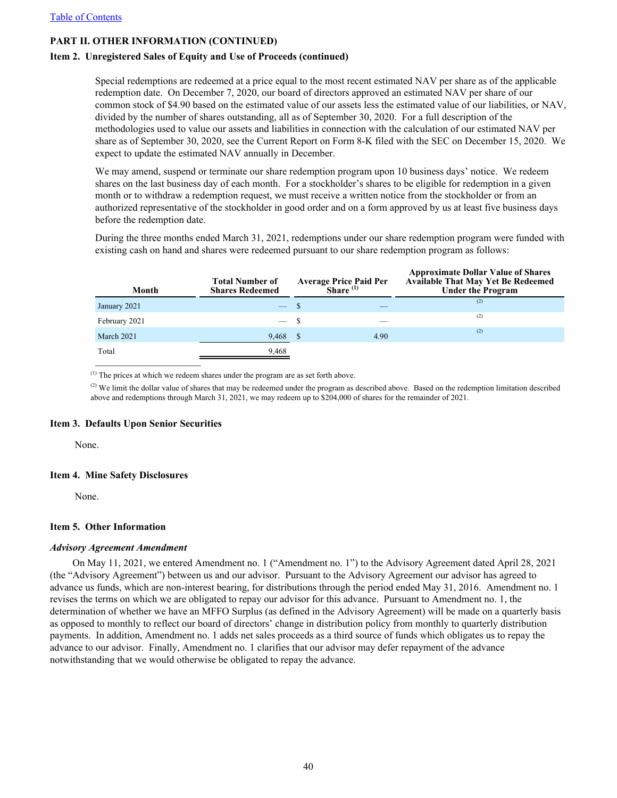## <span id="page-40-0"></span>**PART II. OTHER INFORMATION (CONTINUED)**

# **Item 2. Unregistered Sales of Equity and Use of Proceeds (continued)**

Special redemptions are redeemed at a price equal to the most recent estimated NAV per share as of the applicable redemption date. On December 7, 2020, our board of directors approved an estimated NAV per share of our common stock of \$4.90 based on the estimated value of our assets less the estimated value of our liabilities, or NAV, divided by the number of shares outstanding, all as of September 30, 2020. For a full description of the methodologies used to value our assets and liabilities in connection with the calculation of our estimated NAV per share as of September 30, 2020, see the Current Report on Form 8-K filed with the SEC on December 15, 2020. We expect to update the estimated NAV annually in December.

We may amend, suspend or terminate our share redemption program upon 10 business days' notice. We redeem shares on the last business day of each month. For a stockholder's shares to be eligible for redemption in a given month or to withdraw a redemption request, we must receive a written notice from the stockholder or from an authorized representative of the stockholder in good order and on a form approved by us at least five business days before the redemption date.

During the three months ended March 31, 2021, redemptions under our share redemption program were funded with existing cash on hand and shares were redeemed pursuant to our share redemption program as follows:

| Month         | <b>Total Number of</b><br><b>Shares Redeemed</b> |      | <b>Average Price Paid Per<br/>Share</b> <sup>(1)</sup> | <b>Approximate Dollar Value of Shares</b><br>Available That May Yet Be Redeemed<br><b>Under the Program</b> |
|---------------|--------------------------------------------------|------|--------------------------------------------------------|-------------------------------------------------------------------------------------------------------------|
| January 2021  | $-$ \$                                           |      |                                                        | (2)                                                                                                         |
| February 2021 |                                                  | - \$ |                                                        | (2)                                                                                                         |
| March 2021    | 9,468                                            | S    | 4.90                                                   | (2)                                                                                                         |
| Total         | 9,468                                            |      |                                                        |                                                                                                             |
|               |                                                  |      |                                                        |                                                                                                             |

 $<sup>(1)</sup>$  The prices at which we redeem shares under the program are as set forth above.</sup>

<sup>(2)</sup> We limit the dollar value of shares that may be redeemed under the program as described above. Based on the redemption limitation described above and redemptions through March 31, 2021, we may redeem up to \$204,000 of shares for the remainder of 2021.

# **Item 3. Defaults Upon Senior Securities**

None.

## **Item 4. Mine Safety Disclosures**

None.

## **Item 5. Other Information**

## *Advisory Agreement Amendment*

On May 11, 2021, we entered Amendment no. 1 ("Amendment no. 1") to the Advisory Agreement dated April 28, 2021 (the "Advisory Agreement") between us and our advisor. Pursuant to the Advisory Agreement our advisor has agreed to advance us funds, which are non-interest bearing, for distributions through the period ended May 31, 2016. Amendment no. 1 revises the terms on which we are obligated to repay our advisor for this advance. Pursuant to Amendment no. 1, the determination of whether we have an MFFO Surplus (as defined in the Advisory Agreement) will be made on a quarterly basis as opposed to monthly to reflect our board of directors' change in distribution policy from monthly to quarterly distribution payments. In addition, Amendment no. 1 adds net sales proceeds as a third source of funds which obligates us to repay the advance to our advisor. Finally, Amendment no. 1 clarifies that our advisor may defer repayment of the advance notwithstanding that we would otherwise be obligated to repay the advance.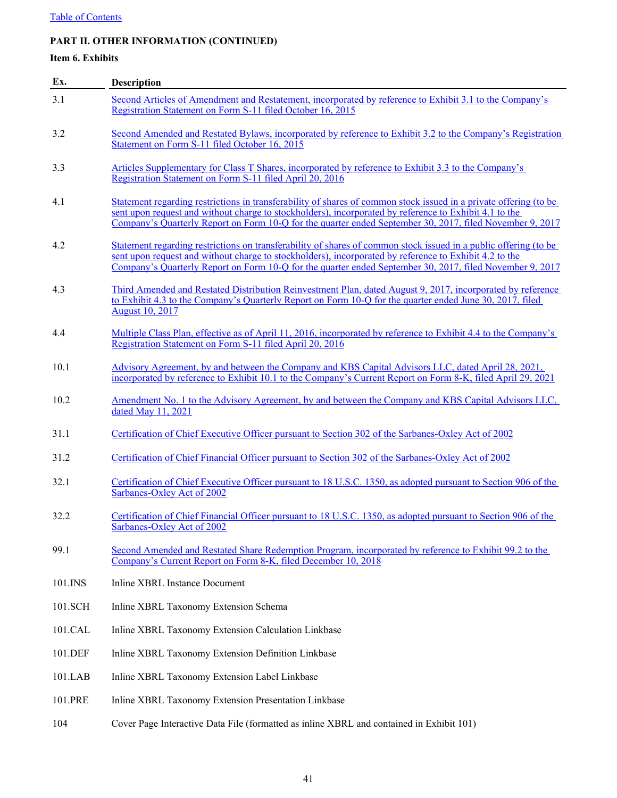# <span id="page-41-0"></span>**PART II. OTHER INFORMATION (CONTINUED)**

# **Item 6. Exhibits**

| Ex.     | <b>Description</b>                                                                                                                                                                                                                                                                                                                      |
|---------|-----------------------------------------------------------------------------------------------------------------------------------------------------------------------------------------------------------------------------------------------------------------------------------------------------------------------------------------|
| 3.1     | Second Articles of Amendment and Restatement, incorporated by reference to Exhibit 3.1 to the Company's<br>Registration Statement on Form S-11 filed October 16, 2015                                                                                                                                                                   |
| 3.2     | Second Amended and Restated Bylaws, incorporated by reference to Exhibit 3.2 to the Company's Registration<br>Statement on Form S-11 filed October 16, 2015                                                                                                                                                                             |
| 3.3     | Articles Supplementary for Class T Shares, incorporated by reference to Exhibit 3.3 to the Company's<br>Registration Statement on Form S-11 filed April 20, 2016                                                                                                                                                                        |
| 4.1     | Statement regarding restrictions in transferability of shares of common stock issued in a private offering (to be<br>sent upon request and without charge to stockholders), incorporated by reference to Exhibit 4.1 to the<br>Company's Quarterly Report on Form 10-Q for the quarter ended September 30, 2017, filed November 9, 2017 |
| 4.2     | Statement regarding restrictions on transferability of shares of common stock issued in a public offering (to be<br>sent upon request and without charge to stockholders), incorporated by reference to Exhibit 4.2 to the<br>Company's Quarterly Report on Form 10-Q for the quarter ended September 30, 2017, filed November 9, 2017  |
| 4.3     | Third Amended and Restated Distribution Reinvestment Plan, dated August 9, 2017, incorporated by reference<br>to Exhibit 4.3 to the Company's Quarterly Report on Form 10-Q for the quarter ended June 30, 2017, filed<br><b>August 10, 2017</b>                                                                                        |
| 4.4     | Multiple Class Plan, effective as of April 11, 2016, incorporated by reference to Exhibit 4.4 to the Company's<br>Registration Statement on Form S-11 filed April 20, 2016                                                                                                                                                              |
| 10.1    | Advisory Agreement, by and between the Company and KBS Capital Advisors LLC, dated April 28, 2021,<br>incorporated by reference to Exhibit 10.1 to the Company's Current Report on Form 8-K, filed April 29, 2021                                                                                                                       |
| 10.2    | Amendment No. 1 to the Advisory Agreement, by and between the Company and KBS Capital Advisors LLC,<br>dated May 11, 2021                                                                                                                                                                                                               |
| 31.1    | Certification of Chief Executive Officer pursuant to Section 302 of the Sarbanes-Oxley Act of 2002                                                                                                                                                                                                                                      |
| 31.2    | Certification of Chief Financial Officer pursuant to Section 302 of the Sarbanes-Oxley Act of 2002                                                                                                                                                                                                                                      |
| 32.1    | Certification of Chief Executive Officer pursuant to 18 U.S.C. 1350, as adopted pursuant to Section 906 of the<br>Sarbanes-Oxley Act of 2002                                                                                                                                                                                            |
| 32.2    | Certification of Chief Financial Officer pursuant to 18 U.S.C. 1350, as adopted pursuant to Section 906 of the<br>Sarbanes-Oxley Act of 2002                                                                                                                                                                                            |
| 99.1    | Second Amended and Restated Share Redemption Program, incorporated by reference to Exhibit 99.2 to the<br>Company's Current Report on Form 8-K, filed December 10, 2018                                                                                                                                                                 |
| 101.INS | Inline XBRL Instance Document                                                                                                                                                                                                                                                                                                           |
| 101.SCH | Inline XBRL Taxonomy Extension Schema                                                                                                                                                                                                                                                                                                   |
| 101.CAL | Inline XBRL Taxonomy Extension Calculation Linkbase                                                                                                                                                                                                                                                                                     |
| 101.DEF | Inline XBRL Taxonomy Extension Definition Linkbase                                                                                                                                                                                                                                                                                      |
| 101.LAB | Inline XBRL Taxonomy Extension Label Linkbase                                                                                                                                                                                                                                                                                           |
| 101.PRE | Inline XBRL Taxonomy Extension Presentation Linkbase                                                                                                                                                                                                                                                                                    |
| 104     | Cover Page Interactive Data File (formatted as inline XBRL and contained in Exhibit 101)                                                                                                                                                                                                                                                |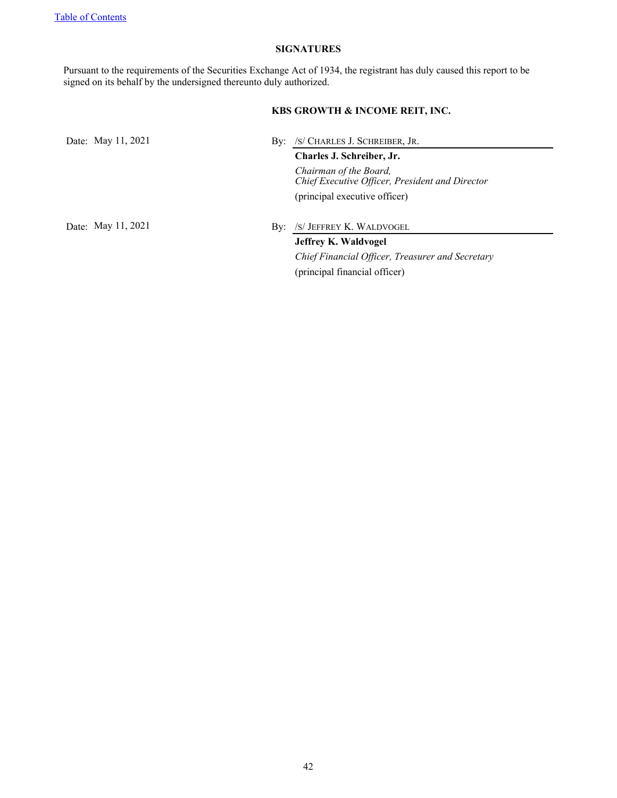## **SIGNATURES**

<span id="page-42-0"></span>Pursuant to the requirements of the Securities Exchange Act of 1934, the registrant has duly caused this report to be signed on its behalf by the undersigned thereunto duly authorized.

# **KBS GROWTH & INCOME REIT, INC.**

| Date: May 11, 2021 | $\rm{By:}$ | /S/ CHARLES J. SCHREIBER, JR.                                             |
|--------------------|------------|---------------------------------------------------------------------------|
|                    |            | Charles J. Schreiber, Jr.                                                 |
|                    |            | Chairman of the Board,<br>Chief Executive Officer, President and Director |
|                    |            | (principal executive officer)                                             |
|                    |            |                                                                           |
| Date: May 11, 2021 | Bv:        | /S/ JEFFREY K. WALDVOGEL                                                  |
|                    |            | <b>Jeffrey K. Waldvogel</b>                                               |
|                    |            | Chief Financial Officer, Treasurer and Secretary                          |
|                    |            | (principal financial officer)                                             |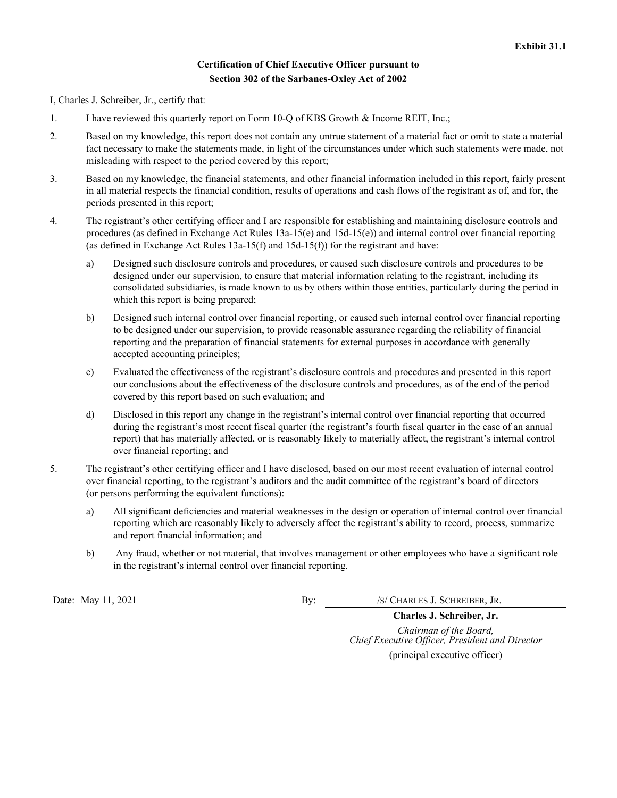# **Certification of Chief Executive Officer pursuant to Section 302 of the Sarbanes-Oxley Act of 2002**

I, Charles J. Schreiber, Jr., certify that:

- 1. I have reviewed this quarterly report on Form 10-Q of KBS Growth & Income REIT, Inc.;
- 2. Based on my knowledge, this report does not contain any untrue statement of a material fact or omit to state a material fact necessary to make the statements made, in light of the circumstances under which such statements were made, not misleading with respect to the period covered by this report;
- 3. Based on my knowledge, the financial statements, and other financial information included in this report, fairly present in all material respects the financial condition, results of operations and cash flows of the registrant as of, and for, the periods presented in this report;
- 4. The registrant's other certifying officer and I are responsible for establishing and maintaining disclosure controls and procedures (as defined in Exchange Act Rules 13a-15(e) and 15d-15(e)) and internal control over financial reporting (as defined in Exchange Act Rules  $13a-15(f)$  and  $15d-15(f)$ ) for the registrant and have:
	- a) Designed such disclosure controls and procedures, or caused such disclosure controls and procedures to be designed under our supervision, to ensure that material information relating to the registrant, including its consolidated subsidiaries, is made known to us by others within those entities, particularly during the period in which this report is being prepared;
	- b) Designed such internal control over financial reporting, or caused such internal control over financial reporting to be designed under our supervision, to provide reasonable assurance regarding the reliability of financial reporting and the preparation of financial statements for external purposes in accordance with generally accepted accounting principles;
	- c) Evaluated the effectiveness of the registrant's disclosure controls and procedures and presented in this report our conclusions about the effectiveness of the disclosure controls and procedures, as of the end of the period covered by this report based on such evaluation; and
	- d) Disclosed in this report any change in the registrant's internal control over financial reporting that occurred during the registrant's most recent fiscal quarter (the registrant's fourth fiscal quarter in the case of an annual report) that has materially affected, or is reasonably likely to materially affect, the registrant's internal control over financial reporting; and
- 5. The registrant's other certifying officer and I have disclosed, based on our most recent evaluation of internal control over financial reporting, to the registrant's auditors and the audit committee of the registrant's board of directors (or persons performing the equivalent functions):
	- a) All significant deficiencies and material weaknesses in the design or operation of internal control over financial reporting which are reasonably likely to adversely affect the registrant's ability to record, process, summarize and report financial information; and
	- b) Any fraud, whether or not material, that involves management or other employees who have a significant role in the registrant's internal control over financial reporting.

Date: May 11, 2021 By: /S/ CHARLES J. SCHREIBER, JR.

**Charles J. Schreiber, Jr.** *Chairman of the Board, Chief Executive Officer, President and Director* (principal executive officer)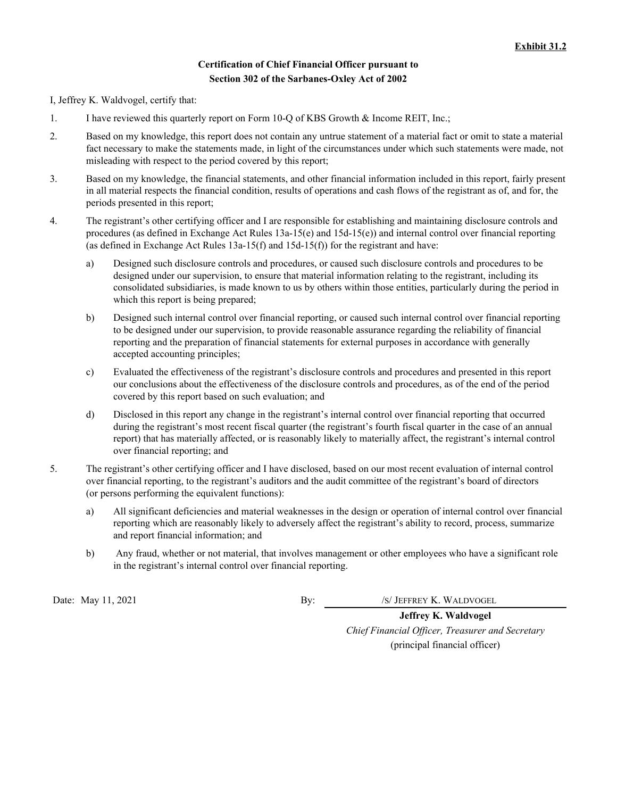# **Certification of Chief Financial Officer pursuant to Section 302 of the Sarbanes-Oxley Act of 2002**

I, Jeffrey K. Waldvogel, certify that:

- 1. I have reviewed this quarterly report on Form 10-Q of KBS Growth & Income REIT, Inc.;
- 2. Based on my knowledge, this report does not contain any untrue statement of a material fact or omit to state a material fact necessary to make the statements made, in light of the circumstances under which such statements were made, not misleading with respect to the period covered by this report;
- 3. Based on my knowledge, the financial statements, and other financial information included in this report, fairly present in all material respects the financial condition, results of operations and cash flows of the registrant as of, and for, the periods presented in this report;
- 4. The registrant's other certifying officer and I are responsible for establishing and maintaining disclosure controls and procedures (as defined in Exchange Act Rules 13a-15(e) and 15d-15(e)) and internal control over financial reporting (as defined in Exchange Act Rules  $13a-15(f)$  and  $15d-15(f)$ ) for the registrant and have:
	- a) Designed such disclosure controls and procedures, or caused such disclosure controls and procedures to be designed under our supervision, to ensure that material information relating to the registrant, including its consolidated subsidiaries, is made known to us by others within those entities, particularly during the period in which this report is being prepared;
	- b) Designed such internal control over financial reporting, or caused such internal control over financial reporting to be designed under our supervision, to provide reasonable assurance regarding the reliability of financial reporting and the preparation of financial statements for external purposes in accordance with generally accepted accounting principles;
	- c) Evaluated the effectiveness of the registrant's disclosure controls and procedures and presented in this report our conclusions about the effectiveness of the disclosure controls and procedures, as of the end of the period covered by this report based on such evaluation; and
	- d) Disclosed in this report any change in the registrant's internal control over financial reporting that occurred during the registrant's most recent fiscal quarter (the registrant's fourth fiscal quarter in the case of an annual report) that has materially affected, or is reasonably likely to materially affect, the registrant's internal control over financial reporting; and
- 5. The registrant's other certifying officer and I have disclosed, based on our most recent evaluation of internal control over financial reporting, to the registrant's auditors and the audit committee of the registrant's board of directors (or persons performing the equivalent functions):
	- a) All significant deficiencies and material weaknesses in the design or operation of internal control over financial reporting which are reasonably likely to adversely affect the registrant's ability to record, process, summarize and report financial information; and
	- b) Any fraud, whether or not material, that involves management or other employees who have a significant role in the registrant's internal control over financial reporting.

Date: May 11, 2021 **By:** By: /S/ JEFFREY K. WALDVOGEL

**Jeffrey K. Waldvogel** *Chief Financial Officer, Treasurer and Secretary* (principal financial officer)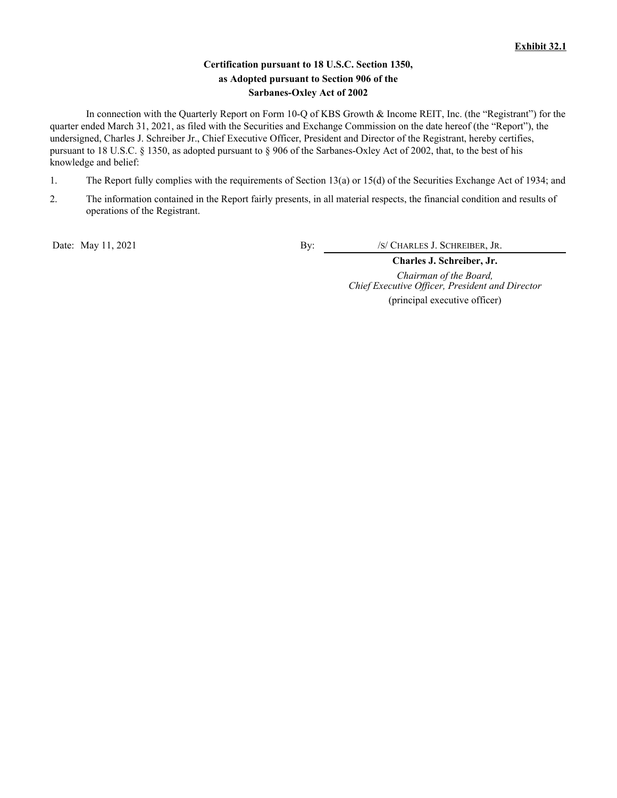# **Certification pursuant to 18 U.S.C. Section 1350, as Adopted pursuant to Section 906 of the Sarbanes-Oxley Act of 2002**

In connection with the Quarterly Report on Form 10-Q of KBS Growth & Income REIT, Inc. (the "Registrant") for the quarter ended March 31, 2021, as filed with the Securities and Exchange Commission on the date hereof (the "Report"), the undersigned, Charles J. Schreiber Jr., Chief Executive Officer, President and Director of the Registrant, hereby certifies, pursuant to 18 U.S.C. § 1350, as adopted pursuant to § 906 of the Sarbanes-Oxley Act of 2002, that, to the best of his knowledge and belief:

- 1. The Report fully complies with the requirements of Section 13(a) or 15(d) of the Securities Exchange Act of 1934; and
- 2. The information contained in the Report fairly presents, in all material respects, the financial condition and results of operations of the Registrant.

Date: May 11, 2021 By: /S/ CHARLES J. SCHREIBER, JR.

**Charles J. Schreiber, Jr.** *Chairman of the Board, Chief Executive Officer, President and Director* (principal executive officer)